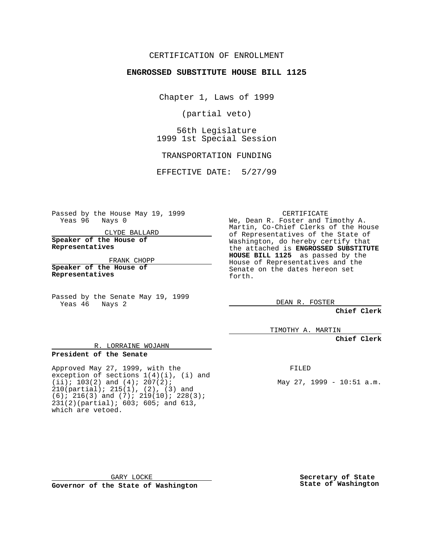#### CERTIFICATION OF ENROLLMENT

#### **ENGROSSED SUBSTITUTE HOUSE BILL 1125**

Chapter 1, Laws of 1999

(partial veto)

56th Legislature 1999 1st Special Session

TRANSPORTATION FUNDING

EFFECTIVE DATE: 5/27/99

Passed by the House May 19, 1999 Yeas 96 Nays 0

CLYDE BALLARD

**Speaker of the House of Representatives**

FRANK CHOPP

R. LORRAINE WOJAHN

exception of sections  $1(4)(i)$ , (i) and

**Speaker of the House of Representatives**

**President of the Senate**

which are vetoed.

Passed by the Senate May 19, 1999 Yeas 46 Nays 2

Approved May 27, 1999, with the

 $(iii); 103(2)$  and  $(4); 207(2);$ 210(partial); 215(1), (2), (3) and (6); 216(3) and (7); 219(10); 228(3); 231(2)(partial); 603; 605; and 613,

#### CERTIFICATE

We, Dean R. Foster and Timothy A. Martin, Co-Chief Clerks of the House of Representatives of the State of Washington, do hereby certify that the attached is **ENGROSSED SUBSTITUTE HOUSE BILL 1125** as passed by the House of Representatives and the Senate on the dates hereon set forth.

DEAN R. FOSTER

**Chief Clerk**

TIMOTHY A. MARTIN

**Chief Clerk**

FILED

May 27, 1999 - 10:51 a.m.

GARY LOCKE **Governor of the State of Washington** **Secretary of State State of Washington**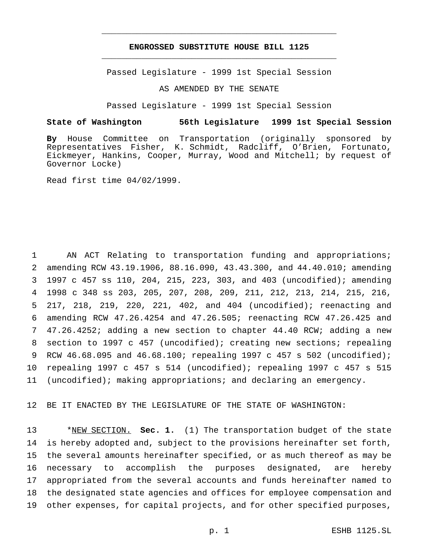#### **ENGROSSED SUBSTITUTE HOUSE BILL 1125** \_\_\_\_\_\_\_\_\_\_\_\_\_\_\_\_\_\_\_\_\_\_\_\_\_\_\_\_\_\_\_\_\_\_\_\_\_\_\_\_\_\_\_\_\_\_\_

\_\_\_\_\_\_\_\_\_\_\_\_\_\_\_\_\_\_\_\_\_\_\_\_\_\_\_\_\_\_\_\_\_\_\_\_\_\_\_\_\_\_\_\_\_\_\_

Passed Legislature - 1999 1st Special Session

AS AMENDED BY THE SENATE

Passed Legislature - 1999 1st Special Session

#### **State of Washington 56th Legislature 1999 1st Special Session**

**By** House Committee on Transportation (originally sponsored by Representatives Fisher, K. Schmidt, Radcliff, O'Brien, Fortunato, Eickmeyer, Hankins, Cooper, Murray, Wood and Mitchell; by request of Governor Locke)

Read first time 04/02/1999.

 AN ACT Relating to transportation funding and appropriations; amending RCW 43.19.1906, 88.16.090, 43.43.300, and 44.40.010; amending 1997 c 457 ss 110, 204, 215, 223, 303, and 403 (uncodified); amending 1998 c 348 ss 203, 205, 207, 208, 209, 211, 212, 213, 214, 215, 216, 217, 218, 219, 220, 221, 402, and 404 (uncodified); reenacting and amending RCW 47.26.4254 and 47.26.505; reenacting RCW 47.26.425 and 47.26.4252; adding a new section to chapter 44.40 RCW; adding a new section to 1997 c 457 (uncodified); creating new sections; repealing RCW 46.68.095 and 46.68.100; repealing 1997 c 457 s 502 (uncodified); repealing 1997 c 457 s 514 (uncodified); repealing 1997 c 457 s 515 (uncodified); making appropriations; and declaring an emergency.

12 BE IT ENACTED BY THE LEGISLATURE OF THE STATE OF WASHINGTON:

 \*NEW SECTION. **Sec. 1.** (1) The transportation budget of the state is hereby adopted and, subject to the provisions hereinafter set forth, the several amounts hereinafter specified, or as much thereof as may be necessary to accomplish the purposes designated, are hereby appropriated from the several accounts and funds hereinafter named to the designated state agencies and offices for employee compensation and other expenses, for capital projects, and for other specified purposes,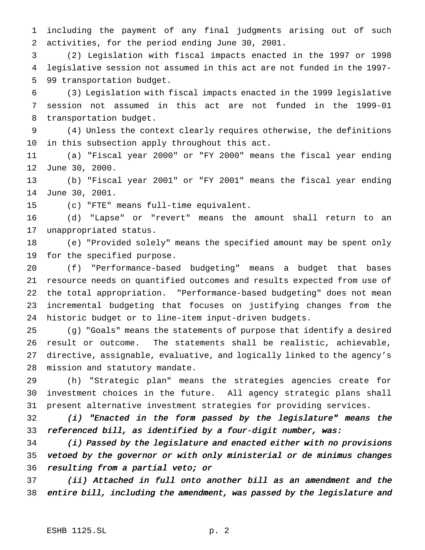including the payment of any final judgments arising out of such activities, for the period ending June 30, 2001.

 (2) Legislation with fiscal impacts enacted in the 1997 or 1998 legislative session not assumed in this act are not funded in the 1997- 99 transportation budget.

 (3) Legislation with fiscal impacts enacted in the 1999 legislative session not assumed in this act are not funded in the 1999-01 transportation budget.

 (4) Unless the context clearly requires otherwise, the definitions in this subsection apply throughout this act.

 (a) "Fiscal year 2000" or "FY 2000" means the fiscal year ending June 30, 2000.

 (b) "Fiscal year 2001" or "FY 2001" means the fiscal year ending June 30, 2001.

(c) "FTE" means full-time equivalent.

 (d) "Lapse" or "revert" means the amount shall return to an unappropriated status.

 (e) "Provided solely" means the specified amount may be spent only for the specified purpose.

 (f) "Performance-based budgeting" means a budget that bases resource needs on quantified outcomes and results expected from use of the total appropriation. "Performance-based budgeting" does not mean incremental budgeting that focuses on justifying changes from the historic budget or to line-item input-driven budgets.

 (g) "Goals" means the statements of purpose that identify a desired result or outcome. The statements shall be realistic, achievable, directive, assignable, evaluative, and logically linked to the agency's mission and statutory mandate.

 (h) "Strategic plan" means the strategies agencies create for investment choices in the future. All agency strategic plans shall present alternative investment strategies for providing services.

 (i) "Enacted in the form passed by the legislature" means the referenced bill, as identified by <sup>a</sup> four-digit number, was:

 (i) Passed by the legislature and enacted either with no provisions vetoed by the governor or with only ministerial or de minimus changes resulting from <sup>a</sup> partial veto; or

 (ii) Attached in full onto another bill as an amendment and the entire bill, including the amendment, was passed by the legislature and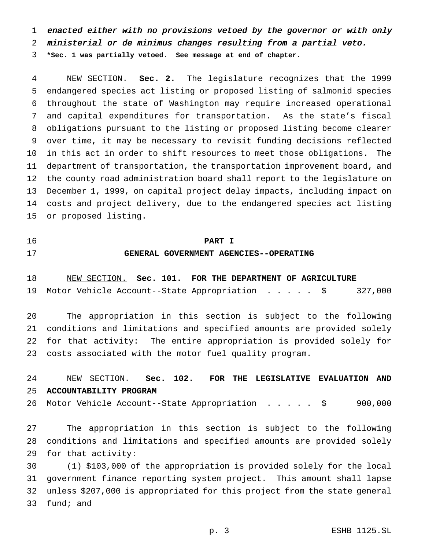enacted either with no provisions vetoed by the governor or with only

ministerial or de minimus changes resulting from <sup>a</sup> partial veto.

**\*Sec. 1 was partially vetoed. See message at end of chapter.**

 NEW SECTION. **Sec. 2.** The legislature recognizes that the 1999 endangered species act listing or proposed listing of salmonid species throughout the state of Washington may require increased operational and capital expenditures for transportation. As the state's fiscal obligations pursuant to the listing or proposed listing become clearer over time, it may be necessary to revisit funding decisions reflected in this act in order to shift resources to meet those obligations. The department of transportation, the transportation improvement board, and the county road administration board shall report to the legislature on December 1, 1999, on capital project delay impacts, including impact on costs and project delivery, due to the endangered species act listing or proposed listing.

## **PART I GENERAL GOVERNMENT AGENCIES--OPERATING**

 NEW SECTION. **Sec. 101. FOR THE DEPARTMENT OF AGRICULTURE** Motor Vehicle Account--State Appropriation ..... \$ 327,000

 The appropriation in this section is subject to the following conditions and limitations and specified amounts are provided solely for that activity: The entire appropriation is provided solely for costs associated with the motor fuel quality program.

## NEW SECTION. **Sec. 102. FOR THE LEGISLATIVE EVALUATION AND ACCOUNTABILITY PROGRAM**

26 Motor Vehicle Account--State Appropriation . . . . \$ 900,000

 The appropriation in this section is subject to the following conditions and limitations and specified amounts are provided solely for that activity:

 (1) \$103,000 of the appropriation is provided solely for the local government finance reporting system project. This amount shall lapse unless \$207,000 is appropriated for this project from the state general fund; and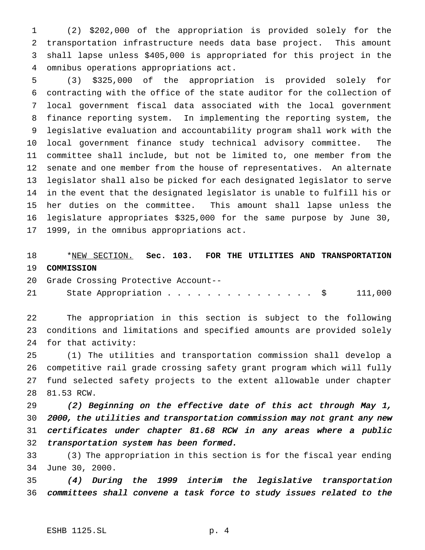(2) \$202,000 of the appropriation is provided solely for the transportation infrastructure needs data base project. This amount shall lapse unless \$405,000 is appropriated for this project in the omnibus operations appropriations act.

 (3) \$325,000 of the appropriation is provided solely for contracting with the office of the state auditor for the collection of local government fiscal data associated with the local government finance reporting system. In implementing the reporting system, the legislative evaluation and accountability program shall work with the local government finance study technical advisory committee. The committee shall include, but not be limited to, one member from the senate and one member from the house of representatives. An alternate legislator shall also be picked for each designated legislator to serve in the event that the designated legislator is unable to fulfill his or her duties on the committee. This amount shall lapse unless the legislature appropriates \$325,000 for the same purpose by June 30, 1999, in the omnibus appropriations act.

## \*NEW SECTION. **Sec. 103. FOR THE UTILITIES AND TRANSPORTATION COMMISSION**

Grade Crossing Protective Account--

21 State Appropriation . . . . . . . . . . . . . . \$ 111,000

 The appropriation in this section is subject to the following conditions and limitations and specified amounts are provided solely for that activity:

 (1) The utilities and transportation commission shall develop a competitive rail grade crossing safety grant program which will fully fund selected safety projects to the extent allowable under chapter 81.53 RCW.

 (2) Beginning on the effective date of this act through May 1, 2000, the utilities and transportation commission may not grant any new certificates under chapter 81.68 RCW in any areas where <sup>a</sup> public transportation system has been formed.

 (3) The appropriation in this section is for the fiscal year ending June 30, 2000.

 (4) During the <sup>1999</sup> interim the legislative transportation committees shall convene <sup>a</sup> task force to study issues related to the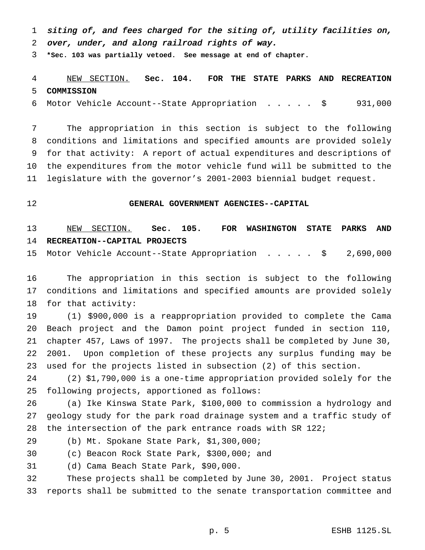siting of, and fees charged for the siting of, utility facilities on, over, under, and along railroad rights of way.

**\*Sec. 103 was partially vetoed. See message at end of chapter.**

# NEW SECTION. **Sec. 104. FOR THE STATE PARKS AND RECREATION COMMISSION**

Motor Vehicle Account--State Appropriation ..... \$ 931,000

 The appropriation in this section is subject to the following conditions and limitations and specified amounts are provided solely for that activity: A report of actual expenditures and descriptions of the expenditures from the motor vehicle fund will be submitted to the legislature with the governor's 2001-2003 biennial budget request.

#### **GENERAL GOVERNMENT AGENCIES--CAPITAL**

 NEW SECTION. **Sec. 105. FOR WASHINGTON STATE PARKS AND RECREATION--CAPITAL PROJECTS**

Motor Vehicle Account--State Appropriation ..... \$ 2,690,000

 The appropriation in this section is subject to the following conditions and limitations and specified amounts are provided solely for that activity:

 (1) \$900,000 is a reappropriation provided to complete the Cama Beach project and the Damon point project funded in section 110, chapter 457, Laws of 1997. The projects shall be completed by June 30, 2001. Upon completion of these projects any surplus funding may be used for the projects listed in subsection (2) of this section.

 (2) \$1,790,000 is a one-time appropriation provided solely for the following projects, apportioned as follows:

 (a) Ike Kinswa State Park, \$100,000 to commission a hydrology and geology study for the park road drainage system and a traffic study of the intersection of the park entrance roads with SR 122;

(b) Mt. Spokane State Park, \$1,300,000;

(c) Beacon Rock State Park, \$300,000; and

(d) Cama Beach State Park, \$90,000.

 These projects shall be completed by June 30, 2001. Project status reports shall be submitted to the senate transportation committee and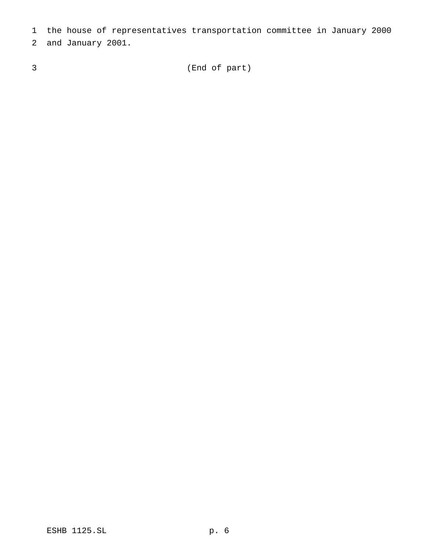the house of representatives transportation committee in January 2000

and January 2001.

(End of part)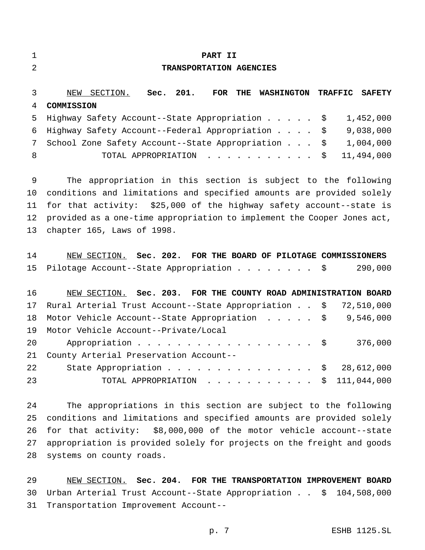| 1              | PART II                                                                            |
|----------------|------------------------------------------------------------------------------------|
| $\overline{2}$ | TRANSPORTATION AGENCIES                                                            |
| 3              | NEW SECTION.<br>Sec. 201.<br>FOR THE WASHINGTON<br><b>TRAFFIC</b><br><b>SAFETY</b> |
| 4              | COMMISSION                                                                         |
| 5              | 1,452,000<br>Highway Safety Account--State Appropriation \$                        |
| 6              | 9,038,000<br>Highway Safety Account--Federal Appropriation<br>\$                   |
| 7              | 1,004,000<br>School Zone Safety Account--State Appropriation<br>\$                 |
| 8              | 11,494,000<br>TOTAL APPROPRIATION<br>\$                                            |
| 9              | The appropriation in this section is subject to the following                      |
| 10             | conditions and limitations and specified amounts are provided solely               |
| 11             | for that activity: \$25,000 of the highway safety account--state is                |
| 12             | provided as a one-time appropriation to implement the Cooper Jones act,            |
| 13             | chapter 165, Laws of 1998.                                                         |
| 14             | NEW SECTION. Sec. 202. FOR THE BOARD OF PILOTAGE COMMISSIONERS                     |
| 15             | 290,000<br>Pilotage Account--State Appropriation $\frac{1}{5}$                     |
| 16             | NEW SECTION. Sec. 203. FOR THE COUNTY ROAD ADMINISTRATION BOARD                    |
| 17             | Rural Arterial Trust Account--State Appropriation \$ 72,510,000                    |
| 18             | 9,546,000<br>Motor Vehicle Account--State Appropriation $\ldots$ \$                |
| 19             | Motor Vehicle Account--Private/Local                                               |
| 20             | 376,000<br>Appropriation<br>\$                                                     |
| 21             | County Arterial Preservation Account--                                             |
| 22             | 28,612,000<br>State Appropriation<br>-Ş                                            |
| 23             | 111,044,000<br>TOTAL APPROPRIATION<br>$\mathsf{S}$                                 |
| 24             | The appropriations in this section are subject to the following                    |
| 25             | conditions and limitations and specified amounts are provided solely               |
| 26             | for that activity: \$8,000,000 of the motor vehicle account--state                 |

 NEW SECTION. **Sec. 204. FOR THE TRANSPORTATION IMPROVEMENT BOARD** Urban Arterial Trust Account--State Appropriation . . \$ 104,508,000 Transportation Improvement Account--

appropriation is provided solely for projects on the freight and goods

systems on county roads.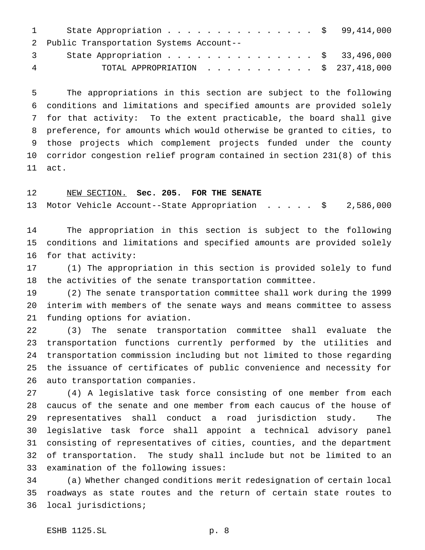|   | 1 State Appropriation \$ 99,414,000           |  |
|---|-----------------------------------------------|--|
|   | 2 Public Transportation Systems Account--     |  |
|   | 3 State Appropriation \$ 33,496,000           |  |
| 4 | TOTAL APPROPRIATION $\ldots$ , \$ 237,418,000 |  |

 The appropriations in this section are subject to the following conditions and limitations and specified amounts are provided solely for that activity: To the extent practicable, the board shall give preference, for amounts which would otherwise be granted to cities, to those projects which complement projects funded under the county corridor congestion relief program contained in section 231(8) of this act.

#### NEW SECTION. **Sec. 205. FOR THE SENATE**

Motor Vehicle Account--State Appropriation ..... \$ 2,586,000

 The appropriation in this section is subject to the following conditions and limitations and specified amounts are provided solely for that activity:

 (1) The appropriation in this section is provided solely to fund the activities of the senate transportation committee.

 (2) The senate transportation committee shall work during the 1999 interim with members of the senate ways and means committee to assess funding options for aviation.

 (3) The senate transportation committee shall evaluate the transportation functions currently performed by the utilities and transportation commission including but not limited to those regarding the issuance of certificates of public convenience and necessity for auto transportation companies.

 (4) A legislative task force consisting of one member from each caucus of the senate and one member from each caucus of the house of representatives shall conduct a road jurisdiction study. The legislative task force shall appoint a technical advisory panel consisting of representatives of cities, counties, and the department of transportation. The study shall include but not be limited to an examination of the following issues:

 (a) Whether changed conditions merit redesignation of certain local roadways as state routes and the return of certain state routes to local jurisdictions;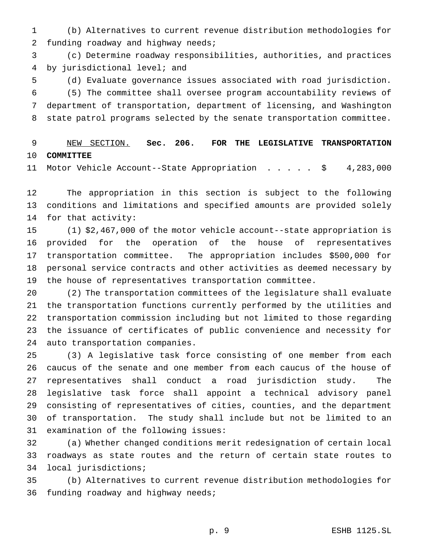(b) Alternatives to current revenue distribution methodologies for 2 funding roadway and highway needs;

 (c) Determine roadway responsibilities, authorities, and practices by jurisdictional level; and

 (d) Evaluate governance issues associated with road jurisdiction. (5) The committee shall oversee program accountability reviews of department of transportation, department of licensing, and Washington state patrol programs selected by the senate transportation committee.

## NEW SECTION. **Sec. 206. FOR THE LEGISLATIVE TRANSPORTATION COMMITTEE**

Motor Vehicle Account--State Appropriation ..... \$ 4,283,000

 The appropriation in this section is subject to the following conditions and limitations and specified amounts are provided solely for that activity:

 (1) \$2,467,000 of the motor vehicle account--state appropriation is provided for the operation of the house of representatives transportation committee. The appropriation includes \$500,000 for personal service contracts and other activities as deemed necessary by the house of representatives transportation committee.

 (2) The transportation committees of the legislature shall evaluate the transportation functions currently performed by the utilities and transportation commission including but not limited to those regarding the issuance of certificates of public convenience and necessity for auto transportation companies.

 (3) A legislative task force consisting of one member from each caucus of the senate and one member from each caucus of the house of representatives shall conduct a road jurisdiction study. The legislative task force shall appoint a technical advisory panel consisting of representatives of cities, counties, and the department of transportation. The study shall include but not be limited to an examination of the following issues:

 (a) Whether changed conditions merit redesignation of certain local roadways as state routes and the return of certain state routes to local jurisdictions;

 (b) Alternatives to current revenue distribution methodologies for funding roadway and highway needs;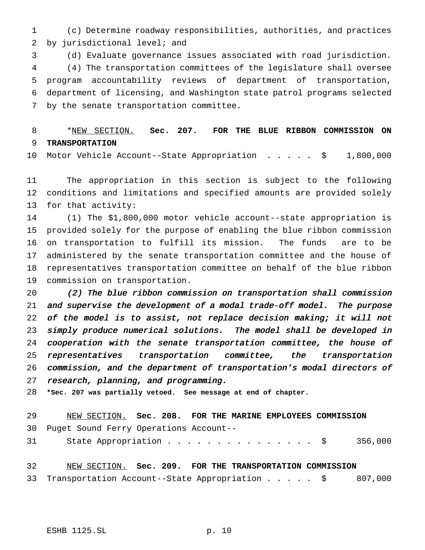(c) Determine roadway responsibilities, authorities, and practices by jurisdictional level; and

 (d) Evaluate governance issues associated with road jurisdiction. (4) The transportation committees of the legislature shall oversee program accountability reviews of department of transportation, department of licensing, and Washington state patrol programs selected by the senate transportation committee.

 \*NEW SECTION. **Sec. 207. FOR THE BLUE RIBBON COMMISSION ON TRANSPORTATION**

Motor Vehicle Account--State Appropriation ..... \$ 1,800,000

 The appropriation in this section is subject to the following conditions and limitations and specified amounts are provided solely for that activity:

 (1) The \$1,800,000 motor vehicle account--state appropriation is provided solely for the purpose of enabling the blue ribbon commission on transportation to fulfill its mission. The funds are to be administered by the senate transportation committee and the house of representatives transportation committee on behalf of the blue ribbon commission on transportation.

 (2) The blue ribbon commission on transportation shall commission and supervise the development of <sup>a</sup> modal trade-off model. The purpose of the model is to assist, not replace decision making; it will not simply produce numerical solutions. The model shall be developed in cooperation with the senate transportation committee, the house of representatives transportation committee, the transportation commission, and the department of transportation's modal directors of research, planning, and programming.

**\*Sec. 207 was partially vetoed. See message at end of chapter.**

| 29              | NEW SECTION. Sec. 208. FOR THE MARINE EMPLOYEES COMMISSION |  |  |  |  |  |
|-----------------|------------------------------------------------------------|--|--|--|--|--|
|                 | 30 Puget Sound Ferry Operations Account--                  |  |  |  |  |  |
| 31              | State Appropriation \$ 356,000                             |  |  |  |  |  |
|                 |                                                            |  |  |  |  |  |
| 32 <sup>°</sup> | NEW SECTION. Sec. 209. FOR THE TRANSPORTATION COMMISSION   |  |  |  |  |  |
|                 | 33 Transportation Account--State Appropriation \$ 807,000  |  |  |  |  |  |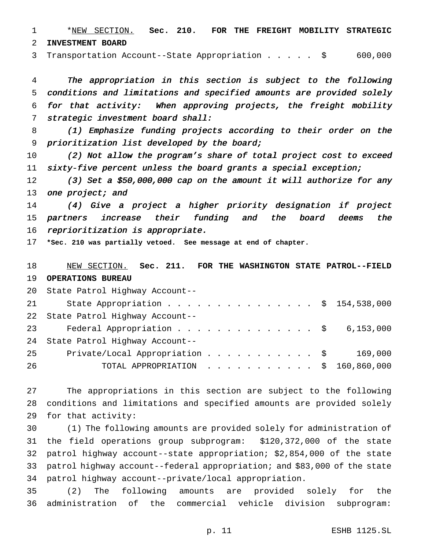\*NEW SECTION. **Sec. 210. FOR THE FREIGHT MOBILITY STRATEGIC INVESTMENT BOARD**

Transportation Account--State Appropriation..... \$ 600,000

 The appropriation in this section is subject to the following conditions and limitations and specified amounts are provided solely for that activity: When approving projects, the freight mobility strategic investment board shall:

 (1) Emphasize funding projects according to their order on the prioritization list developed by the board;

 (2) Not allow the program's share of total project cost to exceed sixty-five percent unless the board grants <sup>a</sup> special exception;

12 (3) Set a \$50,000,000 cap on the amount it will authorize for any 13 one project; and

 (4) Give <sup>a</sup> project <sup>a</sup> higher priority designation if project partners increase their funding and the board deems the reprioritization is appropriate.

**\*Sec. 210 was partially vetoed. See message at end of chapter.**

 NEW SECTION. **Sec. 211. FOR THE WASHINGTON STATE PATROL--FIELD OPERATIONS BUREAU**

|    | 20 State Patrol Highway Account--                   |  |  |  |  |  |  |  |
|----|-----------------------------------------------------|--|--|--|--|--|--|--|
| 21 | State Appropriation \$ 154,538,000                  |  |  |  |  |  |  |  |
|    | 22 State Patrol Highway Account--                   |  |  |  |  |  |  |  |
|    | 23 and $\sim$<br>Federal Appropriation \$ 6,153,000 |  |  |  |  |  |  |  |
|    | 24 State Patrol Highway Account--                   |  |  |  |  |  |  |  |
| 25 | Private/Local Appropriation \$ 169,000              |  |  |  |  |  |  |  |
| 26 | TOTAL APPROPRIATION $\ldots$ , \$ 160,860,000       |  |  |  |  |  |  |  |

 The appropriations in this section are subject to the following conditions and limitations and specified amounts are provided solely for that activity:

 (1) The following amounts are provided solely for administration of the field operations group subprogram: \$120,372,000 of the state patrol highway account--state appropriation; \$2,854,000 of the state patrol highway account--federal appropriation; and \$83,000 of the state patrol highway account--private/local appropriation.

 (2) The following amounts are provided solely for the administration of the commercial vehicle division subprogram: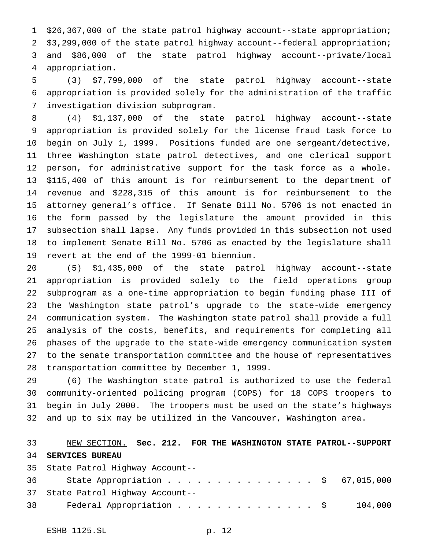\$26,367,000 of the state patrol highway account--state appropriation; \$3,299,000 of the state patrol highway account--federal appropriation; and \$86,000 of the state patrol highway account--private/local appropriation.

 (3) \$7,799,000 of the state patrol highway account--state appropriation is provided solely for the administration of the traffic investigation division subprogram.

 (4) \$1,137,000 of the state patrol highway account--state appropriation is provided solely for the license fraud task force to begin on July 1, 1999. Positions funded are one sergeant/detective, three Washington state patrol detectives, and one clerical support person, for administrative support for the task force as a whole. \$115,400 of this amount is for reimbursement to the department of revenue and \$228,315 of this amount is for reimbursement to the attorney general's office. If Senate Bill No. 5706 is not enacted in the form passed by the legislature the amount provided in this subsection shall lapse. Any funds provided in this subsection not used to implement Senate Bill No. 5706 as enacted by the legislature shall revert at the end of the 1999-01 biennium.

 (5) \$1,435,000 of the state patrol highway account--state appropriation is provided solely to the field operations group subprogram as a one-time appropriation to begin funding phase III of the Washington state patrol's upgrade to the state-wide emergency communication system. The Washington state patrol shall provide a full analysis of the costs, benefits, and requirements for completing all phases of the upgrade to the state-wide emergency communication system to the senate transportation committee and the house of representatives transportation committee by December 1, 1999.

 (6) The Washington state patrol is authorized to use the federal community-oriented policing program (COPS) for 18 COPS troopers to begin in July 2000. The troopers must be used on the state's highways and up to six may be utilized in the Vancouver, Washington area.

## NEW SECTION. **Sec. 212. FOR THE WASHINGTON STATE PATROL--SUPPORT SERVICES BUREAU** State Patrol Highway Account--

|    | <b>SS DEACE LACLUL HIGHWAY ACCOUNC</b> |         |
|----|----------------------------------------|---------|
|    | 36 State Appropriation \$ 67,015,000   |         |
|    | 37 State Patrol Highway Account--      |         |
| 38 | Federal Appropriation \$               | 104,000 |
|    |                                        |         |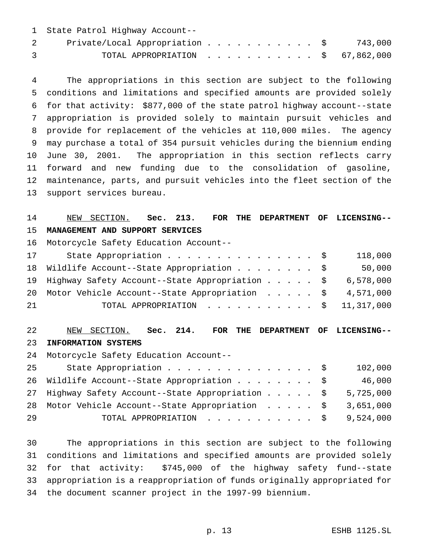| 1 State Patrol Highway Account--             |  |  |  |  |  |  |  |
|----------------------------------------------|--|--|--|--|--|--|--|
| Private/Local Appropriation \$ 743,000       |  |  |  |  |  |  |  |
| TOTAL APPROPRIATION $\ldots$ , \$ 67,862,000 |  |  |  |  |  |  |  |

 The appropriations in this section are subject to the following conditions and limitations and specified amounts are provided solely for that activity: \$877,000 of the state patrol highway account--state appropriation is provided solely to maintain pursuit vehicles and provide for replacement of the vehicles at 110,000 miles. The agency may purchase a total of 354 pursuit vehicles during the biennium ending June 30, 2001. The appropriation in this section reflects carry forward and new funding due to the consolidation of gasoline, maintenance, parts, and pursuit vehicles into the fleet section of the support services bureau.

#### NEW SECTION. **Sec. 213. FOR THE DEPARTMENT OF LICENSING-- MANAGEMENT AND SUPPORT SERVICES**

Motorcycle Safety Education Account--

| 17  | State Appropriation \$                                      |  |  |  | 118,000 |
|-----|-------------------------------------------------------------|--|--|--|---------|
|     | 18 Wildlife Account--State Appropriation \$                 |  |  |  | 50,000  |
|     | 19 Highway Safety Account--State Appropriation \$ 6,578,000 |  |  |  |         |
|     | 20 Motor Vehicle Account--State Appropriation \$ 4,571,000  |  |  |  |         |
| -21 | TOTAL APPROPRIATION $\ldots$ , \$ 11,317,000                |  |  |  |         |

## NEW SECTION. **Sec. 214. FOR THE DEPARTMENT OF LICENSING-- INFORMATION SYSTEMS**

Motorcycle Safety Education Account--

| 25 | State Appropriation \$                                      |  |  |  | 102,000 |
|----|-------------------------------------------------------------|--|--|--|---------|
|    | 26 Wildlife Account--State Appropriation \$                 |  |  |  | 46,000  |
|    | 27 Highway Safety Account--State Appropriation \$ 5,725,000 |  |  |  |         |
|    | 28 Motor Vehicle Account--State Appropriation \$ 3,651,000  |  |  |  |         |
| 29 | TOTAL APPROPRIATION $\ldots$ , \$9,524,000                  |  |  |  |         |

 The appropriations in this section are subject to the following conditions and limitations and specified amounts are provided solely for that activity: \$745,000 of the highway safety fund--state appropriation is a reappropriation of funds originally appropriated for the document scanner project in the 1997-99 biennium.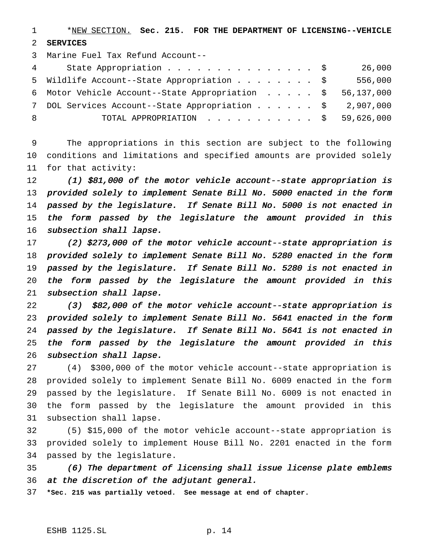\*NEW SECTION. **Sec. 215. FOR THE DEPARTMENT OF LICENSING--VEHICLE SERVICES**

Marine Fuel Tax Refund Account--

| $4\degree$ | State Appropriation \$                                     |  |  | 26,000  |
|------------|------------------------------------------------------------|--|--|---------|
|            | 5 Wildlife Account--State Appropriation \$                 |  |  | 556,000 |
|            | 6 Motor Vehicle Account--State Appropriation \$ 56,137,000 |  |  |         |
|            | 7 DOL Services Account--State Appropriation \$ 2,907,000   |  |  |         |
| -8         | TOTAL APPROPRIATION $\ldots$ , \$ 59,626,000               |  |  |         |

 The appropriations in this section are subject to the following conditions and limitations and specified amounts are provided solely for that activity:

 (1) \$81,000 of the motor vehicle account--state appropriation is provided solely to implement Senate Bill No. <sup>5000</sup> enacted in the form passed by the legislature. If Senate Bill No. <sup>5000</sup> is not enacted in the form passed by the legislature the amount provided in this 16 subsection shall lapse.

 (2) \$273,000 of the motor vehicle account--state appropriation is provided solely to implement Senate Bill No. <sup>5280</sup> enacted in the form passed by the legislature. If Senate Bill No. <sup>5280</sup> is not enacted in the form passed by the legislature the amount provided in this subsection shall lapse.

 (3) \$82,000 of the motor vehicle account--state appropriation is provided solely to implement Senate Bill No. <sup>5641</sup> enacted in the form passed by the legislature. If Senate Bill No. <sup>5641</sup> is not enacted in the form passed by the legislature the amount provided in this subsection shall lapse.

 (4) \$300,000 of the motor vehicle account--state appropriation is provided solely to implement Senate Bill No. 6009 enacted in the form passed by the legislature. If Senate Bill No. 6009 is not enacted in the form passed by the legislature the amount provided in this subsection shall lapse.

 (5) \$15,000 of the motor vehicle account--state appropriation is provided solely to implement House Bill No. 2201 enacted in the form passed by the legislature.

 (6) The department of licensing shall issue license plate emblems at the discretion of the adjutant general.

**\*Sec. 215 was partially vetoed. See message at end of chapter.**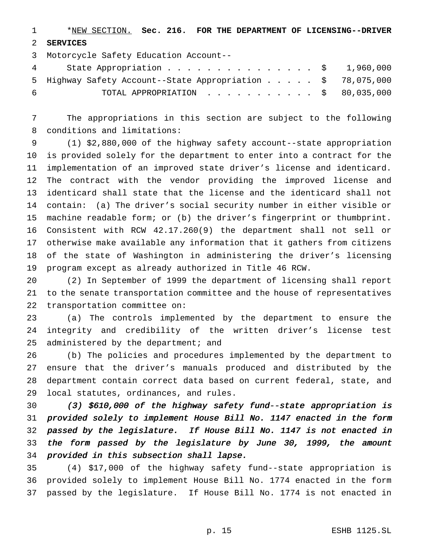\*NEW SECTION. **Sec. 216. FOR THE DEPARTMENT OF LICENSING--DRIVER SERVICES**

 Motorcycle Safety Education Account-- 4 State Appropriation . . . . . . . . . . . . . . \$ 1,960,000 Highway Safety Account--State Appropriation..... \$ 78,075,000 TOTAL APPROPRIATION ........... \$ 80,035,000

 The appropriations in this section are subject to the following conditions and limitations:

 (1) \$2,880,000 of the highway safety account--state appropriation is provided solely for the department to enter into a contract for the implementation of an improved state driver's license and identicard. The contract with the vendor providing the improved license and identicard shall state that the license and the identicard shall not contain: (a) The driver's social security number in either visible or machine readable form; or (b) the driver's fingerprint or thumbprint. Consistent with RCW 42.17.260(9) the department shall not sell or otherwise make available any information that it gathers from citizens of the state of Washington in administering the driver's licensing program except as already authorized in Title 46 RCW.

 (2) In September of 1999 the department of licensing shall report to the senate transportation committee and the house of representatives transportation committee on:

 (a) The controls implemented by the department to ensure the integrity and credibility of the written driver's license test 25 administered by the department; and

 (b) The policies and procedures implemented by the department to ensure that the driver's manuals produced and distributed by the department contain correct data based on current federal, state, and local statutes, ordinances, and rules.

 (3) \$610,000 of the highway safety fund--state appropriation is provided solely to implement House Bill No. <sup>1147</sup> enacted in the form passed by the legislature. If House Bill No. <sup>1147</sup> is not enacted in the form passed by the legislature by June 30, 1999, the amount provided in this subsection shall lapse.

 (4) \$17,000 of the highway safety fund--state appropriation is provided solely to implement House Bill No. 1774 enacted in the form passed by the legislature. If House Bill No. 1774 is not enacted in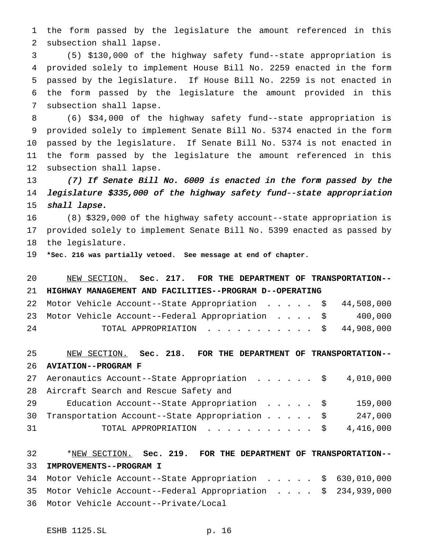the form passed by the legislature the amount referenced in this subsection shall lapse.

 (5) \$130,000 of the highway safety fund--state appropriation is provided solely to implement House Bill No. 2259 enacted in the form passed by the legislature. If House Bill No. 2259 is not enacted in the form passed by the legislature the amount provided in this subsection shall lapse.

 (6) \$34,000 of the highway safety fund--state appropriation is provided solely to implement Senate Bill No. 5374 enacted in the form passed by the legislature. If Senate Bill No. 5374 is not enacted in the form passed by the legislature the amount referenced in this subsection shall lapse.

 (7) If Senate Bill No. <sup>6009</sup> is enacted in the form passed by the legislature \$335,000 of the highway safety fund--state appropriation 15 shall lapse.

 (8) \$329,000 of the highway safety account--state appropriation is provided solely to implement Senate Bill No. 5399 enacted as passed by the legislature.

**\*Sec. 216 was partially vetoed. See message at end of chapter.**

 NEW SECTION. **Sec. 217. FOR THE DEPARTMENT OF TRANSPORTATION-- HIGHWAY MANAGEMENT AND FACILITIES--PROGRAM D--OPERATING** Motor Vehicle Account--State Appropriation ..... \$ 44,508,000 Motor Vehicle Account--Federal Appropriation .... \$ 400,000 TOTAL APPROPRIATION ........... \$ 44,908,000

 NEW SECTION. **Sec. 218. FOR THE DEPARTMENT OF TRANSPORTATION-- AVIATION--PROGRAM F**

|    | 27 Aeronautics Account--State Appropriation \$ 4,010,000 |  |  |  |         |
|----|----------------------------------------------------------|--|--|--|---------|
|    | 28 Aircraft Search and Rescue Safety and                 |  |  |  |         |
| 29 |                                                          |  |  |  | 159,000 |
|    | 30 Transportation Account--State Appropriation \$        |  |  |  | 247,000 |
| 31 | TOTAL APPROPRIATION $\ldots$ , \$ 4,416,000              |  |  |  |         |

## \*NEW SECTION. **Sec. 219. FOR THE DEPARTMENT OF TRANSPORTATION-- IMPROVEMENTS--PROGRAM I**

 Motor Vehicle Account--State Appropriation ..... \$ 630,010,000 Motor Vehicle Account--Federal Appropriation . . . . \$ 234,939,000 Motor Vehicle Account--Private/Local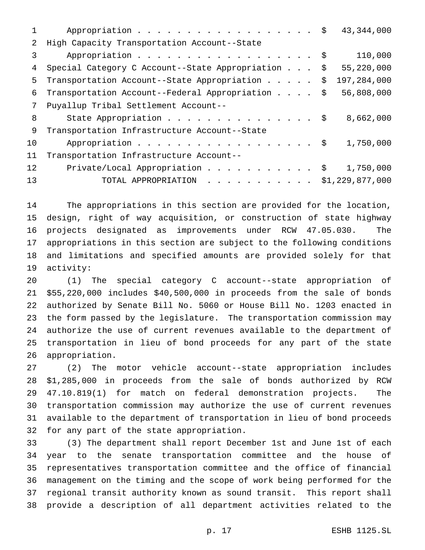|    | 43,344,000<br>Appropriation $\frac{1}{2}$                        |
|----|------------------------------------------------------------------|
| 2  | High Capacity Transportation Account--State                      |
| 3  | 110,000<br>Appropriation \$                                      |
| 4  | Special Category C Account--State Appropriation \$<br>55,220,000 |
| 5  | 197,284,000<br>Transportation Account--State Appropriation<br>\$ |
| 6  | Transportation Account--Federal Appropriation \$<br>56,808,000   |
| 7  | Puyallup Tribal Settlement Account--                             |
| 8  | State Appropriation \$<br>8,662,000                              |
| 9  | Transportation Infrastructure Account--State                     |
| 10 | Appropriation \$<br>1,750,000                                    |
| 11 | Transportation Infrastructure Account--                          |
| 12 | Private/Local Appropriation \$<br>1,750,000                      |
| 13 | TOTAL APPROPRIATION $\ldots$ , \$1,229,877,000                   |

 The appropriations in this section are provided for the location, design, right of way acquisition, or construction of state highway projects designated as improvements under RCW 47.05.030. The appropriations in this section are subject to the following conditions and limitations and specified amounts are provided solely for that activity:

 (1) The special category C account--state appropriation of \$55,220,000 includes \$40,500,000 in proceeds from the sale of bonds authorized by Senate Bill No. 5060 or House Bill No. 1203 enacted in the form passed by the legislature. The transportation commission may authorize the use of current revenues available to the department of transportation in lieu of bond proceeds for any part of the state appropriation.

 (2) The motor vehicle account--state appropriation includes \$1,285,000 in proceeds from the sale of bonds authorized by RCW 47.10.819(1) for match on federal demonstration projects. The transportation commission may authorize the use of current revenues available to the department of transportation in lieu of bond proceeds for any part of the state appropriation.

 (3) The department shall report December 1st and June 1st of each year to the senate transportation committee and the house of representatives transportation committee and the office of financial management on the timing and the scope of work being performed for the regional transit authority known as sound transit. This report shall provide a description of all department activities related to the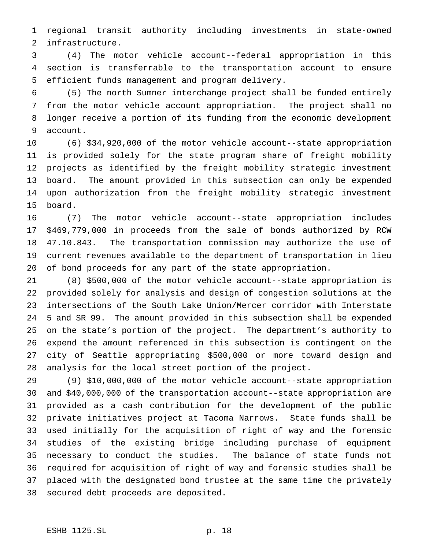regional transit authority including investments in state-owned infrastructure.

 (4) The motor vehicle account--federal appropriation in this section is transferrable to the transportation account to ensure efficient funds management and program delivery.

 (5) The north Sumner interchange project shall be funded entirely from the motor vehicle account appropriation. The project shall no longer receive a portion of its funding from the economic development account.

 (6) \$34,920,000 of the motor vehicle account--state appropriation is provided solely for the state program share of freight mobility projects as identified by the freight mobility strategic investment board. The amount provided in this subsection can only be expended upon authorization from the freight mobility strategic investment board.

 (7) The motor vehicle account--state appropriation includes \$469,779,000 in proceeds from the sale of bonds authorized by RCW 47.10.843. The transportation commission may authorize the use of current revenues available to the department of transportation in lieu of bond proceeds for any part of the state appropriation.

 (8) \$500,000 of the motor vehicle account--state appropriation is provided solely for analysis and design of congestion solutions at the intersections of the South Lake Union/Mercer corridor with Interstate 5 and SR 99. The amount provided in this subsection shall be expended on the state's portion of the project. The department's authority to expend the amount referenced in this subsection is contingent on the city of Seattle appropriating \$500,000 or more toward design and analysis for the local street portion of the project.

 (9) \$10,000,000 of the motor vehicle account--state appropriation and \$40,000,000 of the transportation account--state appropriation are provided as a cash contribution for the development of the public private initiatives project at Tacoma Narrows. State funds shall be used initially for the acquisition of right of way and the forensic studies of the existing bridge including purchase of equipment necessary to conduct the studies. The balance of state funds not required for acquisition of right of way and forensic studies shall be placed with the designated bond trustee at the same time the privately secured debt proceeds are deposited.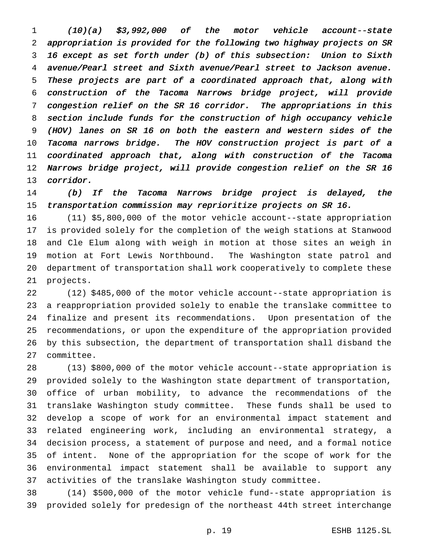(10)(a) \$3,992,000 of the motor vehicle account--state appropriation is provided for the following two highway projects on SR <sup>16</sup> except as set forth under (b) of this subsection: Union to Sixth avenue/Pearl street and Sixth avenue/Pearl street to Jackson avenue. These projects are part of <sup>a</sup> coordinated approach that, along with construction of the Tacoma Narrows bridge project, will provide congestion relief on the SR <sup>16</sup> corridor. The appropriations in this section include funds for the construction of high occupancy vehicle (HOV) lanes on SR <sup>16</sup> on both the eastern and western sides of the Tacoma narrows bridge. The HOV construction project is part of <sup>a</sup> coordinated approach that, along with construction of the Tacoma Narrows bridge project, will provide congestion relief on the SR <sup>16</sup> corridor.

 (b) If the Tacoma Narrows bridge project is delayed, the transportation commission may reprioritize projects on SR 16.

 (11) \$5,800,000 of the motor vehicle account--state appropriation is provided solely for the completion of the weigh stations at Stanwood and Cle Elum along with weigh in motion at those sites an weigh in motion at Fort Lewis Northbound. The Washington state patrol and department of transportation shall work cooperatively to complete these projects.

 (12) \$485,000 of the motor vehicle account--state appropriation is a reappropriation provided solely to enable the translake committee to finalize and present its recommendations. Upon presentation of the recommendations, or upon the expenditure of the appropriation provided by this subsection, the department of transportation shall disband the committee.

 (13) \$800,000 of the motor vehicle account--state appropriation is provided solely to the Washington state department of transportation, office of urban mobility, to advance the recommendations of the translake Washington study committee. These funds shall be used to develop a scope of work for an environmental impact statement and related engineering work, including an environmental strategy, a decision process, a statement of purpose and need, and a formal notice of intent. None of the appropriation for the scope of work for the environmental impact statement shall be available to support any activities of the translake Washington study committee.

 (14) \$500,000 of the motor vehicle fund--state appropriation is provided solely for predesign of the northeast 44th street interchange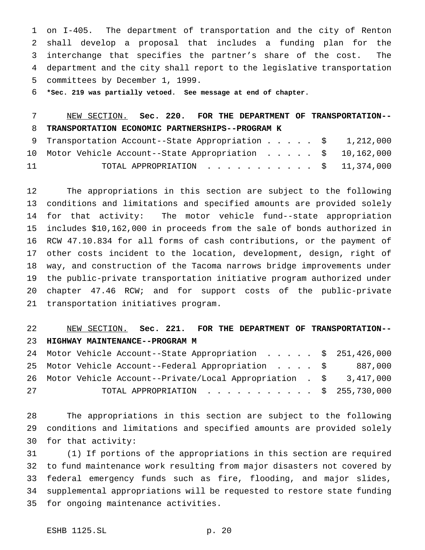on I-405. The department of transportation and the city of Renton shall develop a proposal that includes a funding plan for the interchange that specifies the partner's share of the cost. The department and the city shall report to the legislative transportation committees by December 1, 1999.

**\*Sec. 219 was partially vetoed. See message at end of chapter.**

#### NEW SECTION. **Sec. 220. FOR THE DEPARTMENT OF TRANSPORTATION-- TRANSPORTATION ECONOMIC PARTNERSHIPS--PROGRAM K**

|    | 9 Transportation Account--State Appropriation \$ 1,212,000  |  |  |  |  |
|----|-------------------------------------------------------------|--|--|--|--|
|    | 10 Motor Vehicle Account--State Appropriation \$ 10,162,000 |  |  |  |  |
| 11 | TOTAL APPROPRIATION $\ldots$ , \$ 11,374,000                |  |  |  |  |

 The appropriations in this section are subject to the following conditions and limitations and specified amounts are provided solely for that activity: The motor vehicle fund--state appropriation includes \$10,162,000 in proceeds from the sale of bonds authorized in RCW 47.10.834 for all forms of cash contributions, or the payment of other costs incident to the location, development, design, right of way, and construction of the Tacoma narrows bridge improvements under the public-private transportation initiative program authorized under chapter 47.46 RCW; and for support costs of the public-private transportation initiatives program.

## NEW SECTION. **Sec. 221. FOR THE DEPARTMENT OF TRANSPORTATION-- HIGHWAY MAINTENANCE--PROGRAM M**

|    | 24 Motor Vehicle Account--State Appropriation \$ 251,426,000         |  |  |  |
|----|----------------------------------------------------------------------|--|--|--|
|    | 25 Motor Vehicle Account--Federal Appropriation \$ 887,000           |  |  |  |
|    | 26 Motor Vehicle Account--Private/Local Appropriation . \$ 3,417,000 |  |  |  |
| 27 | TOTAL APPROPRIATION $\ldots$ , \$ 255,730,000                        |  |  |  |

 The appropriations in this section are subject to the following conditions and limitations and specified amounts are provided solely for that activity:

 (1) If portions of the appropriations in this section are required to fund maintenance work resulting from major disasters not covered by federal emergency funds such as fire, flooding, and major slides, supplemental appropriations will be requested to restore state funding for ongoing maintenance activities.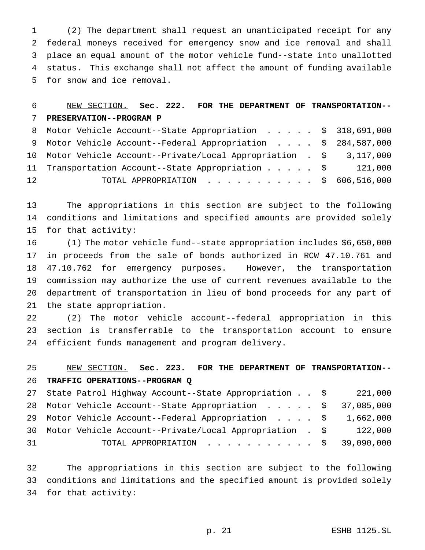(2) The department shall request an unanticipated receipt for any federal moneys received for emergency snow and ice removal and shall place an equal amount of the motor vehicle fund--state into unallotted status. This exchange shall not affect the amount of funding available for snow and ice removal.

#### NEW SECTION. **Sec. 222. FOR THE DEPARTMENT OF TRANSPORTATION-- PRESERVATION--PROGRAM P**

|                 | 8 Motor Vehicle Account--State Appropriation \$ 318,691,000          |  |         |
|-----------------|----------------------------------------------------------------------|--|---------|
|                 | 9 Motor Vehicle Account--Federal Appropriation \$ 284,587,000        |  |         |
|                 | 10 Motor Vehicle Account--Private/Local Appropriation . \$ 3,117,000 |  |         |
|                 | 11 Transportation Account--State Appropriation \$                    |  | 121,000 |
| 12 <sup>°</sup> | TOTAL APPROPRIATION \$ 606,516,000                                   |  |         |

 The appropriations in this section are subject to the following conditions and limitations and specified amounts are provided solely for that activity:

 (1) The motor vehicle fund--state appropriation includes \$6,650,000 in proceeds from the sale of bonds authorized in RCW 47.10.761 and 47.10.762 for emergency purposes. However, the transportation commission may authorize the use of current revenues available to the department of transportation in lieu of bond proceeds for any part of the state appropriation.

 (2) The motor vehicle account--federal appropriation in this section is transferrable to the transportation account to ensure efficient funds management and program delivery.

## NEW SECTION. **Sec. 223. FOR THE DEPARTMENT OF TRANSPORTATION-- TRAFFIC OPERATIONS--PROGRAM Q**

|    | 27 State Patrol Highway Account--State Appropriation \$      |  | 221,000 |
|----|--------------------------------------------------------------|--|---------|
|    | 28 Motor Vehicle Account--State Appropriation \$ 37,085,000  |  |         |
|    | 29 Motor Vehicle Account--Federal Appropriation \$ 1,662,000 |  |         |
|    | 30 Motor Vehicle Account--Private/Local Appropriation . \$   |  | 122,000 |
| 31 | TOTAL APPROPRIATION $\ldots$ , \$ 39,090,000                 |  |         |

 The appropriations in this section are subject to the following conditions and limitations and the specified amount is provided solely for that activity: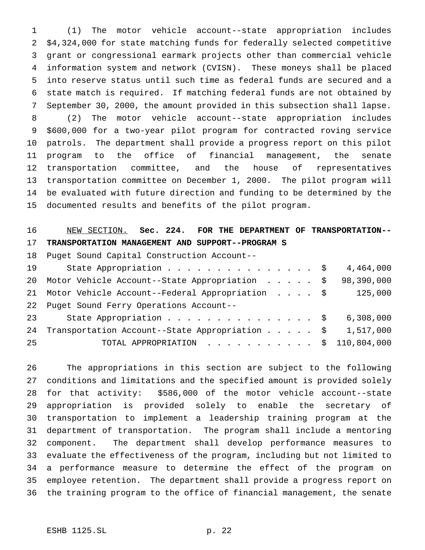(1) The motor vehicle account--state appropriation includes \$4,324,000 for state matching funds for federally selected competitive grant or congressional earmark projects other than commercial vehicle information system and network (CVISN). These moneys shall be placed into reserve status until such time as federal funds are secured and a state match is required. If matching federal funds are not obtained by September 30, 2000, the amount provided in this subsection shall lapse. (2) The motor vehicle account--state appropriation includes \$600,000 for a two-year pilot program for contracted roving service patrols. The department shall provide a progress report on this pilot program to the office of financial management, the senate transportation committee, and the house of representatives transportation committee on December 1, 2000. The pilot program will be evaluated with future direction and funding to be determined by the documented results and benefits of the pilot program.

## NEW SECTION. **Sec. 224. FOR THE DEPARTMENT OF TRANSPORTATION-- TRANSPORTATION MANAGEMENT AND SUPPORT--PROGRAM S**

Puget Sound Capital Construction Account--

| 19 | State Appropriation $\frac{1}{9}$ 4,464,000                         |  |  |  |
|----|---------------------------------------------------------------------|--|--|--|
|    | 20 Motor Vehicle Account--State Appropriation \$ 98,390,000         |  |  |  |
|    | 21 Motor Vehicle Account--Federal Appropriation \$ 125,000          |  |  |  |
|    | 22 Puget Sound Ferry Operations Account--                           |  |  |  |
| 23 | State Appropriation \$ 6,308,000                                    |  |  |  |
| 24 | Transportation Account--State Appropriation $\frac{1}{5}$ 1,517,000 |  |  |  |
| 25 | TOTAL APPROPRIATION $\ldots$ , \$ 110,804,000                       |  |  |  |

 The appropriations in this section are subject to the following conditions and limitations and the specified amount is provided solely for that activity: \$586,000 of the motor vehicle account--state appropriation is provided solely to enable the secretary of transportation to implement a leadership training program at the department of transportation. The program shall include a mentoring component. The department shall develop performance measures to evaluate the effectiveness of the program, including but not limited to a performance measure to determine the effect of the program on employee retention. The department shall provide a progress report on the training program to the office of financial management, the senate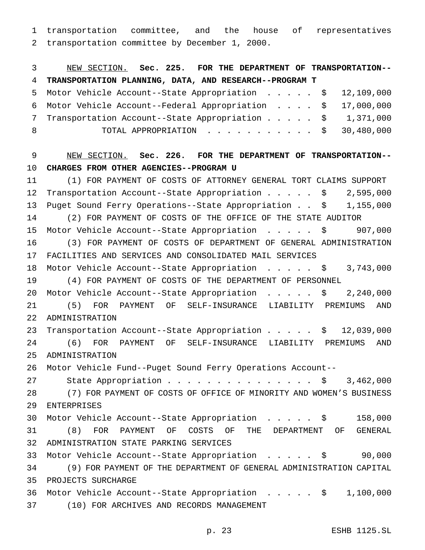transportation committee, and the house of representatives transportation committee by December 1, 2000.

 NEW SECTION. **Sec. 225. FOR THE DEPARTMENT OF TRANSPORTATION-- TRANSPORTATION PLANNING, DATA, AND RESEARCH--PROGRAM T** Motor Vehicle Account--State Appropriation ..... \$ 12,109,000 Motor Vehicle Account--Federal Appropriation .... \$ 17,000,000 7 Transportation Account--State Appropriation . . . . \$ 1,371,000 8 TOTAL APPROPRIATION . . . . . . . . . . \$ 30,480,000 NEW SECTION. **Sec. 226. FOR THE DEPARTMENT OF TRANSPORTATION-- CHARGES FROM OTHER AGENCIES--PROGRAM U** (1) FOR PAYMENT OF COSTS OF ATTORNEY GENERAL TORT CLAIMS SUPPORT 12 Transportation Account--State Appropriation . . . . \$ 2,595,000 Puget Sound Ferry Operations--State Appropriation . . \$ 1,155,000 (2) FOR PAYMENT OF COSTS OF THE OFFICE OF THE STATE AUDITOR Motor Vehicle Account--State Appropriation ..... \$ 907,000 (3) FOR PAYMENT OF COSTS OF DEPARTMENT OF GENERAL ADMINISTRATION FACILITIES AND SERVICES AND CONSOLIDATED MAIL SERVICES Motor Vehicle Account--State Appropriation ..... \$ 3,743,000 (4) FOR PAYMENT OF COSTS OF THE DEPARTMENT OF PERSONNEL 20 Motor Vehicle Account--State Appropriation . . . . . \$ 2,240,000 (5) FOR PAYMENT OF SELF-INSURANCE LIABILITY PREMIUMS AND ADMINISTRATION Transportation Account--State Appropriation..... \$ 12,039,000 (6) FOR PAYMENT OF SELF-INSURANCE LIABILITY PREMIUMS AND ADMINISTRATION Motor Vehicle Fund--Puget Sound Ferry Operations Account-- 27 State Appropriation . . . . . . . . . . . . . . \$ 3,462,000 (7) FOR PAYMENT OF COSTS OF OFFICE OF MINORITY AND WOMEN'S BUSINESS ENTERPRISES Motor Vehicle Account--State Appropriation ..... \$ 158,000 (8) FOR PAYMENT OF COSTS OF THE DEPARTMENT OF GENERAL ADMINISTRATION STATE PARKING SERVICES Motor Vehicle Account--State Appropriation ..... \$ 90,000 (9) FOR PAYMENT OF THE DEPARTMENT OF GENERAL ADMINISTRATION CAPITAL PROJECTS SURCHARGE Motor Vehicle Account--State Appropriation ..... \$ 1,100,000 (10) FOR ARCHIVES AND RECORDS MANAGEMENT

p. 23 ESHB 1125.SL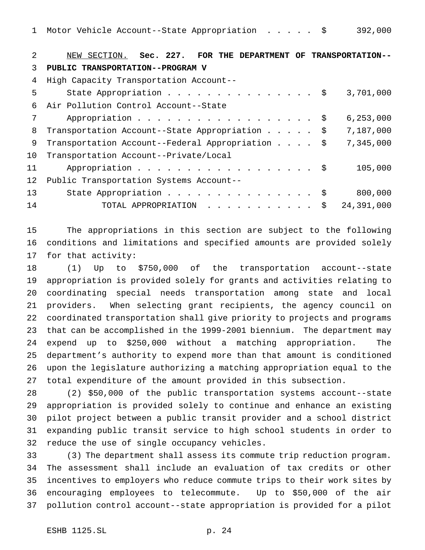| 2  | NEW SECTION. Sec. 227. FOR THE DEPARTMENT OF TRANSPORTATION-- |
|----|---------------------------------------------------------------|
| 3  | PUBLIC TRANSPORTATION--PROGRAM V                              |
| 4  | High Capacity Transportation Account--                        |
| 5  | State Appropriation \$<br>3,701,000                           |
| 6  | Air Pollution Control Account--State                          |
|    | 6, 253, 000<br>Appropriation \$                               |
| 8  | 7,187,000<br>Transportation Account--State Appropriation \$   |
| 9  | 7,345,000<br>Transportation Account--Federal Appropriation \$ |
| 10 | Transportation Account--Private/Local                         |
| 11 | Appropriation \$<br>105,000                                   |
| 12 | Public Transportation Systems Account--                       |
| 13 | State Appropriation \$<br>800,000                             |
| 14 | 24,391,000<br>TOTAL APPROPRIATION \$                          |
|    |                                                               |

 The appropriations in this section are subject to the following conditions and limitations and specified amounts are provided solely for that activity:

 (1) Up to \$750,000 of the transportation account--state appropriation is provided solely for grants and activities relating to coordinating special needs transportation among state and local providers. When selecting grant recipients, the agency council on coordinated transportation shall give priority to projects and programs that can be accomplished in the 1999-2001 biennium. The department may expend up to \$250,000 without a matching appropriation. The department's authority to expend more than that amount is conditioned upon the legislature authorizing a matching appropriation equal to the total expenditure of the amount provided in this subsection.

 (2) \$50,000 of the public transportation systems account--state appropriation is provided solely to continue and enhance an existing pilot project between a public transit provider and a school district expanding public transit service to high school students in order to reduce the use of single occupancy vehicles.

 (3) The department shall assess its commute trip reduction program. The assessment shall include an evaluation of tax credits or other incentives to employers who reduce commute trips to their work sites by encouraging employees to telecommute. Up to \$50,000 of the air pollution control account--state appropriation is provided for a pilot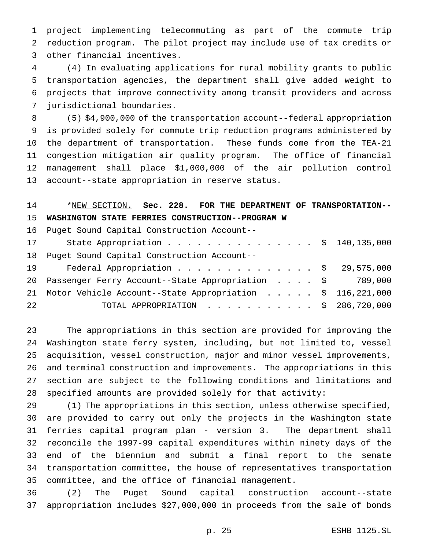project implementing telecommuting as part of the commute trip reduction program. The pilot project may include use of tax credits or other financial incentives.

 (4) In evaluating applications for rural mobility grants to public transportation agencies, the department shall give added weight to projects that improve connectivity among transit providers and across jurisdictional boundaries.

 (5) \$4,900,000 of the transportation account--federal appropriation is provided solely for commute trip reduction programs administered by the department of transportation. These funds come from the TEA-21 congestion mitigation air quality program. The office of financial management shall place \$1,000,000 of the air pollution control account--state appropriation in reserve status.

## \*NEW SECTION. **Sec. 228. FOR THE DEPARTMENT OF TRANSPORTATION-- WASHINGTON STATE FERRIES CONSTRUCTION--PROGRAM W**

Puget Sound Capital Construction Account--

| 17 | State Appropriation \$ 140,135,000                           |  |  |  |
|----|--------------------------------------------------------------|--|--|--|
|    | 18 Puget Sound Capital Construction Account--                |  |  |  |
| 19 | Federal Appropriation \$ 29,575,000                          |  |  |  |
|    | 20 Passenger Ferry Account--State Appropriation \$ 789,000   |  |  |  |
|    | 21 Motor Vehicle Account--State Appropriation \$ 116,221,000 |  |  |  |
| 22 | TOTAL APPROPRIATION $\ldots$ , \$ 286,720,000                |  |  |  |

 The appropriations in this section are provided for improving the Washington state ferry system, including, but not limited to, vessel acquisition, vessel construction, major and minor vessel improvements, and terminal construction and improvements. The appropriations in this section are subject to the following conditions and limitations and specified amounts are provided solely for that activity:

 (1) The appropriations in this section, unless otherwise specified, are provided to carry out only the projects in the Washington state ferries capital program plan - version 3. The department shall reconcile the 1997-99 capital expenditures within ninety days of the end of the biennium and submit a final report to the senate transportation committee, the house of representatives transportation committee, and the office of financial management.

 (2) The Puget Sound capital construction account--state appropriation includes \$27,000,000 in proceeds from the sale of bonds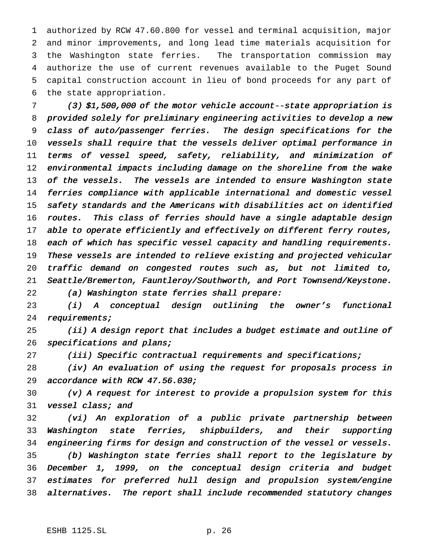authorized by RCW 47.60.800 for vessel and terminal acquisition, major and minor improvements, and long lead time materials acquisition for the Washington state ferries. The transportation commission may authorize the use of current revenues available to the Puget Sound capital construction account in lieu of bond proceeds for any part of the state appropriation.

 (3) \$1,500,000 of the motor vehicle account--state appropriation is provided solely for preliminary engineering activities to develop <sup>a</sup> new class of auto/passenger ferries. The design specifications for the vessels shall require that the vessels deliver optimal performance in terms of vessel speed, safety, reliability, and minimization of environmental impacts including damage on the shoreline from the wake 13 of the vessels. The vessels are intended to ensure Washington state ferries compliance with applicable international and domestic vessel safety standards and the Americans with disabilities act on identified routes. This class of ferries should have <sup>a</sup> single adaptable design 17 able to operate efficiently and effectively on different ferry routes, each of which has specific vessel capacity and handling requirements. These vessels are intended to relieve existing and projected vehicular traffic demand on congested routes such as, but not limited to, Seattle/Bremerton, Fauntleroy/Southworth, and Port Townsend/Keystone. (a) Washington state ferries shall prepare:

 (i) <sup>A</sup> conceptual design outlining the owner's functional requirements;

 (ii) <sup>A</sup> design report that includes <sup>a</sup> budget estimate and outline of 26 specifications and plans;

(iii) Specific contractual requirements and specifications;

 (iv) An evaluation of using the request for proposals process in accordance with RCW 47.56.030;

 (v) <sup>A</sup> request for interest to provide <sup>a</sup> propulsion system for this vessel class; and

 (vi) An exploration of <sup>a</sup> public private partnership between Washington state ferries, shipbuilders, and their supporting 34 engineering firms for design and construction of the vessel or vessels. (b) Washington state ferries shall report to the legislature by December 1, 1999, on the conceptual design criteria and budget estimates for preferred hull design and propulsion system/engine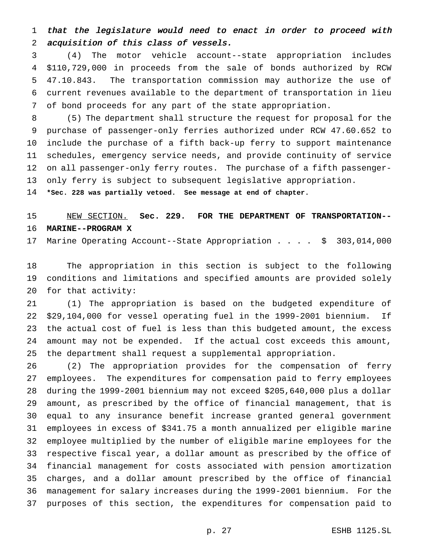that the legislature would need to enact in order to proceed with acquisition of this class of vessels.

 (4) The motor vehicle account--state appropriation includes \$110,729,000 in proceeds from the sale of bonds authorized by RCW 47.10.843. The transportation commission may authorize the use of current revenues available to the department of transportation in lieu of bond proceeds for any part of the state appropriation.

 (5) The department shall structure the request for proposal for the purchase of passenger-only ferries authorized under RCW 47.60.652 to include the purchase of a fifth back-up ferry to support maintenance schedules, emergency service needs, and provide continuity of service on all passenger-only ferry routes. The purchase of a fifth passenger-only ferry is subject to subsequent legislative appropriation.

**\*Sec. 228 was partially vetoed. See message at end of chapter.**

#### NEW SECTION. **Sec. 229. FOR THE DEPARTMENT OF TRANSPORTATION-- MARINE--PROGRAM X**

Marine Operating Account--State Appropriation.... \$ 303,014,000

 The appropriation in this section is subject to the following conditions and limitations and specified amounts are provided solely for that activity:

 (1) The appropriation is based on the budgeted expenditure of \$29,104,000 for vessel operating fuel in the 1999-2001 biennium. If the actual cost of fuel is less than this budgeted amount, the excess amount may not be expended. If the actual cost exceeds this amount, the department shall request a supplemental appropriation.

 (2) The appropriation provides for the compensation of ferry employees. The expenditures for compensation paid to ferry employees during the 1999-2001 biennium may not exceed \$205,640,000 plus a dollar amount, as prescribed by the office of financial management, that is equal to any insurance benefit increase granted general government employees in excess of \$341.75 a month annualized per eligible marine employee multiplied by the number of eligible marine employees for the respective fiscal year, a dollar amount as prescribed by the office of financial management for costs associated with pension amortization charges, and a dollar amount prescribed by the office of financial management for salary increases during the 1999-2001 biennium. For the purposes of this section, the expenditures for compensation paid to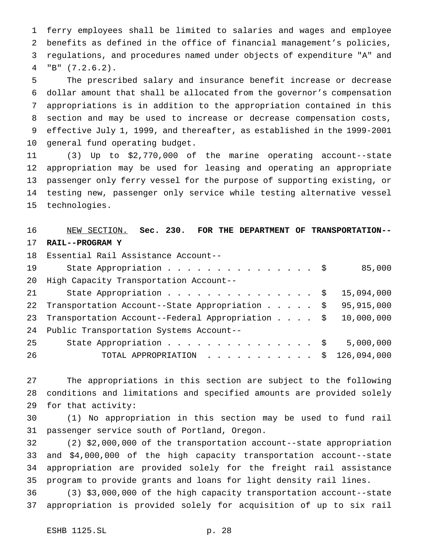ferry employees shall be limited to salaries and wages and employee benefits as defined in the office of financial management's policies, regulations, and procedures named under objects of expenditure "A" and "B" (7.2.6.2).

 The prescribed salary and insurance benefit increase or decrease dollar amount that shall be allocated from the governor's compensation appropriations is in addition to the appropriation contained in this section and may be used to increase or decrease compensation costs, effective July 1, 1999, and thereafter, as established in the 1999-2001 general fund operating budget.

 (3) Up to \$2,770,000 of the marine operating account--state appropriation may be used for leasing and operating an appropriate passenger only ferry vessel for the purpose of supporting existing, or testing new, passenger only service while testing alternative vessel technologies.

## NEW SECTION. **Sec. 230. FOR THE DEPARTMENT OF TRANSPORTATION-- RAIL--PROGRAM Y**

|    | 18 Essential Rail Assistance Account--           |              |
|----|--------------------------------------------------|--------------|
| 19 | State Appropriation \$                           | 85,000       |
| 20 | High Capacity Transportation Account--           |              |
| 21 | State Appropriation \$                           | 15,094,000   |
| 22 | Transportation Account--State Appropriation \$   | 95, 915, 000 |
| 23 | Transportation Account--Federal Appropriation \$ | 10,000,000   |
| 24 | Public Transportation Systems Account--          |              |
| 25 | State Appropriation \$                           | 5,000,000    |
| 26 | TOTAL APPROPRIATION $\ldots$ , \$ 126,094,000    |              |

 The appropriations in this section are subject to the following conditions and limitations and specified amounts are provided solely for that activity:

 (1) No appropriation in this section may be used to fund rail passenger service south of Portland, Oregon.

 (2) \$2,000,000 of the transportation account--state appropriation and \$4,000,000 of the high capacity transportation account--state appropriation are provided solely for the freight rail assistance program to provide grants and loans for light density rail lines.

 (3) \$3,000,000 of the high capacity transportation account--state appropriation is provided solely for acquisition of up to six rail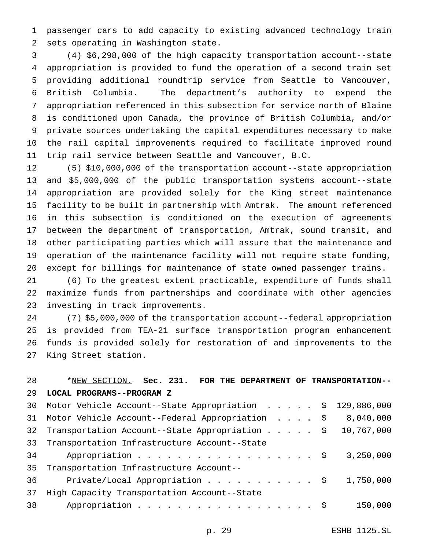passenger cars to add capacity to existing advanced technology train sets operating in Washington state.

 (4) \$6,298,000 of the high capacity transportation account--state appropriation is provided to fund the operation of a second train set providing additional roundtrip service from Seattle to Vancouver, British Columbia. The department's authority to expend the appropriation referenced in this subsection for service north of Blaine is conditioned upon Canada, the province of British Columbia, and/or private sources undertaking the capital expenditures necessary to make the rail capital improvements required to facilitate improved round trip rail service between Seattle and Vancouver, B.C.

 (5) \$10,000,000 of the transportation account--state appropriation and \$5,000,000 of the public transportation systems account--state appropriation are provided solely for the King street maintenance facility to be built in partnership with Amtrak. The amount referenced in this subsection is conditioned on the execution of agreements between the department of transportation, Amtrak, sound transit, and other participating parties which will assure that the maintenance and operation of the maintenance facility will not require state funding, except for billings for maintenance of state owned passenger trains.

 (6) To the greatest extent practicable, expenditure of funds shall maximize funds from partnerships and coordinate with other agencies investing in track improvements.

 (7) \$5,000,000 of the transportation account--federal appropriation is provided from TEA-21 surface transportation program enhancement funds is provided solely for restoration of and improvements to the King Street station.

# \*NEW SECTION. **Sec. 231. FOR THE DEPARTMENT OF TRANSPORTATION-- LOCAL PROGRAMS--PROGRAM Z** Motor Vehicle Account--State Appropriation ..... \$ 129,886,000 Motor Vehicle Account--Federal Appropriation .... \$ 8,040,000 Transportation Account--State Appropriation..... \$ 10,767,000 Transportation Infrastructure Account--State 34 Appropriation . . . . . . . . . . . . . . . . \$ 3,250,000 Transportation Infrastructure Account-- 36 Private/Local Appropriation . . . . . . . . . . \$ 1,750,000

 High Capacity Transportation Account--State 38 Appropriation . . . . . . . . . . . . . . . . \$ 150,000

p. 29 ESHB 1125.SL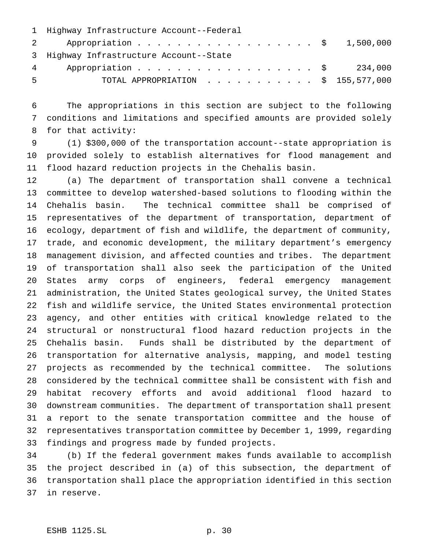| 1 Highway Infrastructure Account--Federal     |
|-----------------------------------------------|
| 2 Appropriation \$ 1,500,000                  |
| 3 Highway Infrastructure Account--State       |
| 4 Appropriation \$ 234,000                    |
| TOTAL APPROPRIATION $\ldots$ , \$ 155,577,000 |
|                                               |

 The appropriations in this section are subject to the following conditions and limitations and specified amounts are provided solely for that activity:

 (1) \$300,000 of the transportation account--state appropriation is provided solely to establish alternatives for flood management and flood hazard reduction projects in the Chehalis basin.

 (a) The department of transportation shall convene a technical committee to develop watershed-based solutions to flooding within the Chehalis basin. The technical committee shall be comprised of representatives of the department of transportation, department of ecology, department of fish and wildlife, the department of community, trade, and economic development, the military department's emergency management division, and affected counties and tribes. The department of transportation shall also seek the participation of the United States army corps of engineers, federal emergency management administration, the United States geological survey, the United States fish and wildlife service, the United States environmental protection agency, and other entities with critical knowledge related to the structural or nonstructural flood hazard reduction projects in the Chehalis basin. Funds shall be distributed by the department of transportation for alternative analysis, mapping, and model testing projects as recommended by the technical committee. The solutions considered by the technical committee shall be consistent with fish and habitat recovery efforts and avoid additional flood hazard to downstream communities. The department of transportation shall present a report to the senate transportation committee and the house of representatives transportation committee by December 1, 1999, regarding findings and progress made by funded projects.

 (b) If the federal government makes funds available to accomplish the project described in (a) of this subsection, the department of transportation shall place the appropriation identified in this section in reserve.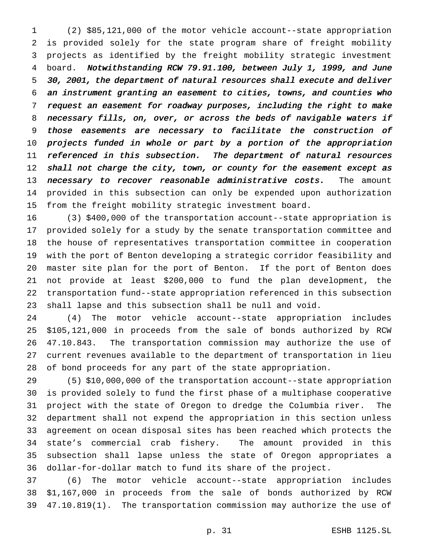(2) \$85,121,000 of the motor vehicle account--state appropriation is provided solely for the state program share of freight mobility projects as identified by the freight mobility strategic investment board. Notwithstanding RCW 79.91.100, between July 1, 1999, and June 30, 2001, the department of natural resources shall execute and deliver an instrument granting an easement to cities, towns, and counties who request an easement for roadway purposes, including the right to make necessary fills, on, over, or across the beds of navigable waters if those easements are necessary to facilitate the construction of projects funded in whole or part by <sup>a</sup> portion of the appropriation 11 referenced in this subsection. The department of natural resources 12 shall not charge the city, town, or county for the easement except as 13 necessary to recover reasonable administrative costs. The amount provided in this subsection can only be expended upon authorization from the freight mobility strategic investment board.

 (3) \$400,000 of the transportation account--state appropriation is provided solely for a study by the senate transportation committee and the house of representatives transportation committee in cooperation with the port of Benton developing a strategic corridor feasibility and master site plan for the port of Benton. If the port of Benton does not provide at least \$200,000 to fund the plan development, the transportation fund--state appropriation referenced in this subsection shall lapse and this subsection shall be null and void.

 (4) The motor vehicle account--state appropriation includes \$105,121,000 in proceeds from the sale of bonds authorized by RCW 47.10.843. The transportation commission may authorize the use of current revenues available to the department of transportation in lieu of bond proceeds for any part of the state appropriation.

 (5) \$10,000,000 of the transportation account--state appropriation is provided solely to fund the first phase of a multiphase cooperative project with the state of Oregon to dredge the Columbia river. The department shall not expend the appropriation in this section unless agreement on ocean disposal sites has been reached which protects the state's commercial crab fishery. The amount provided in this subsection shall lapse unless the state of Oregon appropriates a dollar-for-dollar match to fund its share of the project.

 (6) The motor vehicle account--state appropriation includes \$1,167,000 in proceeds from the sale of bonds authorized by RCW 47.10.819(1). The transportation commission may authorize the use of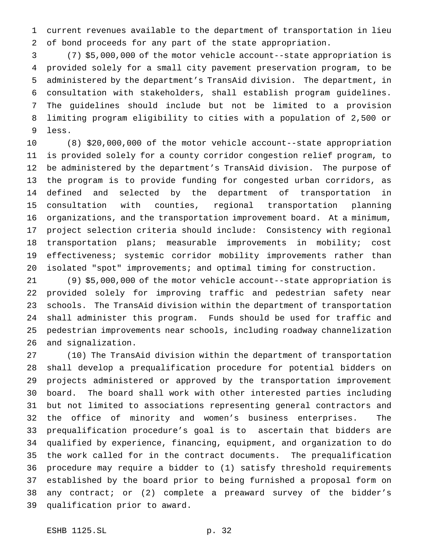current revenues available to the department of transportation in lieu of bond proceeds for any part of the state appropriation.

 (7) \$5,000,000 of the motor vehicle account--state appropriation is provided solely for a small city pavement preservation program, to be administered by the department's TransAid division. The department, in consultation with stakeholders, shall establish program guidelines. The guidelines should include but not be limited to a provision limiting program eligibility to cities with a population of 2,500 or less.

 (8) \$20,000,000 of the motor vehicle account--state appropriation is provided solely for a county corridor congestion relief program, to be administered by the department's TransAid division. The purpose of the program is to provide funding for congested urban corridors, as defined and selected by the department of transportation in consultation with counties, regional transportation planning organizations, and the transportation improvement board. At a minimum, project selection criteria should include: Consistency with regional transportation plans; measurable improvements in mobility; cost effectiveness; systemic corridor mobility improvements rather than isolated "spot" improvements; and optimal timing for construction.

 (9) \$5,000,000 of the motor vehicle account--state appropriation is provided solely for improving traffic and pedestrian safety near schools. The TransAid division within the department of transportation shall administer this program. Funds should be used for traffic and pedestrian improvements near schools, including roadway channelization and signalization.

 (10) The TransAid division within the department of transportation shall develop a prequalification procedure for potential bidders on projects administered or approved by the transportation improvement board. The board shall work with other interested parties including but not limited to associations representing general contractors and the office of minority and women's business enterprises. The prequalification procedure's goal is to ascertain that bidders are qualified by experience, financing, equipment, and organization to do the work called for in the contract documents. The prequalification procedure may require a bidder to (1) satisfy threshold requirements established by the board prior to being furnished a proposal form on any contract; or (2) complete a preaward survey of the bidder's qualification prior to award.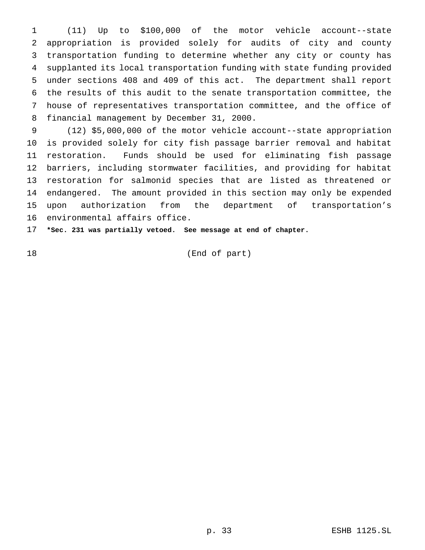(11) Up to \$100,000 of the motor vehicle account--state appropriation is provided solely for audits of city and county transportation funding to determine whether any city or county has supplanted its local transportation funding with state funding provided under sections 408 and 409 of this act. The department shall report the results of this audit to the senate transportation committee, the house of representatives transportation committee, and the office of financial management by December 31, 2000.

 (12) \$5,000,000 of the motor vehicle account--state appropriation is provided solely for city fish passage barrier removal and habitat restoration. Funds should be used for eliminating fish passage barriers, including stormwater facilities, and providing for habitat restoration for salmonid species that are listed as threatened or endangered. The amount provided in this section may only be expended upon authorization from the department of transportation's environmental affairs office.

**\*Sec. 231 was partially vetoed. See message at end of chapter.**

(End of part)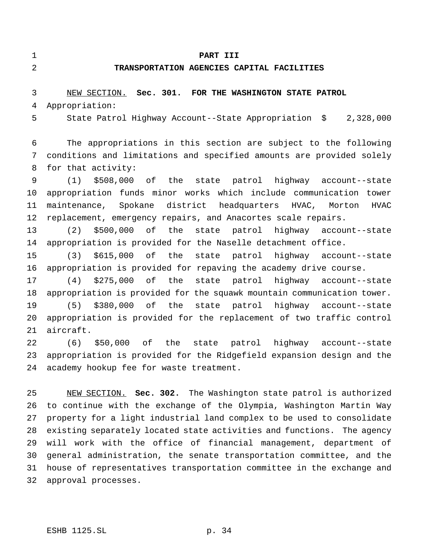#### **PART III**

#### **TRANSPORTATION AGENCIES CAPITAL FACILITIES**

## NEW SECTION. **Sec. 301. FOR THE WASHINGTON STATE PATROL** Appropriation:

State Patrol Highway Account--State Appropriation \$ 2,328,000

 The appropriations in this section are subject to the following conditions and limitations and specified amounts are provided solely for that activity:

 (1) \$508,000 of the state patrol highway account--state appropriation funds minor works which include communication tower maintenance, Spokane district headquarters HVAC, Morton HVAC replacement, emergency repairs, and Anacortes scale repairs.

 (2) \$500,000 of the state patrol highway account--state appropriation is provided for the Naselle detachment office.

 (3) \$615,000 of the state patrol highway account--state appropriation is provided for repaving the academy drive course.

 (4) \$275,000 of the state patrol highway account--state appropriation is provided for the squawk mountain communication tower. (5) \$380,000 of the state patrol highway account--state appropriation is provided for the replacement of two traffic control aircraft.

 (6) \$50,000 of the state patrol highway account--state appropriation is provided for the Ridgefield expansion design and the academy hookup fee for waste treatment.

 NEW SECTION. **Sec. 302.** The Washington state patrol is authorized to continue with the exchange of the Olympia, Washington Martin Way property for a light industrial land complex to be used to consolidate existing separately located state activities and functions. The agency will work with the office of financial management, department of general administration, the senate transportation committee, and the house of representatives transportation committee in the exchange and approval processes.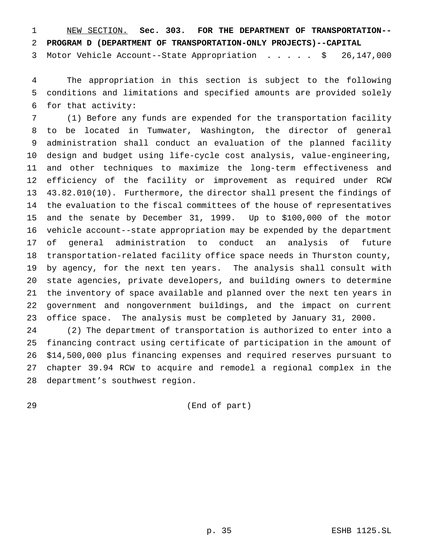NEW SECTION. **Sec. 303. FOR THE DEPARTMENT OF TRANSPORTATION--**

**PROGRAM D (DEPARTMENT OF TRANSPORTATION-ONLY PROJECTS)--CAPITAL**

Motor Vehicle Account--State Appropriation ..... \$ 26,147,000

 The appropriation in this section is subject to the following conditions and limitations and specified amounts are provided solely for that activity:

 (1) Before any funds are expended for the transportation facility to be located in Tumwater, Washington, the director of general administration shall conduct an evaluation of the planned facility design and budget using life-cycle cost analysis, value-engineering, and other techniques to maximize the long-term effectiveness and efficiency of the facility or improvement as required under RCW 43.82.010(10). Furthermore, the director shall present the findings of the evaluation to the fiscal committees of the house of representatives and the senate by December 31, 1999. Up to \$100,000 of the motor vehicle account--state appropriation may be expended by the department of general administration to conduct an analysis of future transportation-related facility office space needs in Thurston county, by agency, for the next ten years. The analysis shall consult with state agencies, private developers, and building owners to determine the inventory of space available and planned over the next ten years in government and nongovernment buildings, and the impact on current office space. The analysis must be completed by January 31, 2000.

 (2) The department of transportation is authorized to enter into a financing contract using certificate of participation in the amount of \$14,500,000 plus financing expenses and required reserves pursuant to chapter 39.94 RCW to acquire and remodel a regional complex in the department's southwest region.

(End of part)

p. 35 ESHB 1125.SL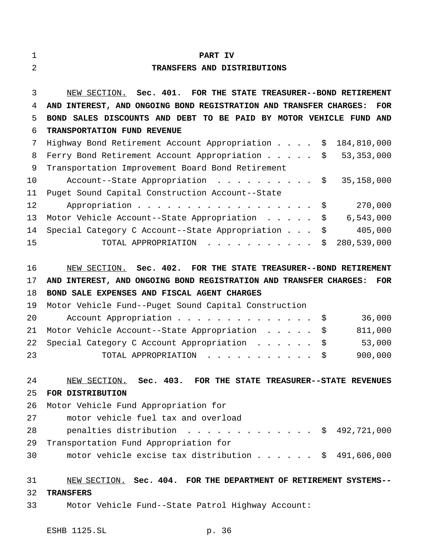#### **PART IV**

#### **TRANSFERS AND DISTRIBUTIONS**

 NEW SECTION. **Sec. 401. FOR THE STATE TREASURER--BOND RETIREMENT AND INTEREST, AND ONGOING BOND REGISTRATION AND TRANSFER CHARGES: FOR BOND SALES DISCOUNTS AND DEBT TO BE PAID BY MOTOR VEHICLE FUND AND TRANSPORTATION FUND REVENUE** Highway Bond Retirement Account Appropriation.... \$ 184,810,000 8 Ferry Bond Retirement Account Appropriation . . . . . \$ 53,353,000 Transportation Improvement Board Bond Retirement 10 Account--State Appropriation . . . . . . . . . \$ 35,158,000 Puget Sound Capital Construction Account--State

| 12 | Appropriation \$                                              |  |  | 270,000 |
|----|---------------------------------------------------------------|--|--|---------|
|    | 13 Motor Vehicle Account--State Appropriation \$ 6,543,000    |  |  |         |
|    | 14 Special Category C Account--State Appropriation \$ 405,000 |  |  |         |
| 15 | TOTAL APPROPRIATION $\ldots$ , \$ 280,539,000                 |  |  |         |

 NEW SECTION. **Sec. 402. FOR THE STATE TREASURER--BOND RETIREMENT AND INTEREST, AND ONGOING BOND REGISTRATION AND TRANSFER CHARGES: FOR BOND SALE EXPENSES AND FISCAL AGENT CHARGES**

|    | 19 Motor Vehicle Fund--Puget Sound Capital Construction |         |
|----|---------------------------------------------------------|---------|
| 20 | Account Appropriation \$                                | 36,000  |
|    | 21 Motor Vehicle Account--State Appropriation \$        | 811,000 |
|    | 22 Special Category C Account Appropriation \$          | 53,000  |
| 23 | TOTAL APPROPRIATION \$                                  | 900,000 |

### NEW SECTION. **Sec. 403. FOR THE STATE TREASURER--STATE REVENUES FOR DISTRIBUTION**

# Motor Vehicle Fund Appropriation for motor vehicle fuel tax and overload 28 penalties distribution . . . . . . . . . . . . \$ 492,721,000 Transportation Fund Appropriation for motor vehicle excise tax distribution...... \$ 491,606,000

#### NEW SECTION. **Sec. 404. FOR THE DEPARTMENT OF RETIREMENT SYSTEMS--**

#### **TRANSFERS**

Motor Vehicle Fund--State Patrol Highway Account: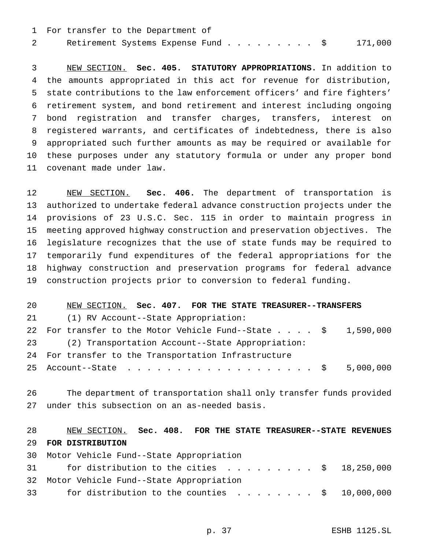For transfer to the Department of 2 Retirement Systems Expense Fund..........\$ 171,000

 NEW SECTION. **Sec. 405. STATUTORY APPROPRIATIONS.** In addition to the amounts appropriated in this act for revenue for distribution, state contributions to the law enforcement officers' and fire fighters' retirement system, and bond retirement and interest including ongoing bond registration and transfer charges, transfers, interest on registered warrants, and certificates of indebtedness, there is also appropriated such further amounts as may be required or available for these purposes under any statutory formula or under any proper bond covenant made under law.

 NEW SECTION. **Sec. 406.** The department of transportation is authorized to undertake federal advance construction projects under the provisions of 23 U.S.C. Sec. 115 in order to maintain progress in meeting approved highway construction and preservation objectives. The legislature recognizes that the use of state funds may be required to temporarily fund expenditures of the federal appropriations for the highway construction and preservation programs for federal advance construction projects prior to conversion to federal funding.

#### NEW SECTION. **Sec. 407. FOR THE STATE TREASURER--TRANSFERS**

(1) RV Account--State Appropriation:

 For transfer to the Motor Vehicle Fund--State.... \$ 1,590,000 (2) Transportation Account--State Appropriation: For transfer to the Transportation Infrastructure

25 Account--State . . . . . . . . . . . . . . . . . . \$ 5,000,000

 The department of transportation shall only transfer funds provided under this subsection on an as-needed basis.

# NEW SECTION. **Sec. 408. FOR THE STATE TREASURER--STATE REVENUES FOR DISTRIBUTION**

 Motor Vehicle Fund--State Appropriation 31 for distribution to the cities . . . . . . . . \$ 18,250,000 Motor Vehicle Fund--State Appropriation for distribution to the counties ........ \$ 10,000,000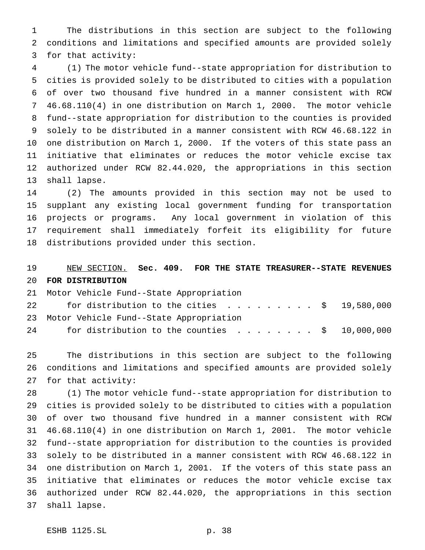The distributions in this section are subject to the following conditions and limitations and specified amounts are provided solely for that activity:

 (1) The motor vehicle fund--state appropriation for distribution to cities is provided solely to be distributed to cities with a population of over two thousand five hundred in a manner consistent with RCW 46.68.110(4) in one distribution on March 1, 2000. The motor vehicle fund--state appropriation for distribution to the counties is provided solely to be distributed in a manner consistent with RCW 46.68.122 in one distribution on March 1, 2000. If the voters of this state pass an initiative that eliminates or reduces the motor vehicle excise tax authorized under RCW 82.44.020, the appropriations in this section shall lapse.

 (2) The amounts provided in this section may not be used to supplant any existing local government funding for transportation projects or programs. Any local government in violation of this requirement shall immediately forfeit its eligibility for future distributions provided under this section.

## NEW SECTION. **Sec. 409. FOR THE STATE TREASURER--STATE REVENUES FOR DISTRIBUTION**

Motor Vehicle Fund--State Appropriation

| 22 | for distribution to the cities $\ldots \ldots \ldots \approx 19,580,000$ |  |  |  |  |  |
|----|--------------------------------------------------------------------------|--|--|--|--|--|
|    | 23 Motor Vehicle Fund--State Appropriation                               |  |  |  |  |  |
| 24 | for distribution to the counties \$ 10,000,000                           |  |  |  |  |  |

 The distributions in this section are subject to the following conditions and limitations and specified amounts are provided solely for that activity:

 (1) The motor vehicle fund--state appropriation for distribution to cities is provided solely to be distributed to cities with a population of over two thousand five hundred in a manner consistent with RCW 46.68.110(4) in one distribution on March 1, 2001. The motor vehicle fund--state appropriation for distribution to the counties is provided solely to be distributed in a manner consistent with RCW 46.68.122 in one distribution on March 1, 2001. If the voters of this state pass an initiative that eliminates or reduces the motor vehicle excise tax authorized under RCW 82.44.020, the appropriations in this section shall lapse.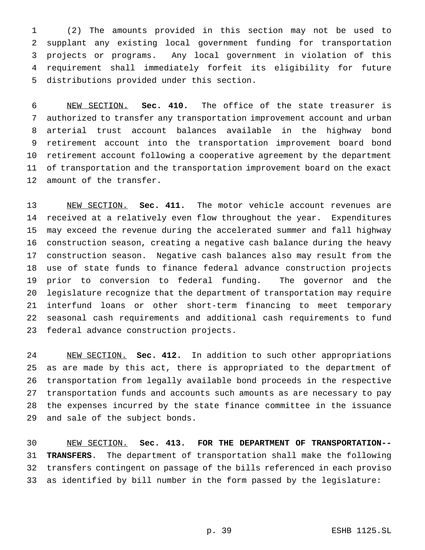(2) The amounts provided in this section may not be used to supplant any existing local government funding for transportation projects or programs. Any local government in violation of this requirement shall immediately forfeit its eligibility for future distributions provided under this section.

 NEW SECTION. **Sec. 410.** The office of the state treasurer is authorized to transfer any transportation improvement account and urban arterial trust account balances available in the highway bond retirement account into the transportation improvement board bond retirement account following a cooperative agreement by the department of transportation and the transportation improvement board on the exact amount of the transfer.

 NEW SECTION. **Sec. 411.** The motor vehicle account revenues are received at a relatively even flow throughout the year. Expenditures may exceed the revenue during the accelerated summer and fall highway construction season, creating a negative cash balance during the heavy construction season. Negative cash balances also may result from the use of state funds to finance federal advance construction projects prior to conversion to federal funding. The governor and the legislature recognize that the department of transportation may require interfund loans or other short-term financing to meet temporary seasonal cash requirements and additional cash requirements to fund federal advance construction projects.

 NEW SECTION. **Sec. 412.** In addition to such other appropriations as are made by this act, there is appropriated to the department of transportation from legally available bond proceeds in the respective transportation funds and accounts such amounts as are necessary to pay the expenses incurred by the state finance committee in the issuance and sale of the subject bonds.

 NEW SECTION. **Sec. 413. FOR THE DEPARTMENT OF TRANSPORTATION-- TRANSFERS**. The department of transportation shall make the following transfers contingent on passage of the bills referenced in each proviso as identified by bill number in the form passed by the legislature: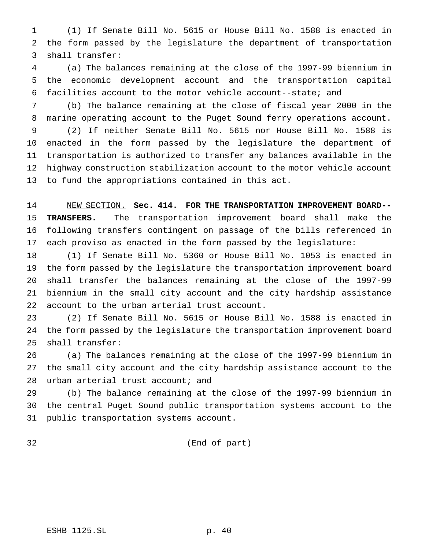(1) If Senate Bill No. 5615 or House Bill No. 1588 is enacted in the form passed by the legislature the department of transportation shall transfer:

 (a) The balances remaining at the close of the 1997-99 biennium in the economic development account and the transportation capital facilities account to the motor vehicle account--state; and

 (b) The balance remaining at the close of fiscal year 2000 in the marine operating account to the Puget Sound ferry operations account. (2) If neither Senate Bill No. 5615 nor House Bill No. 1588 is enacted in the form passed by the legislature the department of transportation is authorized to transfer any balances available in the highway construction stabilization account to the motor vehicle account to fund the appropriations contained in this act.

 NEW SECTION. **Sec. 414. FOR THE TRANSPORTATION IMPROVEMENT BOARD-- TRANSFERS.** The transportation improvement board shall make the following transfers contingent on passage of the bills referenced in each proviso as enacted in the form passed by the legislature:

 (1) If Senate Bill No. 5360 or House Bill No. 1053 is enacted in the form passed by the legislature the transportation improvement board shall transfer the balances remaining at the close of the 1997-99 biennium in the small city account and the city hardship assistance account to the urban arterial trust account.

 (2) If Senate Bill No. 5615 or House Bill No. 1588 is enacted in the form passed by the legislature the transportation improvement board shall transfer:

 (a) The balances remaining at the close of the 1997-99 biennium in the small city account and the city hardship assistance account to the 28 urban arterial trust account; and

 (b) The balance remaining at the close of the 1997-99 biennium in the central Puget Sound public transportation systems account to the public transportation systems account.

(End of part)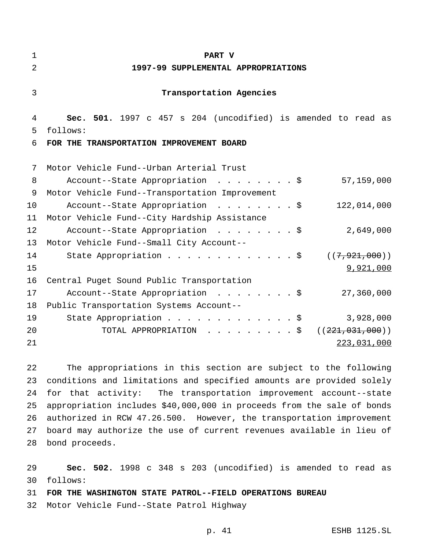| 1  | <b>PART V</b>                                                 |
|----|---------------------------------------------------------------|
| 2  | 1997-99 SUPPLEMENTAL APPROPRIATIONS                           |
| 3  | Transportation Agencies                                       |
| 4  | Sec. 501. 1997 c 457 s 204 (uncodified) is amended to read as |
| 5  | follows:                                                      |
| 6  | FOR THE TRANSPORTATION IMPROVEMENT BOARD                      |
|    |                                                               |
| 7  | Motor Vehicle Fund--Urban Arterial Trust                      |
| 8  | Account--State Appropriation \$<br>57,159,000                 |
| 9  | Motor Vehicle Fund--Transportation Improvement                |
| 10 | Account--State Appropriation \$<br>122,014,000                |
| 11 | Motor Vehicle Fund--City Hardship Assistance                  |
| 12 | Account--State Appropriation \$<br>2,649,000                  |
| 13 | Motor Vehicle Fund--Small City Account--                      |
| 14 | State Appropriation \$<br>((7, 921, 000))                     |
| 15 | 9,921,000                                                     |
| 16 | Central Puget Sound Public Transportation                     |
| 17 | 27,360,000<br>Account--State Appropriation \$                 |
| 18 | Public Transportation Systems Account--                       |
| 19 | 3,928,000<br>State Appropriation \$                           |
| 20 | TOTAL APPROPRIATION \$<br>((221, 031, 000))                   |
| 21 | 223,031,000                                                   |
|    |                                                               |

 The appropriations in this section are subject to the following conditions and limitations and specified amounts are provided solely for that activity: The transportation improvement account--state appropriation includes \$40,000,000 in proceeds from the sale of bonds authorized in RCW 47.26.500. However, the transportation improvement board may authorize the use of current revenues available in lieu of bond proceeds.

 **Sec. 502.** 1998 c 348 s 203 (uncodified) is amended to read as follows:

**FOR THE WASHINGTON STATE PATROL--FIELD OPERATIONS BUREAU**

Motor Vehicle Fund--State Patrol Highway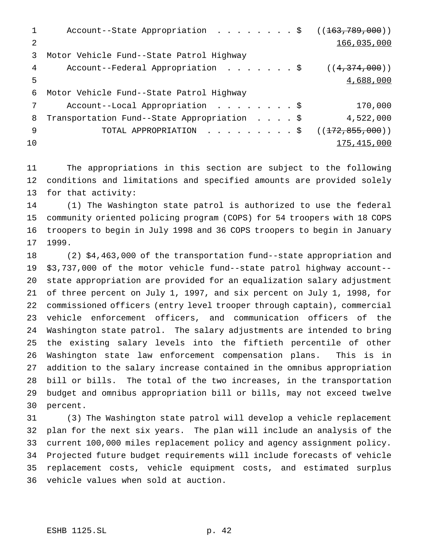1 Account--State Appropriation . . . . . . . \$ ((163,789,000)) 166,035,000 Motor Vehicle Fund--State Patrol Highway 4 Account--Federal Appropriation . . . . . . \$ ((4,374,000)) 4,688,000 Motor Vehicle Fund--State Patrol Highway 7 Account--Local Appropriation . . . . . . . \$ 170,000 8 Transportation Fund--State Appropriation . . . . \$ 4,522,000 9 TOTAL APPROPRIATION . . . . . . . . \$ ((172,855,000))  $175,415,000$ 

 The appropriations in this section are subject to the following conditions and limitations and specified amounts are provided solely for that activity:

 (1) The Washington state patrol is authorized to use the federal community oriented policing program (COPS) for 54 troopers with 18 COPS troopers to begin in July 1998 and 36 COPS troopers to begin in January 1999.

 (2) \$4,463,000 of the transportation fund--state appropriation and \$3,737,000 of the motor vehicle fund--state patrol highway account-- state appropriation are provided for an equalization salary adjustment of three percent on July 1, 1997, and six percent on July 1, 1998, for commissioned officers (entry level trooper through captain), commercial vehicle enforcement officers, and communication officers of the Washington state patrol. The salary adjustments are intended to bring the existing salary levels into the fiftieth percentile of other Washington state law enforcement compensation plans. This is in addition to the salary increase contained in the omnibus appropriation bill or bills. The total of the two increases, in the transportation budget and omnibus appropriation bill or bills, may not exceed twelve percent.

 (3) The Washington state patrol will develop a vehicle replacement plan for the next six years. The plan will include an analysis of the current 100,000 miles replacement policy and agency assignment policy. Projected future budget requirements will include forecasts of vehicle replacement costs, vehicle equipment costs, and estimated surplus vehicle values when sold at auction.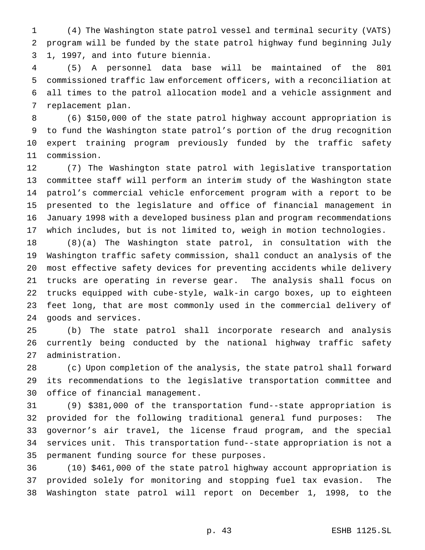(4) The Washington state patrol vessel and terminal security (VATS) program will be funded by the state patrol highway fund beginning July 1, 1997, and into future biennia.

 (5) A personnel data base will be maintained of the 801 commissioned traffic law enforcement officers, with a reconciliation at all times to the patrol allocation model and a vehicle assignment and replacement plan.

 (6) \$150,000 of the state patrol highway account appropriation is to fund the Washington state patrol's portion of the drug recognition expert training program previously funded by the traffic safety commission.

 (7) The Washington state patrol with legislative transportation committee staff will perform an interim study of the Washington state patrol's commercial vehicle enforcement program with a report to be presented to the legislature and office of financial management in January 1998 with a developed business plan and program recommendations which includes, but is not limited to, weigh in motion technologies.

 (8)(a) The Washington state patrol, in consultation with the Washington traffic safety commission, shall conduct an analysis of the most effective safety devices for preventing accidents while delivery trucks are operating in reverse gear. The analysis shall focus on trucks equipped with cube-style, walk-in cargo boxes, up to eighteen feet long, that are most commonly used in the commercial delivery of goods and services.

 (b) The state patrol shall incorporate research and analysis currently being conducted by the national highway traffic safety administration.

 (c) Upon completion of the analysis, the state patrol shall forward its recommendations to the legislative transportation committee and office of financial management.

 (9) \$381,000 of the transportation fund--state appropriation is provided for the following traditional general fund purposes: The governor's air travel, the license fraud program, and the special services unit. This transportation fund--state appropriation is not a permanent funding source for these purposes.

 (10) \$461,000 of the state patrol highway account appropriation is provided solely for monitoring and stopping fuel tax evasion. The Washington state patrol will report on December 1, 1998, to the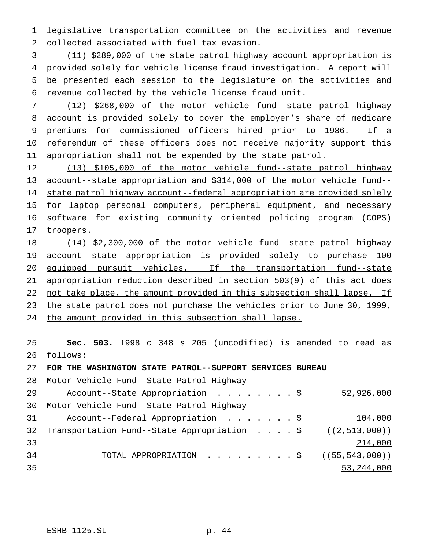legislative transportation committee on the activities and revenue collected associated with fuel tax evasion.

 (11) \$289,000 of the state patrol highway account appropriation is provided solely for vehicle license fraud investigation. A report will be presented each session to the legislature on the activities and revenue collected by the vehicle license fraud unit.

 (12) \$268,000 of the motor vehicle fund--state patrol highway account is provided solely to cover the employer's share of medicare premiums for commissioned officers hired prior to 1986. If a referendum of these officers does not receive majority support this appropriation shall not be expended by the state patrol.

 (13) \$105,000 of the motor vehicle fund--state patrol highway account--state appropriation and \$314,000 of the motor vehicle fund-- state patrol highway account--federal appropriation are provided solely 15 for laptop personal computers, peripheral equipment, and necessary software for existing community oriented policing program (COPS) 17 troopers.

 (14) \$2,300,000 of the motor vehicle fund--state patrol highway account--state appropriation is provided solely to purchase 100 20 equipped pursuit vehicles. If the transportation fund--state appropriation reduction described in section 503(9) of this act does 22 not take place, the amount provided in this subsection shall lapse. If 23 the state patrol does not purchase the vehicles prior to June 30, 1999, the amount provided in this subsection shall lapse.

 **Sec. 503.** 1998 c 348 s 205 (uncodified) is amended to read as follows:

**FOR THE WASHINGTON STATE PATROL--SUPPORT SERVICES BUREAU**

Motor Vehicle Fund--State Patrol Highway

| 29 | Account--State Appropriation \$                               | 52,926,000   |
|----|---------------------------------------------------------------|--------------|
| 30 | Motor Vehicle Fund--State Patrol Highway                      |              |
| 31 | Account--Federal Appropriation \$                             | 104,000      |
| 32 | Transportation Fund--State Appropriation \$ $((2, 513, 000))$ |              |
| 33 |                                                               | 214,000      |
| 34 | TOTAL APPROPRIATION ( $(55,543,000)$ )                        |              |
| 35 |                                                               | 53, 244, 000 |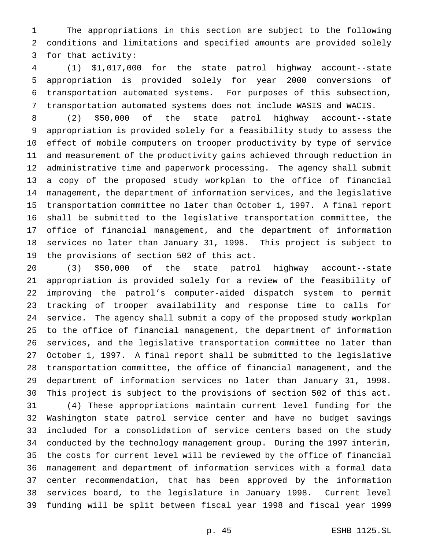The appropriations in this section are subject to the following conditions and limitations and specified amounts are provided solely for that activity:

 (1) \$1,017,000 for the state patrol highway account--state appropriation is provided solely for year 2000 conversions of transportation automated systems. For purposes of this subsection, transportation automated systems does not include WASIS and WACIS.

 (2) \$50,000 of the state patrol highway account--state appropriation is provided solely for a feasibility study to assess the effect of mobile computers on trooper productivity by type of service and measurement of the productivity gains achieved through reduction in administrative time and paperwork processing. The agency shall submit a copy of the proposed study workplan to the office of financial management, the department of information services, and the legislative transportation committee no later than October 1, 1997. A final report shall be submitted to the legislative transportation committee, the office of financial management, and the department of information services no later than January 31, 1998. This project is subject to the provisions of section 502 of this act.

 (3) \$50,000 of the state patrol highway account--state appropriation is provided solely for a review of the feasibility of improving the patrol's computer-aided dispatch system to permit tracking of trooper availability and response time to calls for service. The agency shall submit a copy of the proposed study workplan to the office of financial management, the department of information services, and the legislative transportation committee no later than October 1, 1997. A final report shall be submitted to the legislative transportation committee, the office of financial management, and the department of information services no later than January 31, 1998. This project is subject to the provisions of section 502 of this act.

 (4) These appropriations maintain current level funding for the Washington state patrol service center and have no budget savings included for a consolidation of service centers based on the study conducted by the technology management group. During the 1997 interim, the costs for current level will be reviewed by the office of financial management and department of information services with a formal data center recommendation, that has been approved by the information services board, to the legislature in January 1998. Current level funding will be split between fiscal year 1998 and fiscal year 1999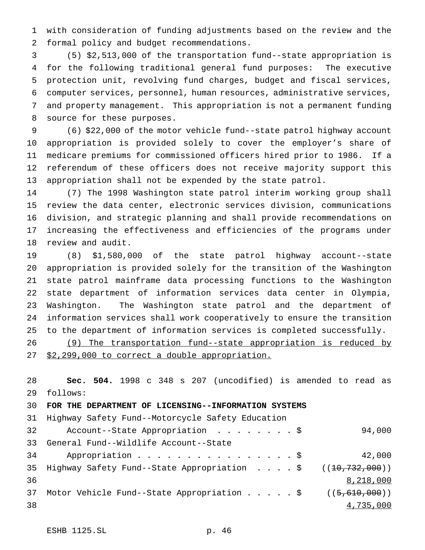with consideration of funding adjustments based on the review and the formal policy and budget recommendations.

 (5) \$2,513,000 of the transportation fund--state appropriation is for the following traditional general fund purposes: The executive protection unit, revolving fund charges, budget and fiscal services, computer services, personnel, human resources, administrative services, and property management. This appropriation is not a permanent funding source for these purposes.

 (6) \$22,000 of the motor vehicle fund--state patrol highway account appropriation is provided solely to cover the employer's share of medicare premiums for commissioned officers hired prior to 1986. If a referendum of these officers does not receive majority support this appropriation shall not be expended by the state patrol.

 (7) The 1998 Washington state patrol interim working group shall review the data center, electronic services division, communications division, and strategic planning and shall provide recommendations on increasing the effectiveness and efficiencies of the programs under review and audit.

 (8) \$1,580,000 of the state patrol highway account--state appropriation is provided solely for the transition of the Washington state patrol mainframe data processing functions to the Washington state department of information services data center in Olympia, Washington. The Washington state patrol and the department of information services shall work cooperatively to ensure the transition to the department of information services is completed successfully.

```
26 (9) The transportation fund--state appropriation is reduced by
27 $2,299,000 to correct a double appropriation.
```
 **Sec. 504.** 1998 c 348 s 207 (uncodified) is amended to read as follows:

**FOR THE DEPARTMENT OF LICENSING--INFORMATION SYSTEMS**

Highway Safety Fund--Motorcycle Safety Education

| 32 | Account--State Appropriation \$                                   | 94,000    |
|----|-------------------------------------------------------------------|-----------|
| 33 | General Fund--Wildlife Account--State                             |           |
| 34 | Appropriation $\frac{1}{5}$                                       | 42,000    |
|    | 35 Highway Safety Fund--State Appropriation \$ $((10, 732, 000))$ |           |
| 36 |                                                                   | 8,218,000 |
| 37 | Motor Vehicle Fund--State Appropriation $\frac{5}{7610,000}$ )    |           |
| 38 |                                                                   | 4,735,000 |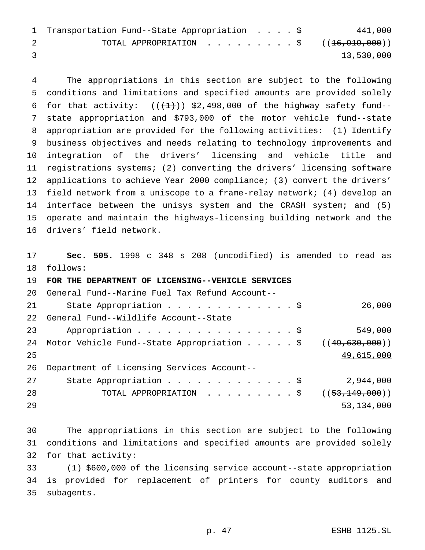| 1 Transportation Fund--State Appropriation \$             |  |  | 441,000    |
|-----------------------------------------------------------|--|--|------------|
| TOTAL APPROPRIATION $\ldots$ , \$ ( $(\pm 6, 919, 000)$ ) |  |  |            |
|                                                           |  |  | 13,530,000 |

 The appropriations in this section are subject to the following conditions and limitations and specified amounts are provided solely 6 for that activity:  $((+1))$  \$2,498,000 of the highway safety fund-- state appropriation and \$793,000 of the motor vehicle fund--state appropriation are provided for the following activities: (1) Identify business objectives and needs relating to technology improvements and integration of the drivers' licensing and vehicle title and registrations systems; (2) converting the drivers' licensing software applications to achieve Year 2000 compliance; (3) convert the drivers' field network from a uniscope to a frame-relay network; (4) develop an 14 interface between the unisys system and the CRASH system; and (5) operate and maintain the highways-licensing building network and the drivers' field network.

 **Sec. 505.** 1998 c 348 s 208 (uncodified) is amended to read as follows:

| 19 | FOR THE DEPARTMENT OF LICENSING--VEHICLE SERVICES                         |                   |
|----|---------------------------------------------------------------------------|-------------------|
| 20 | General Fund--Marine Fuel Tax Refund Account--                            |                   |
| 21 | State Appropriation $\frac{1}{5}$                                         | 26,000            |
| 22 | General Fund--Wildlife Account--State                                     |                   |
| 23 | Appropriation \$                                                          | 549,000           |
| 24 | Motor Vehicle Fund--State Appropriation $\ldots$ , $\zeta$ ((49,630,000)) |                   |
| 25 |                                                                           | 49,615,000        |
| 26 | Department of Licensing Services Account--                                |                   |
| 27 | State Appropriation \$                                                    | 2,944,000         |
| 28 | TOTAL APPROPRIATION \$                                                    | ( (53, 149, 000)) |
| 29 |                                                                           | 53, 134, 000      |

 The appropriations in this section are subject to the following conditions and limitations and specified amounts are provided solely for that activity:

 (1) \$600,000 of the licensing service account--state appropriation is provided for replacement of printers for county auditors and subagents.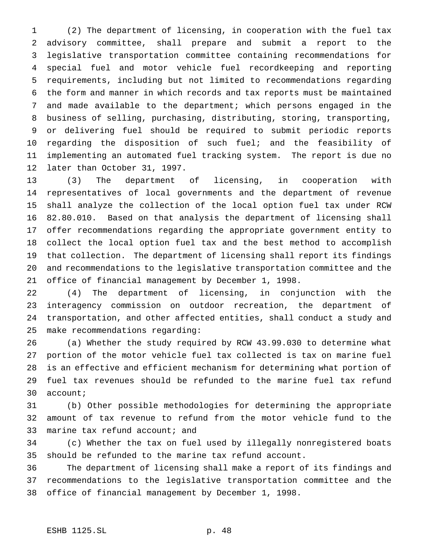(2) The department of licensing, in cooperation with the fuel tax advisory committee, shall prepare and submit a report to the legislative transportation committee containing recommendations for special fuel and motor vehicle fuel recordkeeping and reporting requirements, including but not limited to recommendations regarding the form and manner in which records and tax reports must be maintained and made available to the department; which persons engaged in the business of selling, purchasing, distributing, storing, transporting, or delivering fuel should be required to submit periodic reports regarding the disposition of such fuel; and the feasibility of implementing an automated fuel tracking system. The report is due no later than October 31, 1997.

 (3) The department of licensing, in cooperation with representatives of local governments and the department of revenue shall analyze the collection of the local option fuel tax under RCW 82.80.010. Based on that analysis the department of licensing shall offer recommendations regarding the appropriate government entity to collect the local option fuel tax and the best method to accomplish that collection. The department of licensing shall report its findings and recommendations to the legislative transportation committee and the office of financial management by December 1, 1998.

 (4) The department of licensing, in conjunction with the interagency commission on outdoor recreation, the department of transportation, and other affected entities, shall conduct a study and make recommendations regarding:

 (a) Whether the study required by RCW 43.99.030 to determine what portion of the motor vehicle fuel tax collected is tax on marine fuel is an effective and efficient mechanism for determining what portion of fuel tax revenues should be refunded to the marine fuel tax refund account;

 (b) Other possible methodologies for determining the appropriate amount of tax revenue to refund from the motor vehicle fund to the 33 marine tax refund account; and

 (c) Whether the tax on fuel used by illegally nonregistered boats should be refunded to the marine tax refund account.

 The department of licensing shall make a report of its findings and recommendations to the legislative transportation committee and the office of financial management by December 1, 1998.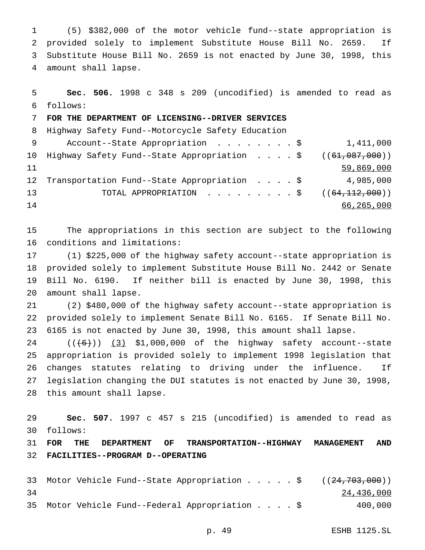(5) \$382,000 of the motor vehicle fund--state appropriation is provided solely to implement Substitute House Bill No. 2659. If Substitute House Bill No. 2659 is not enacted by June 30, 1998, this amount shall lapse.

| 5               | Sec. 506. 1998 c 348 s 209 (uncodified) is amended to read as     |            |
|-----------------|-------------------------------------------------------------------|------------|
| 6               | follows:                                                          |            |
|                 | FOR THE DEPARTMENT OF LICENSING--DRIVER SERVICES                  |            |
| 8               | Highway Safety Fund--Motorcycle Safety Education                  |            |
| - 9             | Account--State Appropriation \$                                   | 1,411,000  |
|                 | 10 Highway Safety Fund--State Appropriation \$ $((61, 087, 000))$ |            |
| 11              |                                                                   | 59,869,000 |
| 12 <sup>°</sup> | Transportation Fund--State Appropriation \$                       | 4,985,000  |
| 13              | TOTAL APPROPRIATION $\ldots$ , ((64,112,000))                     |            |
| 14              |                                                                   | 66,265,000 |

 The appropriations in this section are subject to the following conditions and limitations:

 (1) \$225,000 of the highway safety account--state appropriation is provided solely to implement Substitute House Bill No. 2442 or Senate Bill No. 6190. If neither bill is enacted by June 30, 1998, this amount shall lapse.

 (2) \$480,000 of the highway safety account--state appropriation is provided solely to implement Senate Bill No. 6165. If Senate Bill No. 6165 is not enacted by June 30, 1998, this amount shall lapse.

 ( $(\overline{6})$ )  $(3)$  \$1,000,000 of the highway safety account--state appropriation is provided solely to implement 1998 legislation that changes statutes relating to driving under the influence. If legislation changing the DUI statutes is not enacted by June 30, 1998, this amount shall lapse.

 **Sec. 507.** 1997 c 457 s 215 (uncodified) is amended to read as follows:

 **FOR THE DEPARTMENT OF TRANSPORTATION--HIGHWAY MANAGEMENT AND FACILITIES--PROGRAM D--OPERATING**

```
33 Motor Vehicle Fund--State Appropriation . . . . $ ((24,703,000))
34 24,436,000
35 Motor Vehicle Fund--Federal Appropriation....$ 400,000
```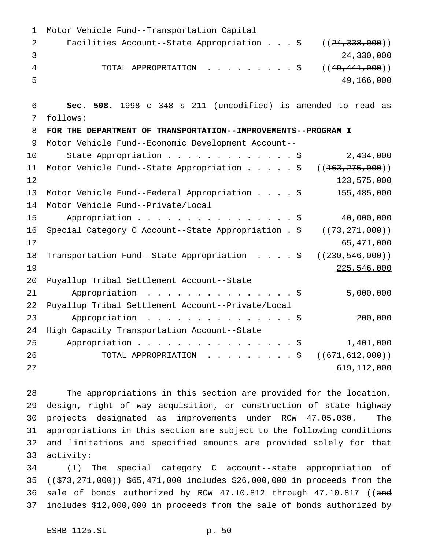Motor Vehicle Fund--Transportation Capital 2 Facilities Account--State Appropriation . . . \$ ((24,338,000)) 24,330,000 4 TOTAL APPROPRIATION . . . . . . . . \$ ((49,441,000)) 49,166,000 **Sec. 508.** 1998 c 348 s 211 (uncodified) is amended to read as follows: **FOR THE DEPARTMENT OF TRANSPORTATION--IMPROVEMENTS--PROGRAM I** Motor Vehicle Fund--Economic Development Account-- State Appropriation.............\$ 2,434,000 11 Motor Vehicle Fund--State Appropriation . . . . \$ ((163,275,000))  $123,575,000$  Motor Vehicle Fund--Federal Appropriation....\$ 155,485,000 Motor Vehicle Fund--Private/Local 15 Appropriation . . . . . . . . . . . . . . . \$ 40,000,000 16 Special Category C Account--State Appropriation . \$ ((73,271,000)) 65,471,000 18 Transportation Fund--State Appropriation . . . . \$ ((230,546,000)) 225,546,000 Puyallup Tribal Settlement Account--State 21 Appropriation . . . . . . . . . . . . . \$ 5,000,000 Puyallup Tribal Settlement Account--Private/Local 23 Appropriation . . . . . . . . . . . . . . \$ 200,000 High Capacity Transportation Account--State 25 Appropriation . . . . . . . . . . . . . . \$ 1,401,000 26 TOTAL APPROPRIATION . . . . . . . . \$ ((<del>671,612,000</del>)) 619,112,000

 The appropriations in this section are provided for the location, design, right of way acquisition, or construction of state highway projects designated as improvements under RCW 47.05.030. The appropriations in this section are subject to the following conditions and limitations and specified amounts are provided solely for that activity:

 (1) The special category C account--state appropriation of 35 ((\$73,271,000)) \$65,471,000 includes \$26,000,000 in proceeds from the 36 sale of bonds authorized by RCW 47.10.812 through 47.10.817 ((and includes \$12,000,000 in proceeds from the sale of bonds authorized by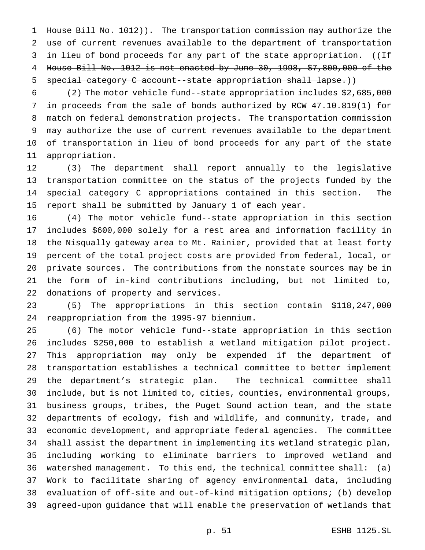1 House Bill No. 1012)). The transportation commission may authorize the use of current revenues available to the department of transportation 3 in lieu of bond proceeds for any part of the state appropriation. (( $\pm$  House Bill No. 1012 is not enacted by June 30, 1998, \$7,800,000 of the special category C account--state appropriation shall lapse.))

 (2) The motor vehicle fund--state appropriation includes \$2,685,000 in proceeds from the sale of bonds authorized by RCW 47.10.819(1) for match on federal demonstration projects. The transportation commission may authorize the use of current revenues available to the department of transportation in lieu of bond proceeds for any part of the state appropriation.

 (3) The department shall report annually to the legislative transportation committee on the status of the projects funded by the special category C appropriations contained in this section. The report shall be submitted by January 1 of each year.

 (4) The motor vehicle fund--state appropriation in this section includes \$600,000 solely for a rest area and information facility in the Nisqually gateway area to Mt. Rainier, provided that at least forty percent of the total project costs are provided from federal, local, or private sources. The contributions from the nonstate sources may be in the form of in-kind contributions including, but not limited to, donations of property and services.

 (5) The appropriations in this section contain \$118,247,000 reappropriation from the 1995-97 biennium.

 (6) The motor vehicle fund--state appropriation in this section includes \$250,000 to establish a wetland mitigation pilot project. This appropriation may only be expended if the department of transportation establishes a technical committee to better implement the department's strategic plan. The technical committee shall include, but is not limited to, cities, counties, environmental groups, business groups, tribes, the Puget Sound action team, and the state departments of ecology, fish and wildlife, and community, trade, and economic development, and appropriate federal agencies. The committee shall assist the department in implementing its wetland strategic plan, including working to eliminate barriers to improved wetland and watershed management. To this end, the technical committee shall: (a) Work to facilitate sharing of agency environmental data, including evaluation of off-site and out-of-kind mitigation options; (b) develop agreed-upon guidance that will enable the preservation of wetlands that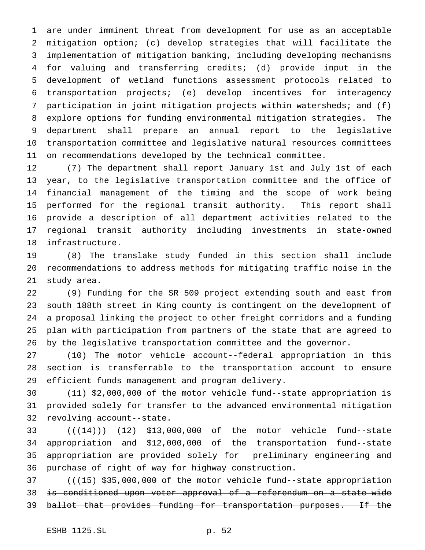are under imminent threat from development for use as an acceptable mitigation option; (c) develop strategies that will facilitate the implementation of mitigation banking, including developing mechanisms for valuing and transferring credits; (d) provide input in the development of wetland functions assessment protocols related to transportation projects; (e) develop incentives for interagency participation in joint mitigation projects within watersheds; and (f) explore options for funding environmental mitigation strategies. The department shall prepare an annual report to the legislative transportation committee and legislative natural resources committees on recommendations developed by the technical committee.

 (7) The department shall report January 1st and July 1st of each year, to the legislative transportation committee and the office of financial management of the timing and the scope of work being performed for the regional transit authority. This report shall provide a description of all department activities related to the regional transit authority including investments in state-owned infrastructure.

 (8) The translake study funded in this section shall include recommendations to address methods for mitigating traffic noise in the study area.

 (9) Funding for the SR 509 project extending south and east from south 188th street in King county is contingent on the development of a proposal linking the project to other freight corridors and a funding plan with participation from partners of the state that are agreed to by the legislative transportation committee and the governor.

 (10) The motor vehicle account--federal appropriation in this section is transferrable to the transportation account to ensure efficient funds management and program delivery.

 (11) \$2,000,000 of the motor vehicle fund--state appropriation is provided solely for transfer to the advanced environmental mitigation revolving account--state.

 $((+14))$   $(12)$  \$13,000,000 of the motor vehicle fund--state appropriation and \$12,000,000 of the transportation fund--state appropriation are provided solely for preliminary engineering and purchase of right of way for highway construction.

37 (( $(15)$  \$35,000,000 of the motor vehicle fund--state appropriation is conditioned upon voter approval of a referendum on a state-wide 39 ballot that provides funding for transportation purposes. If the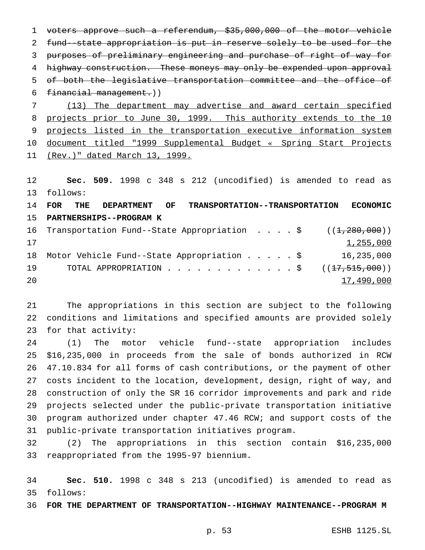voters approve such a referendum, \$35,000,000 of the motor vehicle fund--state appropriation is put in reserve solely to be used for the purposes of preliminary engineering and purchase of right of way for 4 highway construction. These moneys may only be expended upon approval of both the legislative transportation committee and the office of financial management.)) (13) The department may advertise and award certain specified

8 projects prior to June 30, 1999. This authority extends to the 10 9 projects listed in the transportation executive information system document titled "1999 Supplemental Budget « Spring Start Projects (Rev.)" dated March 13, 1999.

 **Sec. 509.** 1998 c 348 s 212 (uncodified) is amended to read as follows:

 **FOR THE DEPARTMENT OF TRANSPORTATION--TRANSPORTATION ECONOMIC PARTNERSHIPS--PROGRAM K**

16 Transportation Fund--State Appropriation . . . . \$ ((<del>1,280,000</del>))  $1,255,000$  Motor Vehicle Fund--State Appropriation.....\$ 16,235,000 19 TOTAL APPROPRIATION . . . . . . . . . . . . \$ ((<del>17,515,000</del>)) and  $17,490,000$  and  $17,490,000$ 

 The appropriations in this section are subject to the following conditions and limitations and specified amounts are provided solely for that activity:

 (1) The motor vehicle fund--state appropriation includes \$16,235,000 in proceeds from the sale of bonds authorized in RCW 47.10.834 for all forms of cash contributions, or the payment of other costs incident to the location, development, design, right of way, and construction of only the SR 16 corridor improvements and park and ride projects selected under the public-private transportation initiative program authorized under chapter 47.46 RCW; and support costs of the public-private transportation initiatives program.

 (2) The appropriations in this section contain \$16,235,000 reappropriated from the 1995-97 biennium.

 **Sec. 510.** 1998 c 348 s 213 (uncodified) is amended to read as follows:

**FOR THE DEPARTMENT OF TRANSPORTATION--HIGHWAY MAINTENANCE--PROGRAM M**

p. 53 ESHB 1125.SL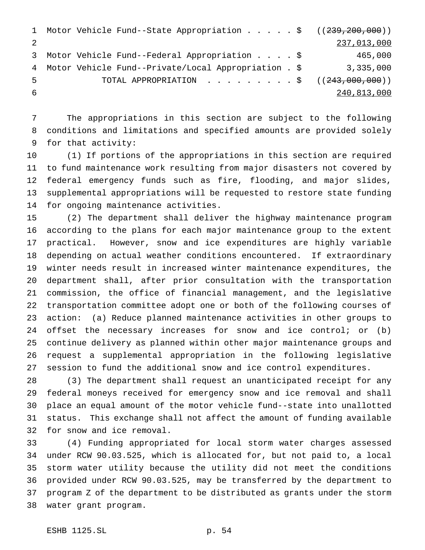```
1 Motor Vehicle Fund--State Appropriation . . . . $ ((239,200,000))
2 237,013,000
3 Motor Vehicle Fund--Federal Appropriation....$ 465,000
4 Motor Vehicle Fund--Private/Local Appropriation . $ 3,335,000
5 TOTAL APPROPRIATION . . . . . . . . $ ((243,000,000))
6 240,813,000
```
 The appropriations in this section are subject to the following conditions and limitations and specified amounts are provided solely for that activity:

 (1) If portions of the appropriations in this section are required to fund maintenance work resulting from major disasters not covered by federal emergency funds such as fire, flooding, and major slides, supplemental appropriations will be requested to restore state funding for ongoing maintenance activities.

 (2) The department shall deliver the highway maintenance program according to the plans for each major maintenance group to the extent practical. However, snow and ice expenditures are highly variable depending on actual weather conditions encountered. If extraordinary winter needs result in increased winter maintenance expenditures, the department shall, after prior consultation with the transportation commission, the office of financial management, and the legislative transportation committee adopt one or both of the following courses of action: (a) Reduce planned maintenance activities in other groups to offset the necessary increases for snow and ice control; or (b) continue delivery as planned within other major maintenance groups and request a supplemental appropriation in the following legislative session to fund the additional snow and ice control expenditures.

 (3) The department shall request an unanticipated receipt for any federal moneys received for emergency snow and ice removal and shall place an equal amount of the motor vehicle fund--state into unallotted status. This exchange shall not affect the amount of funding available for snow and ice removal.

 (4) Funding appropriated for local storm water charges assessed under RCW 90.03.525, which is allocated for, but not paid to, a local storm water utility because the utility did not meet the conditions provided under RCW 90.03.525, may be transferred by the department to program Z of the department to be distributed as grants under the storm water grant program.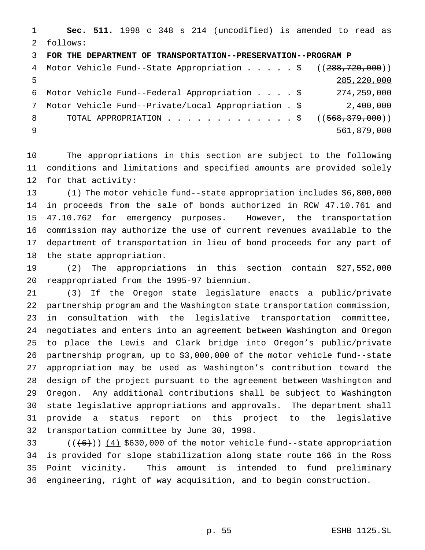**Sec. 511.** 1998 c 348 s 214 (uncodified) is amended to read as follows:

**FOR THE DEPARTMENT OF TRANSPORTATION--PRESERVATION--PROGRAM P**

|               | 4 Motor Vehicle Fund--State Appropriation \$ ((288,720,000)) |               |
|---------------|--------------------------------------------------------------|---------------|
| -5            |                                                              | 285, 220, 000 |
|               | 6 Motor Vehicle Fund--Federal Appropriation \$               | 274,259,000   |
| $\mathcal{T}$ | Motor Vehicle Fund--Private/Local Appropriation . \$         | 2,400,000     |
| $8 -$         | TOTAL APPROPRIATION \$ $((568,379,000))$                     |               |
| - 9           |                                                              | 561,879,000   |

 The appropriations in this section are subject to the following conditions and limitations and specified amounts are provided solely for that activity:

 (1) The motor vehicle fund--state appropriation includes \$6,800,000 in proceeds from the sale of bonds authorized in RCW 47.10.761 and 47.10.762 for emergency purposes. However, the transportation commission may authorize the use of current revenues available to the department of transportation in lieu of bond proceeds for any part of the state appropriation.

 (2) The appropriations in this section contain \$27,552,000 reappropriated from the 1995-97 biennium.

 (3) If the Oregon state legislature enacts a public/private partnership program and the Washington state transportation commission, in consultation with the legislative transportation committee, negotiates and enters into an agreement between Washington and Oregon to place the Lewis and Clark bridge into Oregon's public/private partnership program, up to \$3,000,000 of the motor vehicle fund--state appropriation may be used as Washington's contribution toward the design of the project pursuant to the agreement between Washington and Oregon. Any additional contributions shall be subject to Washington state legislative appropriations and approvals. The department shall provide a status report on this project to the legislative transportation committee by June 30, 1998.

 $((+6))$   $(4)$  \$630,000 of the motor vehicle fund--state appropriation is provided for slope stabilization along state route 166 in the Ross Point vicinity. This amount is intended to fund preliminary engineering, right of way acquisition, and to begin construction.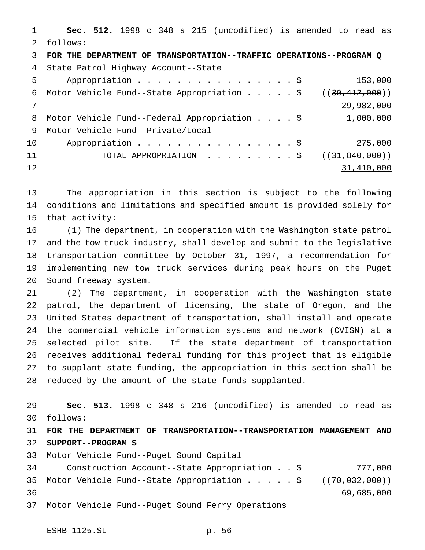**Sec. 512.** 1998 c 348 s 215 (uncodified) is amended to read as follows: **FOR THE DEPARTMENT OF TRANSPORTATION--TRAFFIC OPERATIONS--PROGRAM Q** State Patrol Highway Account--State 5 Appropriation . . . . . . . . . . . . . . . \$ 153,000 6 Motor Vehicle Fund--State Appropriation . . . . \$ ((30,412,000)) 29,982,000 8 Motor Vehicle Fund--Federal Appropriation . . . . \$ 1,000,000 Motor Vehicle Fund--Private/Local 10 Appropriation . . . . . . . . . . . . . . \$ 275,000 11 TOTAL APPROPRIATION . . . . . . . . \$ ((<del>31,840,000</del>)) 31,410,000

 The appropriation in this section is subject to the following conditions and limitations and specified amount is provided solely for that activity:

 (1) The department, in cooperation with the Washington state patrol and the tow truck industry, shall develop and submit to the legislative transportation committee by October 31, 1997, a recommendation for implementing new tow truck services during peak hours on the Puget Sound freeway system.

 (2) The department, in cooperation with the Washington state patrol, the department of licensing, the state of Oregon, and the United States department of transportation, shall install and operate the commercial vehicle information systems and network (CVISN) at a selected pilot site. If the state department of transportation receives additional federal funding for this project that is eligible to supplant state funding, the appropriation in this section shall be reduced by the amount of the state funds supplanted.

 **Sec. 513.** 1998 c 348 s 216 (uncodified) is amended to read as follows:

 **FOR THE DEPARTMENT OF TRANSPORTATION--TRANSPORTATION MANAGEMENT AND SUPPORT--PROGRAM S**

Motor Vehicle Fund--Puget Sound Capital

 Construction Account--State Appropriation..\$ 777,000 35 Motor Vehicle Fund--State Appropriation . . . . \$ ((70,032,000)) 69,685,000 Motor Vehicle Fund--Puget Sound Ferry Operations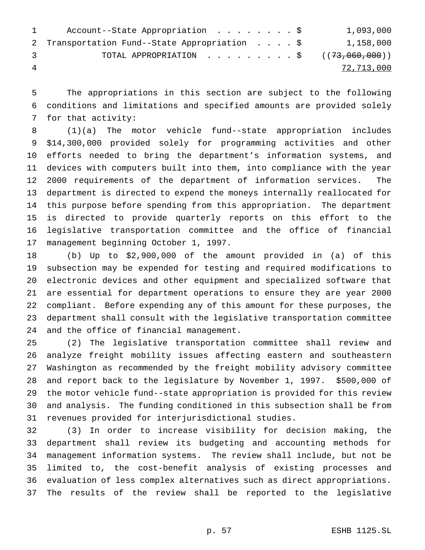|               | Account--State Appropriation \$                      |  |  | 1,093,000  |
|---------------|------------------------------------------------------|--|--|------------|
|               | 2 Transportation Fund--State Appropriation \$        |  |  | 1,158,000  |
| $\mathcal{R}$ | TOTAL APPROPRIATION $\ldots$ , \$ ( $(73,060,000)$ ) |  |  |            |
| 4             |                                                      |  |  | 72,713,000 |

 The appropriations in this section are subject to the following conditions and limitations and specified amounts are provided solely for that activity:

 (1)(a) The motor vehicle fund--state appropriation includes \$14,300,000 provided solely for programming activities and other efforts needed to bring the department's information systems, and devices with computers built into them, into compliance with the year 2000 requirements of the department of information services. The department is directed to expend the moneys internally reallocated for this purpose before spending from this appropriation. The department is directed to provide quarterly reports on this effort to the legislative transportation committee and the office of financial management beginning October 1, 1997.

 (b) Up to \$2,900,000 of the amount provided in (a) of this subsection may be expended for testing and required modifications to electronic devices and other equipment and specialized software that are essential for department operations to ensure they are year 2000 compliant. Before expending any of this amount for these purposes, the department shall consult with the legislative transportation committee and the office of financial management.

 (2) The legislative transportation committee shall review and analyze freight mobility issues affecting eastern and southeastern Washington as recommended by the freight mobility advisory committee and report back to the legislature by November 1, 1997. \$500,000 of the motor vehicle fund--state appropriation is provided for this review and analysis. The funding conditioned in this subsection shall be from revenues provided for interjurisdictional studies.

 (3) In order to increase visibility for decision making, the department shall review its budgeting and accounting methods for management information systems. The review shall include, but not be limited to, the cost-benefit analysis of existing processes and evaluation of less complex alternatives such as direct appropriations. The results of the review shall be reported to the legislative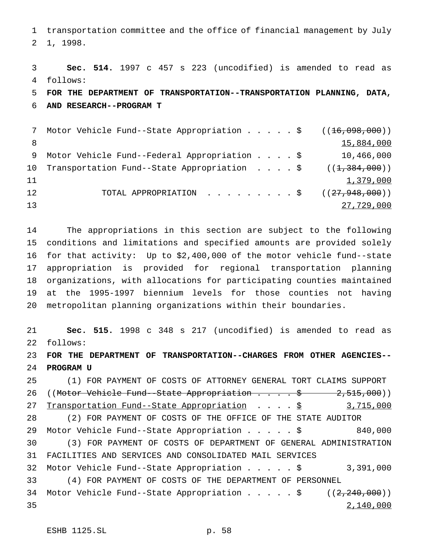transportation committee and the office of financial management by July 1, 1998.

 **Sec. 514.** 1997 c 457 s 223 (uncodified) is amended to read as follows: **FOR THE DEPARTMENT OF TRANSPORTATION--TRANSPORTATION PLANNING, DATA, AND RESEARCH--PROGRAM T** 7 Motor Vehicle Fund--State Appropriation . . . . \$ ((<del>16,098,000</del>)) 8 15,884,000

 Motor Vehicle Fund--Federal Appropriation....\$ 10,466,000 10 Transportation Fund--State Appropriation . . . \$ ((1,384,000))  $1,379,000$ 12 TOTAL APPROPRIATION . . . . . . . . \$ ((<del>27,948,000</del>)) 27,729,000

 The appropriations in this section are subject to the following conditions and limitations and specified amounts are provided solely for that activity: Up to \$2,400,000 of the motor vehicle fund--state appropriation is provided for regional transportation planning organizations, with allocations for participating counties maintained at the 1995-1997 biennium levels for those counties not having metropolitan planning organizations within their boundaries.

 **Sec. 515.** 1998 c 348 s 217 (uncodified) is amended to read as follows: **FOR THE DEPARTMENT OF TRANSPORTATION--CHARGES FROM OTHER AGENCIES-- PROGRAM U** (1) FOR PAYMENT OF COSTS OF ATTORNEY GENERAL TORT CLAIMS SUPPORT 26 ((Motor Vehicle Fund--State Appropriation . . . \$ 2,515,000))

27 Transportation Fund--State Appropriation . . . . \$ 3,715,000 (2) FOR PAYMENT OF COSTS OF THE OFFICE OF THE STATE AUDITOR Motor Vehicle Fund--State Appropriation.....\$ 840,000 (3) FOR PAYMENT OF COSTS OF DEPARTMENT OF GENERAL ADMINISTRATION FACILITIES AND SERVICES AND CONSOLIDATED MAIL SERVICES Motor Vehicle Fund--State Appropriation.....\$ 3,391,000 (4) FOR PAYMENT OF COSTS OF THE DEPARTMENT OF PERSONNEL 34 Motor Vehicle Fund--State Appropriation . . . . \$ ((2,240,000)) 2,140,000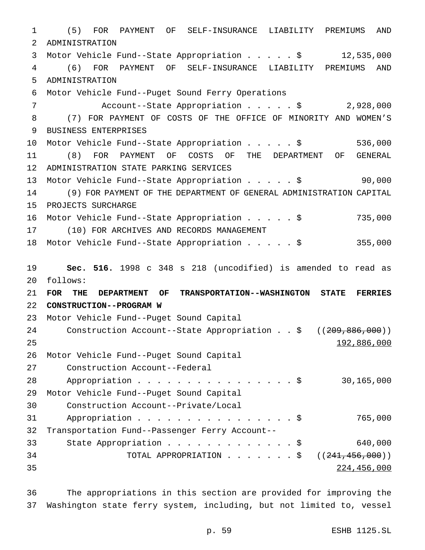(5) FOR PAYMENT OF SELF-INSURANCE LIABILITY PREMIUMS AND ADMINISTRATION Motor Vehicle Fund--State Appropriation.....\$ 12,535,000 (6) FOR PAYMENT OF SELF-INSURANCE LIABILITY PREMIUMS AND ADMINISTRATION Motor Vehicle Fund--Puget Sound Ferry Operations Account--State Appropriation.....\$ 2,928,000 (7) FOR PAYMENT OF COSTS OF THE OFFICE OF MINORITY AND WOMEN'S BUSINESS ENTERPRISES Motor Vehicle Fund--State Appropriation.....\$ 536,000 (8) FOR PAYMENT OF COSTS OF THE DEPARTMENT OF GENERAL ADMINISTRATION STATE PARKING SERVICES Motor Vehicle Fund--State Appropriation.....\$ 90,000 (9) FOR PAYMENT OF THE DEPARTMENT OF GENERAL ADMINISTRATION CAPITAL PROJECTS SURCHARGE Motor Vehicle Fund--State Appropriation.....\$ 735,000 (10) FOR ARCHIVES AND RECORDS MANAGEMENT Motor Vehicle Fund--State Appropriation.....\$ 355,000 **Sec. 516.** 1998 c 348 s 218 (uncodified) is amended to read as follows: **FOR THE DEPARTMENT OF TRANSPORTATION--WASHINGTON STATE FERRIES CONSTRUCTION--PROGRAM W** Motor Vehicle Fund--Puget Sound Capital 24 Construction Account--State Appropriation . . \$ ((209,886,000)) 192,886,000 Motor Vehicle Fund--Puget Sound Capital Construction Account--Federal 28 Appropriation . . . . . . . . . . . . . . \$ 30,165,000 Motor Vehicle Fund--Puget Sound Capital Construction Account--Private/Local 31 Appropriation . . . . . . . . . . . . . . . \$ 765,000 Transportation Fund--Passenger Ferry Account-- State Appropriation.............\$ 640,000 34 TOTAL APPROPRIATION . . . . . . \$ ((<del>241,456,000</del>)) 224,456,000

 The appropriations in this section are provided for improving the Washington state ferry system, including, but not limited to, vessel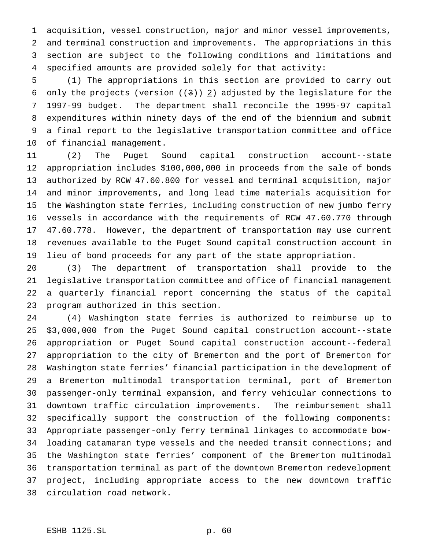acquisition, vessel construction, major and minor vessel improvements, and terminal construction and improvements. The appropriations in this section are subject to the following conditions and limitations and specified amounts are provided solely for that activity:

 (1) The appropriations in this section are provided to carry out 6 only the projects (version  $((3))$   $(2)$  adjusted by the legislature for the 1997-99 budget. The department shall reconcile the 1995-97 capital expenditures within ninety days of the end of the biennium and submit a final report to the legislative transportation committee and office of financial management.

 (2) The Puget Sound capital construction account--state appropriation includes \$100,000,000 in proceeds from the sale of bonds authorized by RCW 47.60.800 for vessel and terminal acquisition, major and minor improvements, and long lead time materials acquisition for the Washington state ferries, including construction of new jumbo ferry vessels in accordance with the requirements of RCW 47.60.770 through 47.60.778. However, the department of transportation may use current revenues available to the Puget Sound capital construction account in lieu of bond proceeds for any part of the state appropriation.

 (3) The department of transportation shall provide to the legislative transportation committee and office of financial management a quarterly financial report concerning the status of the capital program authorized in this section.

 (4) Washington state ferries is authorized to reimburse up to \$3,000,000 from the Puget Sound capital construction account--state appropriation or Puget Sound capital construction account--federal appropriation to the city of Bremerton and the port of Bremerton for Washington state ferries' financial participation in the development of a Bremerton multimodal transportation terminal, port of Bremerton passenger-only terminal expansion, and ferry vehicular connections to downtown traffic circulation improvements. The reimbursement shall specifically support the construction of the following components: Appropriate passenger-only ferry terminal linkages to accommodate bow-34 loading catamaran type vessels and the needed transit connections; and the Washington state ferries' component of the Bremerton multimodal transportation terminal as part of the downtown Bremerton redevelopment project, including appropriate access to the new downtown traffic circulation road network.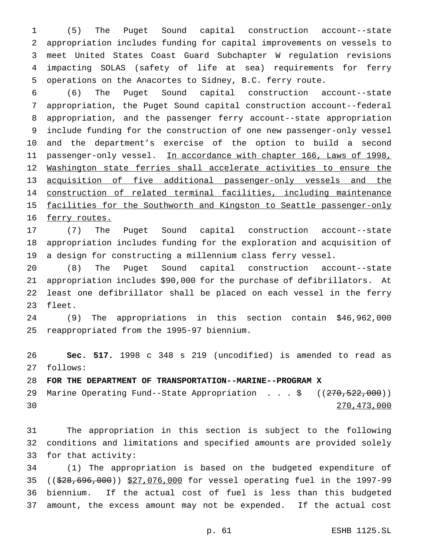(5) The Puget Sound capital construction account--state appropriation includes funding for capital improvements on vessels to meet United States Coast Guard Subchapter W regulation revisions impacting SOLAS (safety of life at sea) requirements for ferry operations on the Anacortes to Sidney, B.C. ferry route.

 (6) The Puget Sound capital construction account--state appropriation, the Puget Sound capital construction account--federal appropriation, and the passenger ferry account--state appropriation include funding for the construction of one new passenger-only vessel and the department's exercise of the option to build a second passenger-only vessel. In accordance with chapter 166, Laws of 1998, 12 Washington state ferries shall accelerate activities to ensure the acquisition of five additional passenger-only vessels and the construction of related terminal facilities, including maintenance 15 facilities for the Southworth and Kingston to Seattle passenger-only 16 ferry routes.

 (7) The Puget Sound capital construction account--state appropriation includes funding for the exploration and acquisition of a design for constructing a millennium class ferry vessel.

 (8) The Puget Sound capital construction account--state appropriation includes \$90,000 for the purchase of defibrillators. At least one defibrillator shall be placed on each vessel in the ferry fleet.

 (9) The appropriations in this section contain \$46,962,000 reappropriated from the 1995-97 biennium.

 **Sec. 517.** 1998 c 348 s 219 (uncodified) is amended to read as follows:

**FOR THE DEPARTMENT OF TRANSPORTATION--MARINE--PROGRAM X**

29 Marine Operating Fund--State Appropriation . . . \$ ((270,522,000)) 270,473,000

 The appropriation in this section is subject to the following conditions and limitations and specified amounts are provided solely for that activity:

 (1) The appropriation is based on the budgeted expenditure of ((\$28,696,000)) \$27,076,000 for vessel operating fuel in the 1997-99 biennium. If the actual cost of fuel is less than this budgeted amount, the excess amount may not be expended. If the actual cost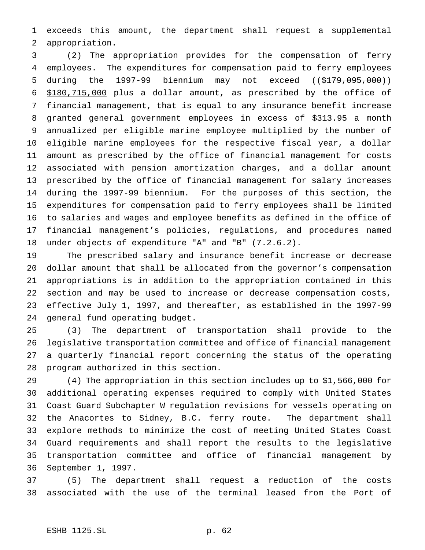exceeds this amount, the department shall request a supplemental appropriation.

 (2) The appropriation provides for the compensation of ferry employees. The expenditures for compensation paid to ferry employees 5 during the 1997-99 biennium may not exceed ((\$179,095,000)) \$180,715,000 plus a dollar amount, as prescribed by the office of financial management, that is equal to any insurance benefit increase granted general government employees in excess of \$313.95 a month annualized per eligible marine employee multiplied by the number of eligible marine employees for the respective fiscal year, a dollar amount as prescribed by the office of financial management for costs associated with pension amortization charges, and a dollar amount prescribed by the office of financial management for salary increases during the 1997-99 biennium. For the purposes of this section, the expenditures for compensation paid to ferry employees shall be limited to salaries and wages and employee benefits as defined in the office of financial management's policies, regulations, and procedures named under objects of expenditure "A" and "B" (7.2.6.2).

 The prescribed salary and insurance benefit increase or decrease dollar amount that shall be allocated from the governor's compensation appropriations is in addition to the appropriation contained in this section and may be used to increase or decrease compensation costs, effective July 1, 1997, and thereafter, as established in the 1997-99 general fund operating budget.

 (3) The department of transportation shall provide to the legislative transportation committee and office of financial management a quarterly financial report concerning the status of the operating program authorized in this section.

 (4) The appropriation in this section includes up to \$1,566,000 for additional operating expenses required to comply with United States Coast Guard Subchapter W regulation revisions for vessels operating on the Anacortes to Sidney, B.C. ferry route. The department shall explore methods to minimize the cost of meeting United States Coast Guard requirements and shall report the results to the legislative transportation committee and office of financial management by September 1, 1997.

 (5) The department shall request a reduction of the costs associated with the use of the terminal leased from the Port of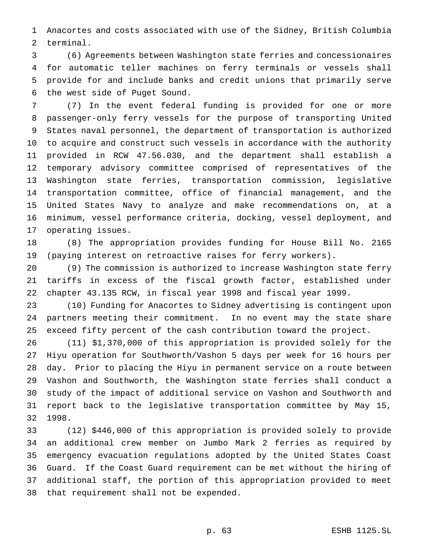Anacortes and costs associated with use of the Sidney, British Columbia terminal.

 (6) Agreements between Washington state ferries and concessionaires for automatic teller machines on ferry terminals or vessels shall provide for and include banks and credit unions that primarily serve the west side of Puget Sound.

 (7) In the event federal funding is provided for one or more passenger-only ferry vessels for the purpose of transporting United States naval personnel, the department of transportation is authorized to acquire and construct such vessels in accordance with the authority provided in RCW 47.56.030, and the department shall establish a temporary advisory committee comprised of representatives of the Washington state ferries, transportation commission, legislative transportation committee, office of financial management, and the United States Navy to analyze and make recommendations on, at a minimum, vessel performance criteria, docking, vessel deployment, and operating issues.

 (8) The appropriation provides funding for House Bill No. 2165 (paying interest on retroactive raises for ferry workers).

 (9) The commission is authorized to increase Washington state ferry tariffs in excess of the fiscal growth factor, established under chapter 43.135 RCW, in fiscal year 1998 and fiscal year 1999.

 (10) Funding for Anacortes to Sidney advertising is contingent upon partners meeting their commitment. In no event may the state share exceed fifty percent of the cash contribution toward the project.

 (11) \$1,370,000 of this appropriation is provided solely for the Hiyu operation for Southworth/Vashon 5 days per week for 16 hours per day. Prior to placing the Hiyu in permanent service on a route between Vashon and Southworth, the Washington state ferries shall conduct a study of the impact of additional service on Vashon and Southworth and report back to the legislative transportation committee by May 15, 1998.

 (12) \$446,000 of this appropriation is provided solely to provide an additional crew member on Jumbo Mark 2 ferries as required by emergency evacuation regulations adopted by the United States Coast Guard. If the Coast Guard requirement can be met without the hiring of additional staff, the portion of this appropriation provided to meet that requirement shall not be expended.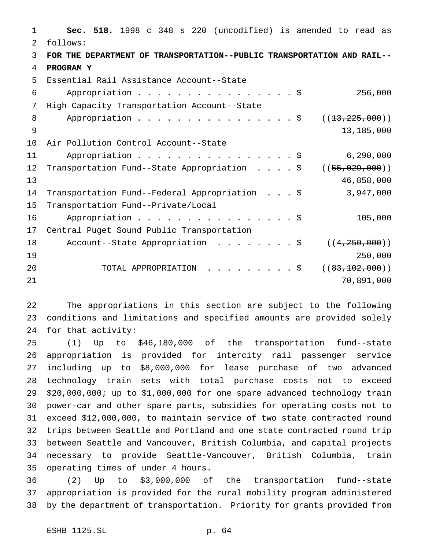**Sec. 518.** 1998 c 348 s 220 (uncodified) is amended to read as follows: **FOR THE DEPARTMENT OF TRANSPORTATION--PUBLIC TRANSPORTATION AND RAIL-- PROGRAM Y** Essential Rail Assistance Account--State Appropriation................\$ 256,000 High Capacity Transportation Account--State 8 Appropriation . . . . . . . . . . . . . . \$ ((13,225,000)) 13,185,000 Air Pollution Control Account--State 11 Appropriation . . . . . . . . . . . . . . . \$ 6,290,000 12 Transportation Fund--State Appropriation . . . \$ ((55,029,000)) 46,858,000 Transportation Fund--Federal Appropriation ...\$ 3,947,000 Transportation Fund--Private/Local 16 Appropriation . . . . . . . . . . . . . . . \$ 105,000 Central Puget Sound Public Transportation 18 Account--State Appropriation . . . . . . . \$ ((4,250,000)) 250,000 20 TOTAL APPROPRIATION . . . . . . . . \$ ((83,102,000)) 70,891,000

 The appropriations in this section are subject to the following conditions and limitations and specified amounts are provided solely for that activity:

 (1) Up to \$46,180,000 of the transportation fund--state appropriation is provided for intercity rail passenger service including up to \$8,000,000 for lease purchase of two advanced technology train sets with total purchase costs not to exceed \$20,000,000; up to \$1,000,000 for one spare advanced technology train power-car and other spare parts, subsidies for operating costs not to exceed \$12,000,000, to maintain service of two state contracted round trips between Seattle and Portland and one state contracted round trip between Seattle and Vancouver, British Columbia, and capital projects necessary to provide Seattle-Vancouver, British Columbia, train operating times of under 4 hours.

 (2) Up to \$3,000,000 of the transportation fund--state appropriation is provided for the rural mobility program administered by the department of transportation. Priority for grants provided from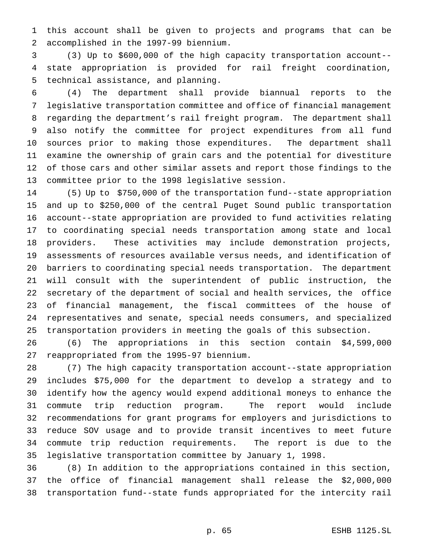this account shall be given to projects and programs that can be accomplished in the 1997-99 biennium.

 (3) Up to \$600,000 of the high capacity transportation account-- state appropriation is provided for rail freight coordination, technical assistance, and planning.

 (4) The department shall provide biannual reports to the legislative transportation committee and office of financial management regarding the department's rail freight program. The department shall also notify the committee for project expenditures from all fund sources prior to making those expenditures. The department shall examine the ownership of grain cars and the potential for divestiture of those cars and other similar assets and report those findings to the committee prior to the 1998 legislative session.

 (5) Up to \$750,000 of the transportation fund--state appropriation and up to \$250,000 of the central Puget Sound public transportation account--state appropriation are provided to fund activities relating to coordinating special needs transportation among state and local providers. These activities may include demonstration projects, assessments of resources available versus needs, and identification of barriers to coordinating special needs transportation. The department will consult with the superintendent of public instruction, the secretary of the department of social and health services, the office of financial management, the fiscal committees of the house of representatives and senate, special needs consumers, and specialized transportation providers in meeting the goals of this subsection.

 (6) The appropriations in this section contain \$4,599,000 reappropriated from the 1995-97 biennium.

 (7) The high capacity transportation account--state appropriation includes \$75,000 for the department to develop a strategy and to identify how the agency would expend additional moneys to enhance the commute trip reduction program. The report would include recommendations for grant programs for employers and jurisdictions to reduce SOV usage and to provide transit incentives to meet future commute trip reduction requirements. The report is due to the legislative transportation committee by January 1, 1998.

 (8) In addition to the appropriations contained in this section, the office of financial management shall release the \$2,000,000 transportation fund--state funds appropriated for the intercity rail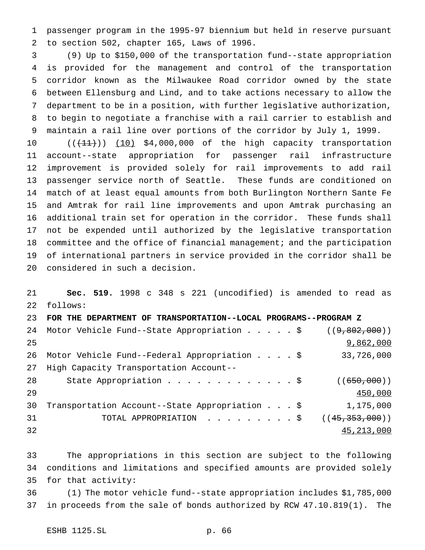passenger program in the 1995-97 biennium but held in reserve pursuant to section 502, chapter 165, Laws of 1996.

 (9) Up to \$150,000 of the transportation fund--state appropriation is provided for the management and control of the transportation corridor known as the Milwaukee Road corridor owned by the state between Ellensburg and Lind, and to take actions necessary to allow the department to be in a position, with further legislative authorization, to begin to negotiate a franchise with a rail carrier to establish and maintain a rail line over portions of the corridor by July 1, 1999.

10 (( $(11)$ )) (10) \$4,000,000 of the high capacity transportation account--state appropriation for passenger rail infrastructure improvement is provided solely for rail improvements to add rail passenger service north of Seattle. These funds are conditioned on match of at least equal amounts from both Burlington Northern Sante Fe and Amtrak for rail line improvements and upon Amtrak purchasing an additional train set for operation in the corridor. These funds shall not be expended until authorized by the legislative transportation 18 committee and the office of financial management; and the participation of international partners in service provided in the corridor shall be considered in such a decision.

 **Sec. 519.** 1998 c 348 s 221 (uncodified) is amended to read as follows: **FOR THE DEPARTMENT OF TRANSPORTATION--LOCAL PROGRAMS--PROGRAM Z**

|    | 24 Motor Vehicle Fund--State Appropriation \$  | (9,802,000)      |
|----|------------------------------------------------|------------------|
| 25 |                                                | 9,862,000        |
| 26 | Motor Vehicle Fund--Federal Appropriation \$   | 33,726,000       |
| 27 | High Capacity Transportation Account--         |                  |
| 28 | State Appropriation \$                         | ((650,000))      |
| 29 |                                                | 450,000          |
| 30 | Transportation Account--State Appropriation \$ | 1,175,000        |
| 31 | TOTAL APPROPRIATION \$                         | ((45, 353, 000)) |
| 32 |                                                | 45, 213, 000     |

 The appropriations in this section are subject to the following conditions and limitations and specified amounts are provided solely for that activity:

 (1) The motor vehicle fund--state appropriation includes \$1,785,000 in proceeds from the sale of bonds authorized by RCW 47.10.819(1). The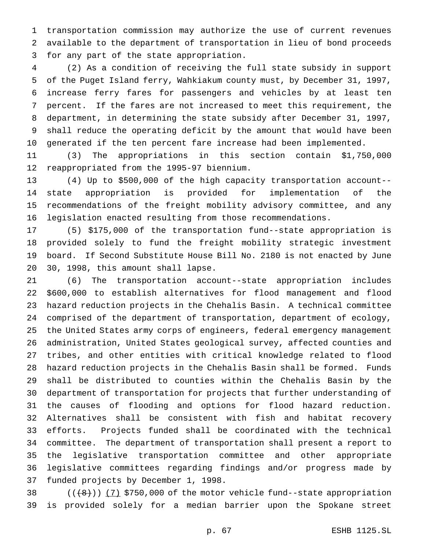transportation commission may authorize the use of current revenues available to the department of transportation in lieu of bond proceeds for any part of the state appropriation.

 (2) As a condition of receiving the full state subsidy in support of the Puget Island ferry, Wahkiakum county must, by December 31, 1997, increase ferry fares for passengers and vehicles by at least ten percent. If the fares are not increased to meet this requirement, the department, in determining the state subsidy after December 31, 1997, shall reduce the operating deficit by the amount that would have been generated if the ten percent fare increase had been implemented.

 (3) The appropriations in this section contain \$1,750,000 reappropriated from the 1995-97 biennium.

 (4) Up to \$500,000 of the high capacity transportation account-- state appropriation is provided for implementation of the recommendations of the freight mobility advisory committee, and any legislation enacted resulting from those recommendations.

 (5) \$175,000 of the transportation fund--state appropriation is provided solely to fund the freight mobility strategic investment board. If Second Substitute House Bill No. 2180 is not enacted by June 30, 1998, this amount shall lapse.

 (6) The transportation account--state appropriation includes \$600,000 to establish alternatives for flood management and flood hazard reduction projects in the Chehalis Basin. A technical committee comprised of the department of transportation, department of ecology, the United States army corps of engineers, federal emergency management administration, United States geological survey, affected counties and tribes, and other entities with critical knowledge related to flood hazard reduction projects in the Chehalis Basin shall be formed. Funds shall be distributed to counties within the Chehalis Basin by the department of transportation for projects that further understanding of the causes of flooding and options for flood hazard reduction. Alternatives shall be consistent with fish and habitat recovery efforts. Projects funded shall be coordinated with the technical committee. The department of transportation shall present a report to the legislative transportation committee and other appropriate legislative committees regarding findings and/or progress made by funded projects by December 1, 1998.

38  $((+8))$   $(7)$  \$750,000 of the motor vehicle fund--state appropriation is provided solely for a median barrier upon the Spokane street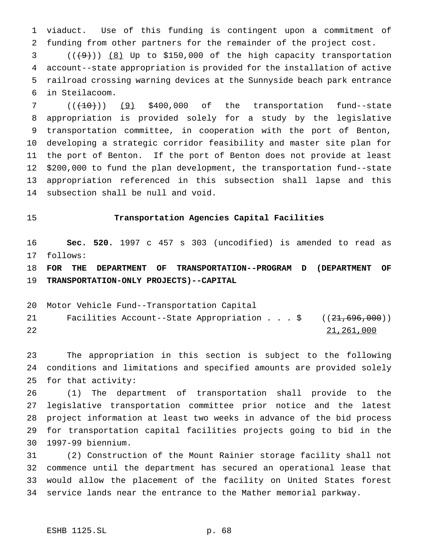viaduct. Use of this funding is contingent upon a commitment of funding from other partners for the remainder of the project cost.

  $((+9))$   $(8)$  Up to \$150,000 of the high capacity transportation account--state appropriation is provided for the installation of active railroad crossing warning devices at the Sunnyside beach park entrance in Steilacoom.

  $((+10))$   $(9)$  \$400,000 of the transportation fund--state appropriation is provided solely for a study by the legislative transportation committee, in cooperation with the port of Benton, developing a strategic corridor feasibility and master site plan for the port of Benton. If the port of Benton does not provide at least \$200,000 to fund the plan development, the transportation fund--state appropriation referenced in this subsection shall lapse and this subsection shall be null and void.

#### **Transportation Agencies Capital Facilities**

 **Sec. 520.** 1997 c 457 s 303 (uncodified) is amended to read as follows:

 **FOR THE DEPARTMENT OF TRANSPORTATION--PROGRAM D (DEPARTMENT OF TRANSPORTATION-ONLY PROJECTS)--CAPITAL**

Motor Vehicle Fund--Transportation Capital

21 Facilities Account--State Appropriation . . . \$ ((21,696,000)) 21,261,000

 The appropriation in this section is subject to the following conditions and limitations and specified amounts are provided solely for that activity:

 (1) The department of transportation shall provide to the legislative transportation committee prior notice and the latest project information at least two weeks in advance of the bid process for transportation capital facilities projects going to bid in the 1997-99 biennium.

 (2) Construction of the Mount Rainier storage facility shall not commence until the department has secured an operational lease that would allow the placement of the facility on United States forest service lands near the entrance to the Mather memorial parkway.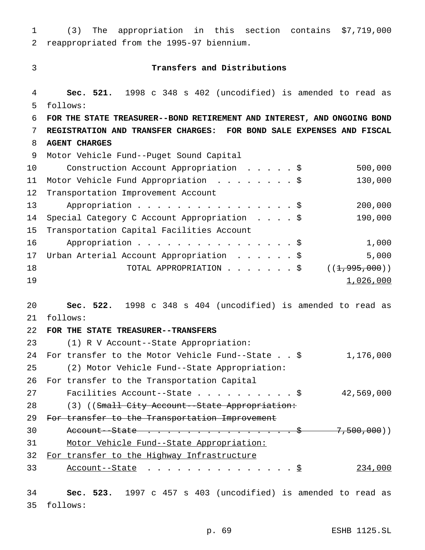(3) The appropriation in this section contains \$7,719,000 reappropriated from the 1995-97 biennium.

#### **Transfers and Distributions**

 **Sec. 521.** 1998 c 348 s 402 (uncodified) is amended to read as follows: **FOR THE STATE TREASURER--BOND RETIREMENT AND INTEREST, AND ONGOING BOND REGISTRATION AND TRANSFER CHARGES: FOR BOND SALE EXPENSES AND FISCAL AGENT CHARGES** Motor Vehicle Fund--Puget Sound Capital Construction Account Appropriation .....\$ 500,000 Motor Vehicle Fund Appropriation ........\$ 130,000 Transportation Improvement Account 13 Appropriation . . . . . . . . . . . . . . . \$ 200,000 Special Category C Account Appropriation ....\$ 190,000 Transportation Capital Facilities Account Appropriation................\$ 1,000 Urban Arterial Account Appropriation ......\$ 5,000 18 TOTAL APPROPRIATION . . . . . . \$ ((1,995,000)) 1,026,000 **Sec. 522.** 1998 c 348 s 404 (uncodified) is amended to read as follows: **FOR THE STATE TREASURER--TRANSFERS** (1) R V Account--State Appropriation: For transfer to the Motor Vehicle Fund--State..\$ 1,176,000 (2) Motor Vehicle Fund--State Appropriation: For transfer to the Transportation Capital Facilities Account--State..........\$ 42,569,000 28 (3) ((Small City Account--State Appropriation: 29 For transfer to the Transportation Improvement 30 Account--State . . . . . . . . . . . . . . \$ 7,500,000)) Motor Vehicle Fund--State Appropriation: For transfer to the Highway Infrastructure 33 Account--State . . . . . . . . . . . . . . <u>\$</u> 234,000 **Sec. 523.** 1997 c 457 s 403 (uncodified) is amended to read as follows:

p. 69 ESHB 1125.SL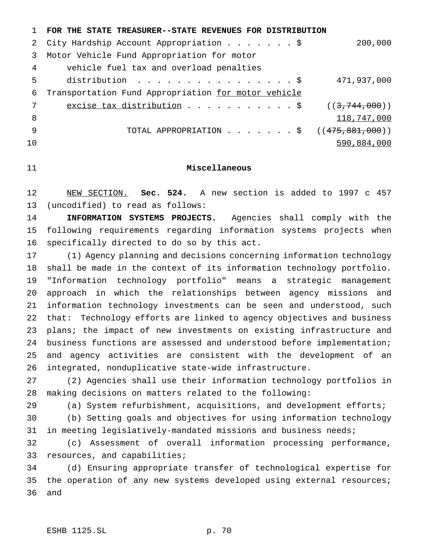|                | FOR THE STATE TREASURER--STATE REVENUES FOR DISTRIBUTION            |             |
|----------------|---------------------------------------------------------------------|-------------|
|                | City Hardship Account Appropriation \$                              | 200,000     |
| 3              | Motor Vehicle Fund Appropriation for motor                          |             |
| 4              | vehicle fuel tax and overload penalties                             |             |
| 5              | distribution $\frac{1}{2}$                                          | 471,937,000 |
| 6              | Transportation Fund Appropriation for motor vehicle                 |             |
| 7              | excise tax distribution $\ldots \ldots \ldots \ldots$ $(3,744,000)$ |             |
| 8              |                                                                     | 118,747,000 |
| 9              | TOTAL APPROPRIATION \$ $((475,881,000))$                            |             |
| 1 <sub>0</sub> |                                                                     | 590,884,000 |

### **Miscellaneous**

 NEW SECTION. **Sec. 524.** A new section is added to 1997 c 457 (uncodified) to read as follows:

 **INFORMATION SYSTEMS PROJECTS.** Agencies shall comply with the following requirements regarding information systems projects when specifically directed to do so by this act.

 (1) Agency planning and decisions concerning information technology shall be made in the context of its information technology portfolio. "Information technology portfolio" means a strategic management approach in which the relationships between agency missions and information technology investments can be seen and understood, such that: Technology efforts are linked to agency objectives and business plans; the impact of new investments on existing infrastructure and business functions are assessed and understood before implementation; and agency activities are consistent with the development of an integrated, nonduplicative state-wide infrastructure.

 (2) Agencies shall use their information technology portfolios in making decisions on matters related to the following:

(a) System refurbishment, acquisitions, and development efforts;

 (b) Setting goals and objectives for using information technology in meeting legislatively-mandated missions and business needs;

 (c) Assessment of overall information processing performance, resources, and capabilities;

 (d) Ensuring appropriate transfer of technological expertise for 35 the operation of any new systems developed using external resources; and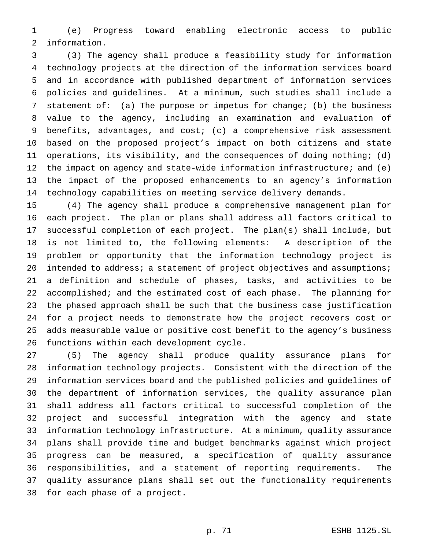(e) Progress toward enabling electronic access to public information.

 (3) The agency shall produce a feasibility study for information technology projects at the direction of the information services board and in accordance with published department of information services policies and guidelines. At a minimum, such studies shall include a statement of: (a) The purpose or impetus for change; (b) the business value to the agency, including an examination and evaluation of benefits, advantages, and cost; (c) a comprehensive risk assessment based on the proposed project's impact on both citizens and state operations, its visibility, and the consequences of doing nothing; (d) 12 the impact on agency and state-wide information infrastructure; and (e) the impact of the proposed enhancements to an agency's information technology capabilities on meeting service delivery demands.

 (4) The agency shall produce a comprehensive management plan for each project. The plan or plans shall address all factors critical to successful completion of each project. The plan(s) shall include, but is not limited to, the following elements: A description of the problem or opportunity that the information technology project is 20 intended to address; a statement of project objectives and assumptions; a definition and schedule of phases, tasks, and activities to be accomplished; and the estimated cost of each phase. The planning for the phased approach shall be such that the business case justification for a project needs to demonstrate how the project recovers cost or adds measurable value or positive cost benefit to the agency's business functions within each development cycle.

 (5) The agency shall produce quality assurance plans for information technology projects. Consistent with the direction of the information services board and the published policies and guidelines of the department of information services, the quality assurance plan shall address all factors critical to successful completion of the project and successful integration with the agency and state information technology infrastructure. At a minimum, quality assurance plans shall provide time and budget benchmarks against which project progress can be measured, a specification of quality assurance responsibilities, and a statement of reporting requirements. The quality assurance plans shall set out the functionality requirements for each phase of a project.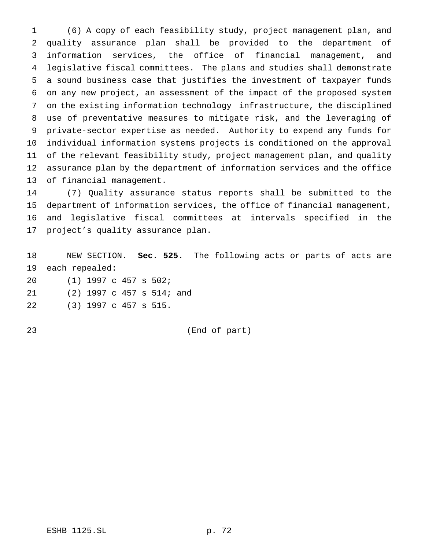(6) A copy of each feasibility study, project management plan, and quality assurance plan shall be provided to the department of information services, the office of financial management, and legislative fiscal committees. The plans and studies shall demonstrate a sound business case that justifies the investment of taxpayer funds on any new project, an assessment of the impact of the proposed system on the existing information technology infrastructure, the disciplined use of preventative measures to mitigate risk, and the leveraging of private-sector expertise as needed. Authority to expend any funds for individual information systems projects is conditioned on the approval of the relevant feasibility study, project management plan, and quality assurance plan by the department of information services and the office of financial management.

 (7) Quality assurance status reports shall be submitted to the department of information services, the office of financial management, and legislative fiscal committees at intervals specified in the project's quality assurance plan.

 NEW SECTION. **Sec. 525.** The following acts or parts of acts are each repealed: (1) 1997 c 457 s 502; (2) 1997 c 457 s 514; and

(3) 1997 c 457 s 515.

(End of part)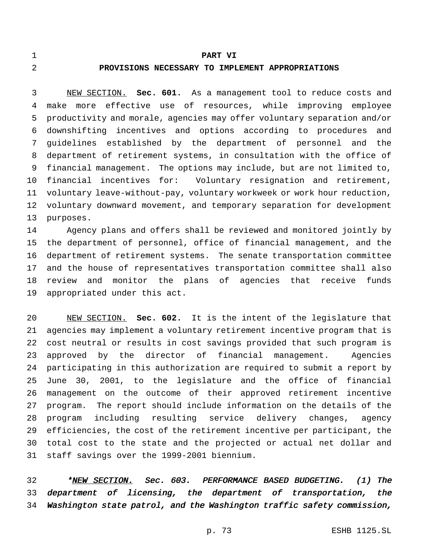#### **PART VI**

#### **PROVISIONS NECESSARY TO IMPLEMENT APPROPRIATIONS**

 NEW SECTION. **Sec. 601.** As a management tool to reduce costs and make more effective use of resources, while improving employee productivity and morale, agencies may offer voluntary separation and/or downshifting incentives and options according to procedures and guidelines established by the department of personnel and the department of retirement systems, in consultation with the office of financial management. The options may include, but are not limited to, financial incentives for: Voluntary resignation and retirement, voluntary leave-without-pay, voluntary workweek or work hour reduction, voluntary downward movement, and temporary separation for development purposes.

 Agency plans and offers shall be reviewed and monitored jointly by the department of personnel, office of financial management, and the department of retirement systems. The senate transportation committee and the house of representatives transportation committee shall also review and monitor the plans of agencies that receive funds appropriated under this act.

 NEW SECTION. **Sec. 602.** It is the intent of the legislature that agencies may implement a voluntary retirement incentive program that is cost neutral or results in cost savings provided that such program is approved by the director of financial management. Agencies participating in this authorization are required to submit a report by June 30, 2001, to the legislature and the office of financial management on the outcome of their approved retirement incentive program. The report should include information on the details of the program including resulting service delivery changes, agency efficiencies, the cost of the retirement incentive per participant, the total cost to the state and the projected or actual net dollar and staff savings over the 1999-2001 biennium.

32 \*NEW SECTION. Sec. 603. PERFORMANCE BASED BUDGETING. (1) The department of licensing, the department of transportation, the Washington state patrol, and the Washington traffic safety commission,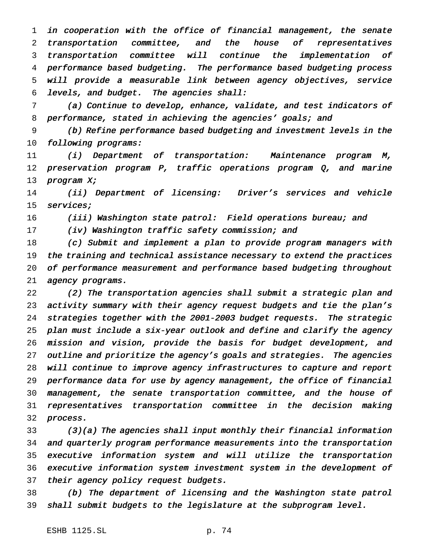in cooperation with the office of financial management, the senate transportation committee, and the house of representatives transportation committee will continue the implementation of performance based budgeting. The performance based budgeting process will provide <sup>a</sup> measurable link between agency objectives, service levels, and budget. The agencies shall:

 (a) Continue to develop, enhance, validate, and test indicators of 8 performance, stated in achieving the agencies' goals; and

 (b) Refine performance based budgeting and investment levels in the 10 following programs:

 (i) Department of transportation: Maintenance program M, preservation program P, traffic operations program Q, and marine program X;

 (ii) Department of licensing: Driver's services and vehicle services;

16 (iii) Washington state patrol: Field operations bureau; and

(iv) Washington traffic safety commission; and

 (c) Submit and implement <sup>a</sup> plan to provide program managers with 19 the training and technical assistance necessary to extend the practices of performance measurement and performance based budgeting throughout 21 agency programs.

 (2) The transportation agencies shall submit <sup>a</sup> strategic plan and activity summary with their agency request budgets and tie the plan's strategies together with the 2001-2003 budget requests. The strategic plan must include <sup>a</sup> six-year outlook and define and clarify the agency mission and vision, provide the basis for budget development, and outline and prioritize the agency's goals and strategies. The agencies will continue to improve agency infrastructures to capture and report performance data for use by agency management, the office of financial management, the senate transportation committee, and the house of representatives transportation committee in the decision making process.

 (3)(a) The agencies shall input monthly their financial information and quarterly program performance measurements into the transportation executive information system and will utilize the transportation executive information system investment system in the development of 37 their agency policy request budgets.

 (b) The department of licensing and the Washington state patrol shall submit budgets to the legislature at the subprogram level.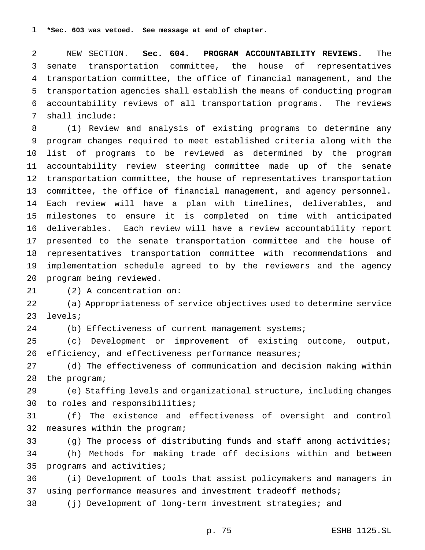NEW SECTION. **Sec. 604. PROGRAM ACCOUNTABILITY REVIEWS.** The senate transportation committee, the house of representatives transportation committee, the office of financial management, and the transportation agencies shall establish the means of conducting program accountability reviews of all transportation programs. The reviews shall include:

 (1) Review and analysis of existing programs to determine any program changes required to meet established criteria along with the list of programs to be reviewed as determined by the program accountability review steering committee made up of the senate transportation committee, the house of representatives transportation committee, the office of financial management, and agency personnel. Each review will have a plan with timelines, deliverables, and milestones to ensure it is completed on time with anticipated deliverables. Each review will have a review accountability report presented to the senate transportation committee and the house of representatives transportation committee with recommendations and implementation schedule agreed to by the reviewers and the agency program being reviewed.

(2) A concentration on:

 (a) Appropriateness of service objectives used to determine service levels;

(b) Effectiveness of current management systems;

 (c) Development or improvement of existing outcome, output, efficiency, and effectiveness performance measures;

 (d) The effectiveness of communication and decision making within the program;

 (e) Staffing levels and organizational structure, including changes to roles and responsibilities;

 (f) The existence and effectiveness of oversight and control measures within the program;

 (g) The process of distributing funds and staff among activities; (h) Methods for making trade off decisions within and between programs and activities;

 (i) Development of tools that assist policymakers and managers in using performance measures and investment tradeoff methods;

(j) Development of long-term investment strategies; and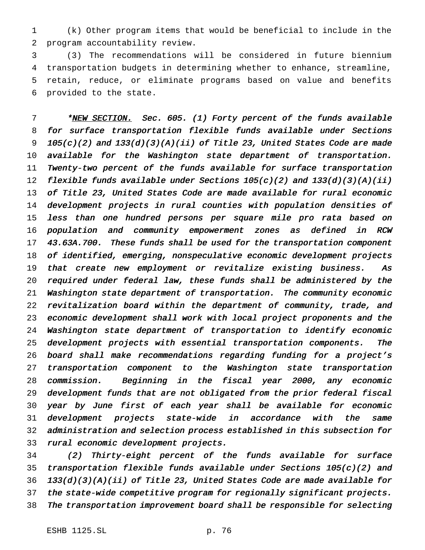(k) Other program items that would be beneficial to include in the program accountability review.

 (3) The recommendations will be considered in future biennium transportation budgets in determining whether to enhance, streamline, retain, reduce, or eliminate programs based on value and benefits provided to the state.

7 \*NEW SECTION. Sec. 605. (1) Forty percent of the funds available for surface transportation flexible funds available under Sections  $105(c)(2)$  and  $133(d)(3)(A)(ii)$  of Title 23, United States Code are made available for the Washington state department of transportation. Twenty-two percent of the funds available for surface transportation 12 flexible funds available under Sections  $105(c)(2)$  and  $133(d)(3)(A)(ii)$  of Title 23, United States Code are made available for rural economic development projects in rural counties with population densities of less than one hundred persons per square mile pro rata based on population and community empowerment zones as defined in RCW 43.63A.700. These funds shall be used for the transportation component of identified, emerging, nonspeculative economic development projects that create new employment or revitalize existing business. As required under federal law, these funds shall be administered by the Washington state department of transportation. The community economic revitalization board within the department of community, trade, and economic development shall work with local project proponents and the Washington state department of transportation to identify economic development projects with essential transportation components. The board shall make recommendations regarding funding for <sup>a</sup> project's transportation component to the Washington state transportation commission. Beginning in the fiscal year 2000, any economic development funds that are not obligated from the prior federal fiscal year by June first of each year shall be available for economic development projects state-wide in accordance with the same administration and selection process established in this subsection for rural economic development projects.

 (2) Thirty-eight percent of the funds available for surface transportation flexible funds available under Sections 105(c)(2) and 133(d)(3)(A)(ii) of Title 23, United States Code are made available for the state-wide competitive program for regionally significant projects. The transportation improvement board shall be responsible for selecting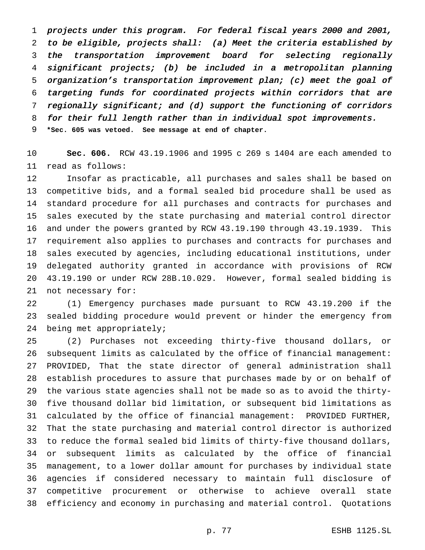projects under this program. For federal fiscal years <sup>2000</sup> and 2001, to be eligible, projects shall: (a) Meet the criteria established by the transportation improvement board for selecting regionally significant projects; (b) be included in <sup>a</sup> metropolitan planning organization's transportation improvement plan; (c) meet the goal of targeting funds for coordinated projects within corridors that are regionally significant; and (d) support the functioning of corridors for their full length rather than in individual spot improvements. **\*Sec. 605 was vetoed. See message at end of chapter.**

 **Sec. 606.** RCW 43.19.1906 and 1995 c 269 s 1404 are each amended to read as follows:

 Insofar as practicable, all purchases and sales shall be based on competitive bids, and a formal sealed bid procedure shall be used as standard procedure for all purchases and contracts for purchases and sales executed by the state purchasing and material control director and under the powers granted by RCW 43.19.190 through 43.19.1939. This requirement also applies to purchases and contracts for purchases and sales executed by agencies, including educational institutions, under delegated authority granted in accordance with provisions of RCW 43.19.190 or under RCW 28B.10.029. However, formal sealed bidding is not necessary for:

 (1) Emergency purchases made pursuant to RCW 43.19.200 if the sealed bidding procedure would prevent or hinder the emergency from being met appropriately;

 (2) Purchases not exceeding thirty-five thousand dollars, or subsequent limits as calculated by the office of financial management: PROVIDED, That the state director of general administration shall establish procedures to assure that purchases made by or on behalf of the various state agencies shall not be made so as to avoid the thirty- five thousand dollar bid limitation, or subsequent bid limitations as calculated by the office of financial management: PROVIDED FURTHER, That the state purchasing and material control director is authorized to reduce the formal sealed bid limits of thirty-five thousand dollars, or subsequent limits as calculated by the office of financial management, to a lower dollar amount for purchases by individual state agencies if considered necessary to maintain full disclosure of competitive procurement or otherwise to achieve overall state efficiency and economy in purchasing and material control. Quotations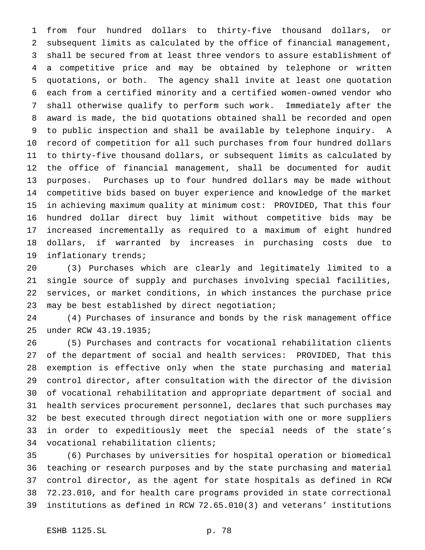from four hundred dollars to thirty-five thousand dollars, or subsequent limits as calculated by the office of financial management, shall be secured from at least three vendors to assure establishment of a competitive price and may be obtained by telephone or written quotations, or both. The agency shall invite at least one quotation each from a certified minority and a certified women-owned vendor who shall otherwise qualify to perform such work. Immediately after the award is made, the bid quotations obtained shall be recorded and open to public inspection and shall be available by telephone inquiry. A record of competition for all such purchases from four hundred dollars to thirty-five thousand dollars, or subsequent limits as calculated by the office of financial management, shall be documented for audit purposes. Purchases up to four hundred dollars may be made without competitive bids based on buyer experience and knowledge of the market in achieving maximum quality at minimum cost: PROVIDED, That this four hundred dollar direct buy limit without competitive bids may be increased incrementally as required to a maximum of eight hundred dollars, if warranted by increases in purchasing costs due to inflationary trends;

 (3) Purchases which are clearly and legitimately limited to a single source of supply and purchases involving special facilities, services, or market conditions, in which instances the purchase price may be best established by direct negotiation;

 (4) Purchases of insurance and bonds by the risk management office under RCW 43.19.1935;

 (5) Purchases and contracts for vocational rehabilitation clients of the department of social and health services: PROVIDED, That this exemption is effective only when the state purchasing and material control director, after consultation with the director of the division of vocational rehabilitation and appropriate department of social and health services procurement personnel, declares that such purchases may be best executed through direct negotiation with one or more suppliers in order to expeditiously meet the special needs of the state's vocational rehabilitation clients;

 (6) Purchases by universities for hospital operation or biomedical teaching or research purposes and by the state purchasing and material control director, as the agent for state hospitals as defined in RCW 72.23.010, and for health care programs provided in state correctional institutions as defined in RCW 72.65.010(3) and veterans' institutions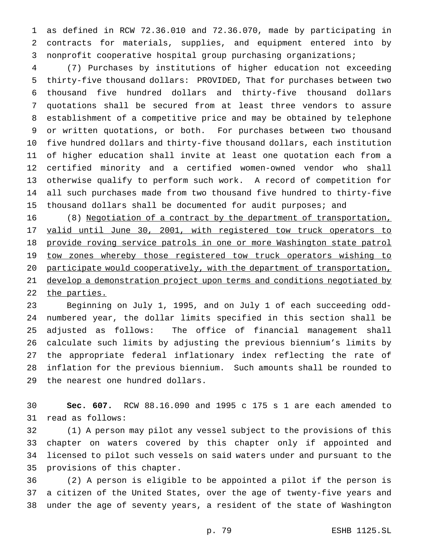as defined in RCW 72.36.010 and 72.36.070, made by participating in contracts for materials, supplies, and equipment entered into by nonprofit cooperative hospital group purchasing organizations;

 (7) Purchases by institutions of higher education not exceeding thirty-five thousand dollars: PROVIDED, That for purchases between two thousand five hundred dollars and thirty-five thousand dollars quotations shall be secured from at least three vendors to assure establishment of a competitive price and may be obtained by telephone or written quotations, or both. For purchases between two thousand five hundred dollars and thirty-five thousand dollars, each institution of higher education shall invite at least one quotation each from a certified minority and a certified women-owned vendor who shall otherwise qualify to perform such work. A record of competition for all such purchases made from two thousand five hundred to thirty-five 15 thousand dollars shall be documented for audit purposes; and

 (8) Negotiation of a contract by the department of transportation, 17 valid until June 30, 2001, with registered tow truck operators to provide roving service patrols in one or more Washington state patrol 19 tow zones whereby those registered tow truck operators wishing to 20 participate would cooperatively, with the department of transportation, develop a demonstration project upon terms and conditions negotiated by 22 the parties.

 Beginning on July 1, 1995, and on July 1 of each succeeding odd- numbered year, the dollar limits specified in this section shall be adjusted as follows: The office of financial management shall calculate such limits by adjusting the previous biennium's limits by the appropriate federal inflationary index reflecting the rate of inflation for the previous biennium. Such amounts shall be rounded to the nearest one hundred dollars.

 **Sec. 607.** RCW 88.16.090 and 1995 c 175 s 1 are each amended to read as follows:

 (1) A person may pilot any vessel subject to the provisions of this chapter on waters covered by this chapter only if appointed and licensed to pilot such vessels on said waters under and pursuant to the provisions of this chapter.

 (2) A person is eligible to be appointed a pilot if the person is a citizen of the United States, over the age of twenty-five years and under the age of seventy years, a resident of the state of Washington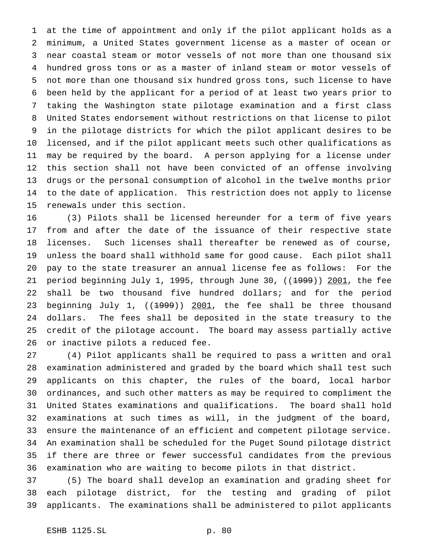at the time of appointment and only if the pilot applicant holds as a minimum, a United States government license as a master of ocean or near coastal steam or motor vessels of not more than one thousand six hundred gross tons or as a master of inland steam or motor vessels of not more than one thousand six hundred gross tons, such license to have been held by the applicant for a period of at least two years prior to taking the Washington state pilotage examination and a first class United States endorsement without restrictions on that license to pilot in the pilotage districts for which the pilot applicant desires to be licensed, and if the pilot applicant meets such other qualifications as may be required by the board. A person applying for a license under this section shall not have been convicted of an offense involving drugs or the personal consumption of alcohol in the twelve months prior to the date of application. This restriction does not apply to license renewals under this section.

 (3) Pilots shall be licensed hereunder for a term of five years from and after the date of the issuance of their respective state licenses. Such licenses shall thereafter be renewed as of course, unless the board shall withhold same for good cause. Each pilot shall pay to the state treasurer an annual license fee as follows: For the 21 period beginning July 1, 1995, through June 30, ((1999)) 2001, the fee shall be two thousand five hundred dollars; and for the period 23 beginning July 1, ((1999)) 2001, the fee shall be three thousand dollars. The fees shall be deposited in the state treasury to the credit of the pilotage account. The board may assess partially active or inactive pilots a reduced fee.

 (4) Pilot applicants shall be required to pass a written and oral examination administered and graded by the board which shall test such applicants on this chapter, the rules of the board, local harbor ordinances, and such other matters as may be required to compliment the United States examinations and qualifications. The board shall hold examinations at such times as will, in the judgment of the board, ensure the maintenance of an efficient and competent pilotage service. An examination shall be scheduled for the Puget Sound pilotage district if there are three or fewer successful candidates from the previous examination who are waiting to become pilots in that district.

 (5) The board shall develop an examination and grading sheet for each pilotage district, for the testing and grading of pilot applicants. The examinations shall be administered to pilot applicants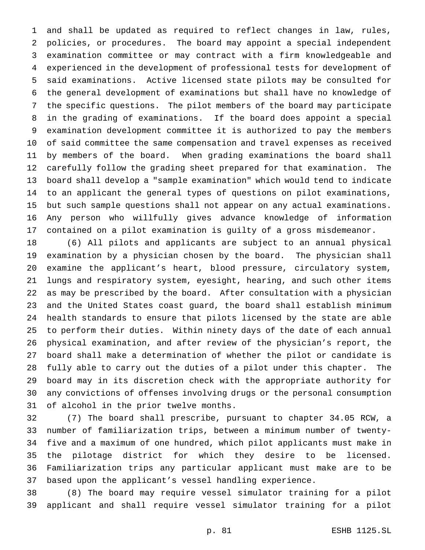and shall be updated as required to reflect changes in law, rules, policies, or procedures. The board may appoint a special independent examination committee or may contract with a firm knowledgeable and experienced in the development of professional tests for development of said examinations. Active licensed state pilots may be consulted for the general development of examinations but shall have no knowledge of the specific questions. The pilot members of the board may participate in the grading of examinations. If the board does appoint a special examination development committee it is authorized to pay the members of said committee the same compensation and travel expenses as received by members of the board. When grading examinations the board shall carefully follow the grading sheet prepared for that examination. The board shall develop a "sample examination" which would tend to indicate to an applicant the general types of questions on pilot examinations, but such sample questions shall not appear on any actual examinations. Any person who willfully gives advance knowledge of information contained on a pilot examination is guilty of a gross misdemeanor.

 (6) All pilots and applicants are subject to an annual physical examination by a physician chosen by the board. The physician shall examine the applicant's heart, blood pressure, circulatory system, lungs and respiratory system, eyesight, hearing, and such other items as may be prescribed by the board. After consultation with a physician and the United States coast guard, the board shall establish minimum health standards to ensure that pilots licensed by the state are able to perform their duties. Within ninety days of the date of each annual physical examination, and after review of the physician's report, the board shall make a determination of whether the pilot or candidate is fully able to carry out the duties of a pilot under this chapter. The board may in its discretion check with the appropriate authority for any convictions of offenses involving drugs or the personal consumption of alcohol in the prior twelve months.

 (7) The board shall prescribe, pursuant to chapter 34.05 RCW, a number of familiarization trips, between a minimum number of twenty- five and a maximum of one hundred, which pilot applicants must make in the pilotage district for which they desire to be licensed. Familiarization trips any particular applicant must make are to be based upon the applicant's vessel handling experience.

 (8) The board may require vessel simulator training for a pilot applicant and shall require vessel simulator training for a pilot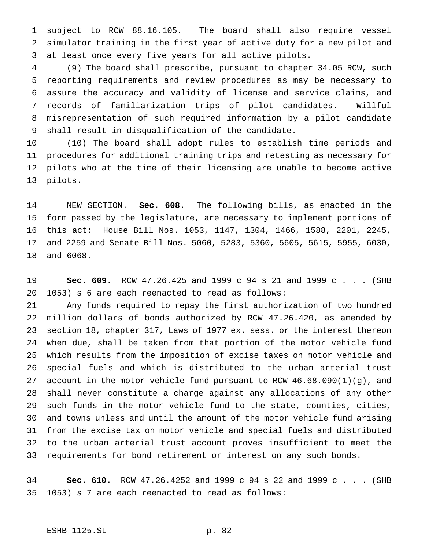subject to RCW 88.16.105. The board shall also require vessel simulator training in the first year of active duty for a new pilot and at least once every five years for all active pilots.

 (9) The board shall prescribe, pursuant to chapter 34.05 RCW, such reporting requirements and review procedures as may be necessary to assure the accuracy and validity of license and service claims, and records of familiarization trips of pilot candidates. Willful misrepresentation of such required information by a pilot candidate shall result in disqualification of the candidate.

 (10) The board shall adopt rules to establish time periods and procedures for additional training trips and retesting as necessary for pilots who at the time of their licensing are unable to become active pilots.

 NEW SECTION. **Sec. 608.** The following bills, as enacted in the form passed by the legislature, are necessary to implement portions of this act: House Bill Nos. 1053, 1147, 1304, 1466, 1588, 2201, 2245, and 2259 and Senate Bill Nos. 5060, 5283, 5360, 5605, 5615, 5955, 6030, and 6068.

 **Sec. 609.** RCW 47.26.425 and 1999 c 94 s 21 and 1999c... (SHB 1053) s 6 are each reenacted to read as follows:

 Any funds required to repay the first authorization of two hundred million dollars of bonds authorized by RCW 47.26.420, as amended by section 18, chapter 317, Laws of 1977 ex. sess. or the interest thereon when due, shall be taken from that portion of the motor vehicle fund which results from the imposition of excise taxes on motor vehicle and special fuels and which is distributed to the urban arterial trust account in the motor vehicle fund pursuant to RCW 46.68.090(1)(g), and shall never constitute a charge against any allocations of any other such funds in the motor vehicle fund to the state, counties, cities, and towns unless and until the amount of the motor vehicle fund arising from the excise tax on motor vehicle and special fuels and distributed to the urban arterial trust account proves insufficient to meet the requirements for bond retirement or interest on any such bonds.

 **Sec. 610.** RCW 47.26.4252 and 1999 c 94 s 22 and 1999 c . . . (SHB 1053) s 7 are each reenacted to read as follows: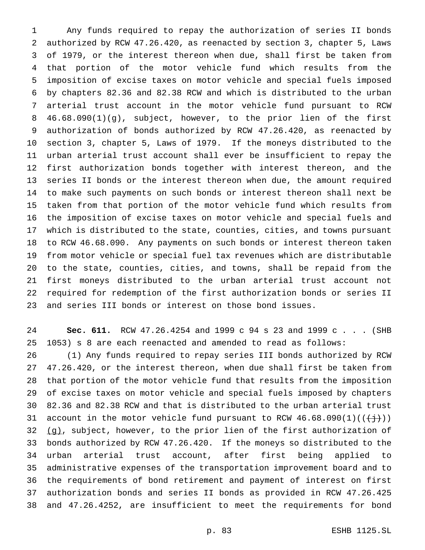Any funds required to repay the authorization of series II bonds authorized by RCW 47.26.420, as reenacted by section 3, chapter 5, Laws of 1979, or the interest thereon when due, shall first be taken from that portion of the motor vehicle fund which results from the imposition of excise taxes on motor vehicle and special fuels imposed by chapters 82.36 and 82.38 RCW and which is distributed to the urban arterial trust account in the motor vehicle fund pursuant to RCW 46.68.090(1)(g), subject, however, to the prior lien of the first authorization of bonds authorized by RCW 47.26.420, as reenacted by section 3, chapter 5, Laws of 1979. If the moneys distributed to the urban arterial trust account shall ever be insufficient to repay the first authorization bonds together with interest thereon, and the series II bonds or the interest thereon when due, the amount required to make such payments on such bonds or interest thereon shall next be taken from that portion of the motor vehicle fund which results from the imposition of excise taxes on motor vehicle and special fuels and which is distributed to the state, counties, cities, and towns pursuant to RCW 46.68.090. Any payments on such bonds or interest thereon taken from motor vehicle or special fuel tax revenues which are distributable to the state, counties, cities, and towns, shall be repaid from the first moneys distributed to the urban arterial trust account not required for redemption of the first authorization bonds or series II and series III bonds or interest on those bond issues.

 **Sec. 611.** RCW 47.26.4254 and 1999 c 94 s 23 and 1999 c . . . (SHB 1053) s 8 are each reenacted and amended to read as follows:

 (1) Any funds required to repay series III bonds authorized by RCW 47.26.420, or the interest thereon, when due shall first be taken from that portion of the motor vehicle fund that results from the imposition of excise taxes on motor vehicle and special fuels imposed by chapters 82.36 and 82.38 RCW and that is distributed to the urban arterial trust 31 account in the motor vehicle fund pursuant to RCW  $46.68.090(1)((\leftarrow j))$  $(g)$ , subject, however, to the prior lien of the first authorization of bonds authorized by RCW 47.26.420. If the moneys so distributed to the urban arterial trust account, after first being applied to administrative expenses of the transportation improvement board and to the requirements of bond retirement and payment of interest on first authorization bonds and series II bonds as provided in RCW 47.26.425 and 47.26.4252, are insufficient to meet the requirements for bond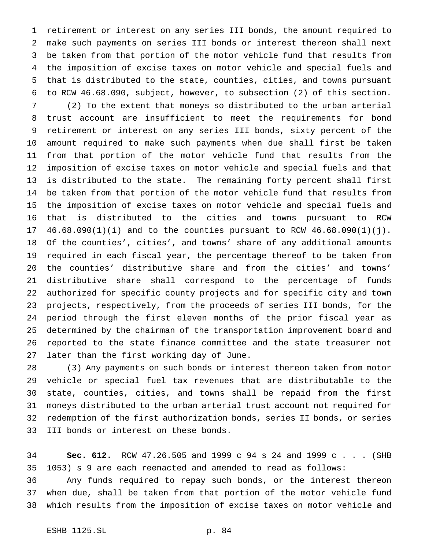retirement or interest on any series III bonds, the amount required to make such payments on series III bonds or interest thereon shall next be taken from that portion of the motor vehicle fund that results from the imposition of excise taxes on motor vehicle and special fuels and that is distributed to the state, counties, cities, and towns pursuant to RCW 46.68.090, subject, however, to subsection (2) of this section.

 (2) To the extent that moneys so distributed to the urban arterial trust account are insufficient to meet the requirements for bond retirement or interest on any series III bonds, sixty percent of the amount required to make such payments when due shall first be taken from that portion of the motor vehicle fund that results from the imposition of excise taxes on motor vehicle and special fuels and that is distributed to the state. The remaining forty percent shall first be taken from that portion of the motor vehicle fund that results from the imposition of excise taxes on motor vehicle and special fuels and that is distributed to the cities and towns pursuant to RCW 46.68.090(1)(i) and to the counties pursuant to RCW 46.68.090(1)(j). Of the counties', cities', and towns' share of any additional amounts required in each fiscal year, the percentage thereof to be taken from the counties' distributive share and from the cities' and towns' distributive share shall correspond to the percentage of funds authorized for specific county projects and for specific city and town projects, respectively, from the proceeds of series III bonds, for the period through the first eleven months of the prior fiscal year as determined by the chairman of the transportation improvement board and reported to the state finance committee and the state treasurer not later than the first working day of June.

 (3) Any payments on such bonds or interest thereon taken from motor vehicle or special fuel tax revenues that are distributable to the state, counties, cities, and towns shall be repaid from the first moneys distributed to the urban arterial trust account not required for redemption of the first authorization bonds, series II bonds, or series III bonds or interest on these bonds.

 **Sec. 612.** RCW 47.26.505 and 1999 c 94 s 24 and 1999c... (SHB 1053) s 9 are each reenacted and amended to read as follows:

 Any funds required to repay such bonds, or the interest thereon when due, shall be taken from that portion of the motor vehicle fund which results from the imposition of excise taxes on motor vehicle and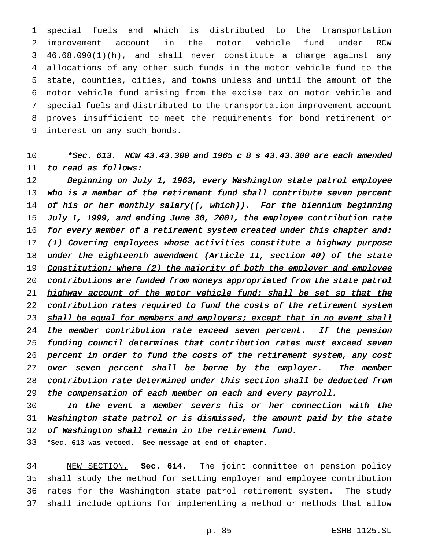special fuels and which is distributed to the transportation improvement account in the motor vehicle fund under RCW  $46.68.090(1)(h)$ , and shall never constitute a charge against any allocations of any other such funds in the motor vehicle fund to the state, counties, cities, and towns unless and until the amount of the motor vehicle fund arising from the excise tax on motor vehicle and special fuels and distributed to the transportation improvement account proves insufficient to meet the requirements for bond retirement or interest on any such bonds.

## 10  $*Sec. 613. RCW 43.43.300$  and 1965 c 8 s 43.43.300 are each amended 11 to read as follows:

12 Beginning on July 1, 1963, every Washington state patrol employee 13 who is <sup>a</sup> member of the retirement fund shall contribute seven percent 14 of his or her monthly salary((, which)). For the biennium beginning 15 July 1, 1999, and ending June 30, 2001, the employee contribution rate 16 for every member of a retirement system created under this chapter and: 17 (1) Covering employees whose activities constitute a highway purpose 18 under the eighteenth amendment (Article II, section 40) of the state 19 Constitution; where (2) the majority of both the employer and employee 20 contributions are funded from moneys appropriated from the state patrol 21 highway account of the motor vehicle fund; shall be set so that the 22 contribution rates required to fund the costs of the retirement system 23 shall be equal for members and employers; except that in no event shall 24 the member contribution rate exceed seven percent. If the pension 25 funding council determines that contribution rates must exceed seven 26 percent in order to fund the costs of the retirement system, any cost 27 over seven percent shall be borne by the employer. The member 28 contribution rate determined under this section shall be deducted from 29 the compensation of each member on each and every payroll.

30 In the event a member severs his or her connection with the 31 Washington state patrol or is dismissed, the amount paid by the state 32 of Washington shall remain in the retirement fund.

33 **\*Sec. 613 was vetoed. See message at end of chapter.**

 NEW SECTION. **Sec. 614.** The joint committee on pension policy shall study the method for setting employer and employee contribution rates for the Washington state patrol retirement system. The study shall include options for implementing a method or methods that allow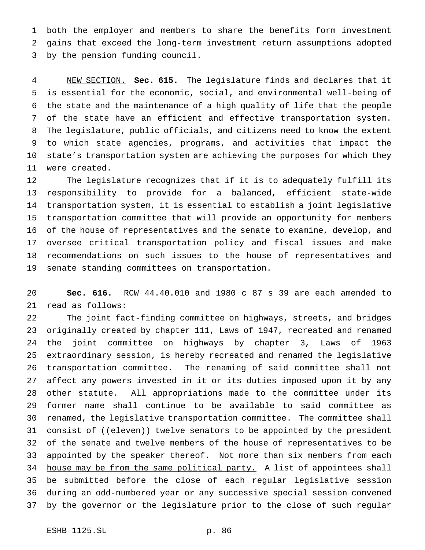both the employer and members to share the benefits form investment gains that exceed the long-term investment return assumptions adopted by the pension funding council.

 NEW SECTION. **Sec. 615.** The legislature finds and declares that it is essential for the economic, social, and environmental well-being of the state and the maintenance of a high quality of life that the people of the state have an efficient and effective transportation system. The legislature, public officials, and citizens need to know the extent to which state agencies, programs, and activities that impact the state's transportation system are achieving the purposes for which they were created.

 The legislature recognizes that if it is to adequately fulfill its responsibility to provide for a balanced, efficient state-wide transportation system, it is essential to establish a joint legislative transportation committee that will provide an opportunity for members of the house of representatives and the senate to examine, develop, and oversee critical transportation policy and fiscal issues and make recommendations on such issues to the house of representatives and senate standing committees on transportation.

 **Sec. 616.** RCW 44.40.010 and 1980 c 87 s 39 are each amended to read as follows:

 The joint fact-finding committee on highways, streets, and bridges originally created by chapter 111, Laws of 1947, recreated and renamed the joint committee on highways by chapter 3, Laws of 1963 extraordinary session, is hereby recreated and renamed the legislative transportation committee. The renaming of said committee shall not affect any powers invested in it or its duties imposed upon it by any other statute. All appropriations made to the committee under its former name shall continue to be available to said committee as renamed, the legislative transportation committee. The committee shall 31 consist of ((eleven)) twelve senators to be appointed by the president of the senate and twelve members of the house of representatives to be 33 appointed by the speaker thereof. Not more than six members from each 34 house may be from the same political party. A list of appointees shall be submitted before the close of each regular legislative session during an odd-numbered year or any successive special session convened by the governor or the legislature prior to the close of such regular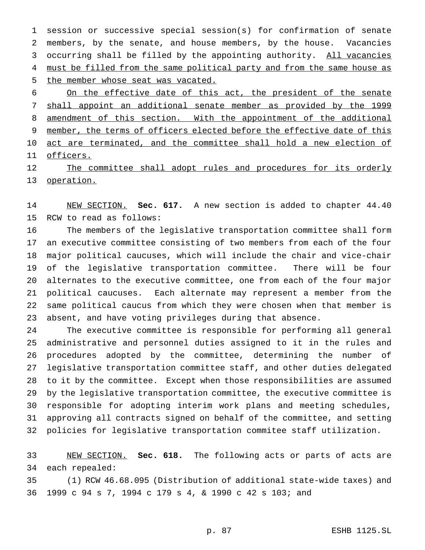session or successive special session(s) for confirmation of senate members, by the senate, and house members, by the house. Vacancies 3 occurring shall be filled by the appointing authority. All vacancies 4 must be filled from the same political party and from the same house as the member whose seat was vacated.

6 On the effective date of this act, the president of the senate shall appoint an additional senate member as provided by the 1999 8 amendment of this section. With the appointment of the additional member, the terms of officers elected before the effective date of this 10 act are terminated, and the committee shall hold a new election of officers.

12 The committee shall adopt rules and procedures for its orderly operation.

 NEW SECTION. **Sec. 617.** A new section is added to chapter 44.40 RCW to read as follows:

 The members of the legislative transportation committee shall form an executive committee consisting of two members from each of the four major political caucuses, which will include the chair and vice-chair of the legislative transportation committee. There will be four alternates to the executive committee, one from each of the four major political caucuses. Each alternate may represent a member from the same political caucus from which they were chosen when that member is absent, and have voting privileges during that absence.

 The executive committee is responsible for performing all general administrative and personnel duties assigned to it in the rules and procedures adopted by the committee, determining the number of legislative transportation committee staff, and other duties delegated to it by the committee. Except when those responsibilities are assumed by the legislative transportation committee, the executive committee is responsible for adopting interim work plans and meeting schedules, approving all contracts signed on behalf of the committee, and setting policies for legislative transportation commitee staff utilization.

 NEW SECTION. **Sec. 618.** The following acts or parts of acts are each repealed:

 (1) RCW 46.68.095 (Distribution of additional state-wide taxes) and 1999 c 94 s 7, 1994 c 179 s 4, & 1990 c 42 s 103; and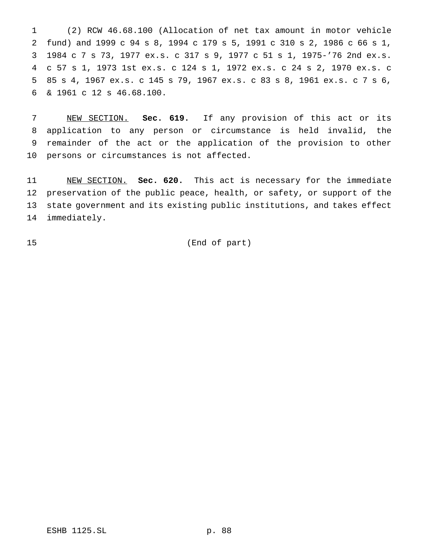(2) RCW 46.68.100 (Allocation of net tax amount in motor vehicle fund) and 1999 c 94 s 8, 1994 c 179 s 5, 1991 c 310 s 2, 1986 c 66 s 1, 1984 c 7 s 73, 1977 ex.s. c 317 s 9, 1977 c 51 s 1, 1975-'76 2nd ex.s. c 57 s 1, 1973 1st ex.s. c 124 s 1, 1972 ex.s. c 24 s 2, 1970 ex.s. c 85 s 4, 1967 ex.s. c 145 s 79, 1967 ex.s. c 83 s 8, 1961 ex.s. c 7 s 6, & 1961 c 12 s 46.68.100.

 NEW SECTION. **Sec. 619.** If any provision of this act or its application to any person or circumstance is held invalid, the remainder of the act or the application of the provision to other persons or circumstances is not affected.

 NEW SECTION. **Sec. 620.** This act is necessary for the immediate preservation of the public peace, health, or safety, or support of the state government and its existing public institutions, and takes effect immediately.

(End of part)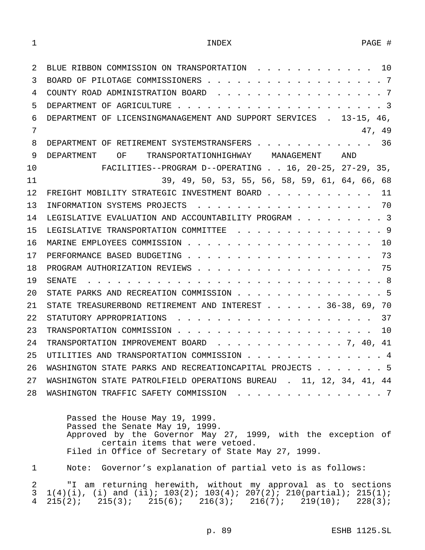| 2  | BLUE RIBBON COMMISSION ON TRANSPORTATION 10                         |
|----|---------------------------------------------------------------------|
| 3  | BOARD OF PILOTAGE COMMISSIONERS 7                                   |
| 4  | COUNTY ROAD ADMINISTRATION BOARD 7                                  |
| 5  |                                                                     |
| 6  | DEPARTMENT OF LICENSINGMANAGEMENT AND SUPPORT SERVICES . 13-15, 46, |
| 7  | 47, 49                                                              |
| 8  | DEPARTMENT OF RETIREMENT SYSTEMSTRANSFERS 36                        |
| 9  | DEPARTMENT OF TRANSPORTATIONHIGHWAY MANAGEMENT AND                  |
| 10 | FACILITIES--PROGRAM D--OPERATING 16, 20-25, 27-29, 35,              |
| 11 | 39, 49, 50, 53, 55, 56, 58, 59, 61, 64, 66, 68                      |
| 12 | FREIGHT MOBILITY STRATEGIC INVESTMENT BOARD 11                      |
| 13 | INFORMATION SYSTEMS PROJECTS 70                                     |
| 14 | LEGISLATIVE EVALUATION AND ACCOUNTABILITY PROGRAM 3                 |
| 15 | LEGISLATIVE TRANSPORTATION COMMITTEE 9                              |
| 16 |                                                                     |
| 17 |                                                                     |
| 18 |                                                                     |
| 19 |                                                                     |
| 20 | STATE PARKS AND RECREATION COMMISSION 5                             |
| 21 | STATE TREASURERBOND RETIREMENT AND INTEREST 36-38, 69, 70           |
| 22 |                                                                     |
| 23 |                                                                     |
| 24 | TRANSPORTATION IMPROVEMENT BOARD 7, 40, 41                          |
| 25 | UTILITIES AND TRANSPORTATION COMMISSION 4                           |
| 26 | WASHINGTON STATE PARKS AND RECREATIONCAPITAL PROJECTS 5             |
| 27 | WASHINGTON STATE PATROLFIELD OPERATIONS BUREAU . 11, 12, 34, 41, 44 |
| 28 | WASHINGTON TRAFFIC SAFETY COMMISSION 7                              |
|    | Passed the House May 19, 1999.                                      |

Passed the Senate May 19, 1999. Approved by the Governor May 27, 1999, with the exception of certain items that were vetoed. Filed in Office of Secretary of State May 27, 1999.

1 Note: Governor's explanation of partial veto is as follows:

2 "I am returning herewith, without my approval as to sections  $1(4)(i)$ , (i) and (ii);  $103(2)$ ;  $103(4)$ ;  $207(2)$ ;  $210(partial)$ ;  $215(1)$ ; 3 1(4)(i), (i) and (ii); 103(2); 103(4); 20 $\overline{7}$ (2); 210(partial); 215(1);<br>4 215(2); 215(3); 215(6); 216(3); 216(7); 219(10); 228(3);  $215(2);$   $215(3);$   $215(6);$   $216(3);$   $216(7);$   $219(10);$   $228(3);$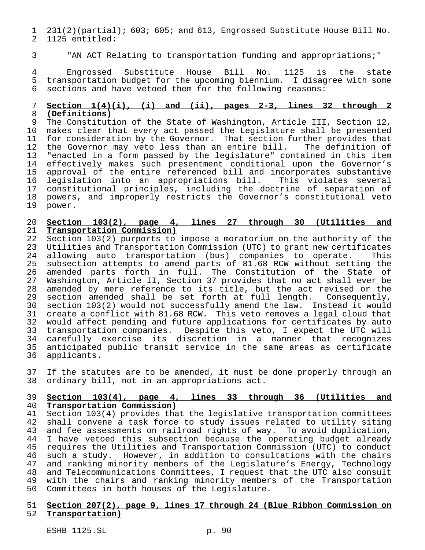231(2)(partial); 603; 605; and 613, Engrossed Substitute House Bill No. 1125 entitled:

"AN ACT Relating to transportation funding and appropriations;"

4 Engrossed Substitute House Bill No. 1125 is the state<br>5 transportation-budget-for-the-upcoming-biennium. I-disagree-with-some transportation budget for the upcoming biennium. I disagree with some sections and have vetoed them for the following reasons:

#### **Section 1(4)(i), (i) and (ii), pages 2-3, lines 32 through 2 (Definitions)**

 The Constitution of the State of Washington, Article III, Section 12, makes clear that every act passed the Legislature shall be presented 11 for consideration by the Governor. That section further provides that the Governor may veto less than an entire bill. The definition of 13 "enacted in a form passed by the legislature" contained in this item<br>14 effectively makes such presentment conditional upon the Governor's effectively makes such presentment conditional upon the Governor's approval of the entire referenced bill and incorporates substantive legislation into an appropriations bill. This violates several constitutional principles, including the doctrine of separation of 18 powers, and improperly restricts the Governor's constitutional veto<br>19 power. power.

#### **Section 103(2), page 4, lines 27 through 30 (Utilities and Transportation Commission)**

 Section 103(2) purports to impose a moratorium on the authority of the 23 Utilities and Transportation Commission (UTC) to grant new certificates<br>24 allowing auto transportation (bus) companies to operate. This 24 allowing auto transportation (bus) companies to operate. This<br>25 subsection attempts to amend parts of 81.68 RCW without setting the subsection attempts to amend parts of 81.68 RCW without setting the amended parts forth in full. The Constitution of the State of Washington, Article II, Section 37 provides that no act shall ever be amended by mere reference to its title, but the act revised or the section amended shall be set forth at full length. Consequently, section 103(2) would not successfully amend the law. Instead it would create a conflict with 81.68 RCW. This veto removes a legal cloud that would affect pending and future applications for certificates by auto transportation companies. Despite this veto, I expect the UTC will carefully exercise its discretion in a manner that recognizes anticipated public transit service in the same areas as certificate applicants.

 If the statutes are to be amended, it must be done properly through an ordinary bill, not in an appropriations act.

#### **Section 103(4), page 4, lines 33 through 36 (Utilities and Transportation Commission)**

 Section 103(4) provides that the legislative transportation committees shall convene a task force to study issues related to utility siting 43 and fee assessments on railroad rights of way. To avoid duplication,<br>44 I have vetoed this subsection because the operating budget already I have vetoed this subsection because the operating budget already requires the Utilities and Transportation Commission (UTC) to conduct such a study. However, in addition to consultations with the chairs and ranking minority members of the Legislature's Energy, Technology and Telecommunications Committees, I request that the UTC also consult with the chairs and ranking minority members of the Transportation Committees in both houses of the Legislature.

#### **Section 207(2), page 9, lines 17 through 24 (Blue Ribbon Commission on Transportation)**

ESHB 1125.SL p. 90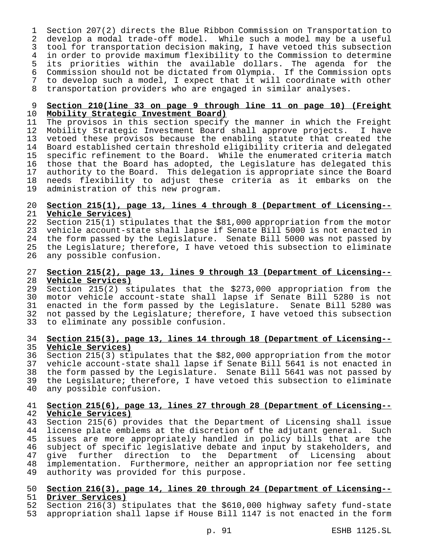Section 207(2) directs the Blue Ribbon Commission on Transportation to develop a modal trade-off model. While such a model may be a useful tool for transportation decision making, I have vetoed this subsection in order to provide maximum flexibility to the Commission to determine 5 its priorities within the available dollars. The agenda for the<br>6 Commission should not be dictated from Olympia. If the Commission opts Commission should not be dictated from Olympia. If the Commission opts to develop such a model, I expect that it will coordinate with other transportation providers who are engaged in similar analyses.

# **Section 210(line 33 on page 9 through line 11 on page 10) (Freight Mobility Strategic Investment Board)**

11 The provisos in this section specify the manner in which the Freight<br>12 Mobility Strategic Investment Board shall approve projects. I have Mobility Strategic Investment Board shall approve projects. I have vetoed these provisos because the enabling statute that created the Board established certain threshold eligibility criteria and delegated 15 specific refinement to the Board. While the enumerated criteria match<br>16 those that the Board has adopted, the Legislature has delegated this 16 those that the Board has adopted, the Legislature has delegated this<br>17 authority to the Board. This delegation is appropriate since the Board 17 authority to the Board. This delegation is appropriate since the Board<br>18 needs flexibility to adjust these criteria as it embarks on the needs flexibility to adjust these criteria as it embarks on the administration of this new program.

#### **Section 215(1), page 13, lines 4 through 8 (Department of Licensing-- Vehicle Services)**

 Section 215(1) stipulates that the \$81,000 appropriation from the motor vehicle account-state shall lapse if Senate Bill 5000 is not enacted in the form passed by the Legislature. Senate Bill 5000 was not passed by 25 the Legislature; therefore, I have vetoed this subsection to eliminate<br>26 any possible confusion. any possible confusion.

#### **Section 215(2), page 13, lines 9 through 13 (Department of Licensing-- Vehicle Services)**

 Section 215(2) stipulates that the \$273,000 appropriation from the motor vehicle account-state shall lapse if Senate Bill 5280 is not enacted in the form passed by the Legislature. Senate Bill 5280 was not passed by the Legislature; therefore, I have vetoed this subsection to eliminate any possible confusion.

#### **Section 215(3), page 13, lines 14 through 18 (Department of Licensing-- Vehicle Services)**

 Section 215(3) stipulates that the \$82,000 appropriation from the motor vehicle account-state shall lapse if Senate Bill 5641 is not enacted in the form passed by the Legislature. Senate Bill 5641 was not passed by 39 the Legislature; therefore, I have vetoed this subsection to eliminate<br>40 any possible confusion. any possible confusion.

#### **Section 215(6), page 13, lines 27 through 28 (Department of Licensing-- Vehicle Services)**

 Section 215(6) provides that the Department of Licensing shall issue 44 license plate emblems at the discretion of the adjutant general. Such<br>45 issues are more appropriately handled in policy bills that are the issues are more appropriately handled in policy bills that are the subject of specific legislative debate and input by stakeholders, and give further direction to the Department of Licensing about 48 implementation. Furthermore, neither an appropriation nor fee setting<br>49 authority was provided for this purpose. authority was provided for this purpose.

### **Section 216(3), page 14, lines 20 through 24 (Department of Licensing-- Driver Services)**

 Section 216(3) stipulates that the \$610,000 highway safety fund-state appropriation shall lapse if House Bill 1147 is not enacted in the form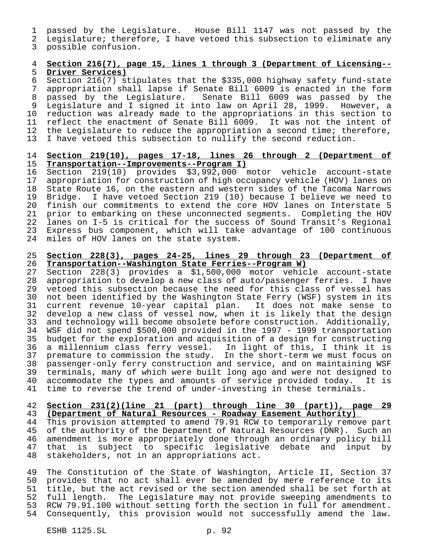passed by the Legislature. House Bill 1147 was not passed by the

Legislature; therefore, I have vetoed this subsection to eliminate any

possible confusion.

#### **Section 216(7), page 15, lines 1 through 3 (Department of Licensing-- Driver Services)**

 Section 216(7) stipulates that the \$335,000 highway safety fund-state appropriation shall lapse if Senate Bill 6009 is enacted in the form passed by the Legislature. Senate Bill 6009 was passed by the Legislature and I signed it into law on April 28, 1999. However, a 10 reduction was already made to the appropriations in this section to<br>11 reflect the enactment of Senate Bill 6009. It was not the intent of reflect the enactment of Senate Bill 6009. It was not the intent of the Legislature to reduce the appropriation a second time; therefore, I have vetoed this subsection to nullify the second reduction.

#### **Section 219(10), pages 17-18, lines 26 through 2 (Department of Transportation--Improvements--Program I)**

 Section 219(10) provides \$3,992,000 motor vehicle account-state appropriation for construction of high occupancy vehicle (HOV) lanes on State Route 16, on the eastern and western sides of the Tacoma Narrows Bridge. I have vetoed Section 219 (10) because I believe we need to 20 finish our commitments to extend the core HOV lanes on Interstate 5<br>21 prior to embarking on these unconnected segments. Completing the HOV prior to embarking on these unconnected segments. Completing the HOV lanes on I-5 is critical for the success of Sound Transit's Regional Express bus component, which will take advantage of 100 continuous miles of HOV lanes on the state system.

#### **Section 228(3), pages 24-25, lines 29 through 23 (Department of Transportation--Washington State Ferries--Program W)**

 Section 228(3) provides a \$1,500,000 motor vehicle account-state appropriation to develop a new class of auto/passenger ferries. I have 29 vetoed this subsection because the need for this class of vessel has<br>30 not been identified by the Washington State Ferry (WSF) system in its 30 not been identified by the Washington State Ferry (WSF) system in its<br>31 current revenue 10-year capital plan. It does not make sense to current revenue 10-year capital plan. It does not make sense to develop a new class of vessel now, when it is likely that the design and technology will become obsolete before construction. Additionally, WSF did not spend \$500,000 provided in the 1997 - 1999 transportation 35 budget for the exploration and acquisition of a design for constructing<br>36 a millennium class ferry vessel. In light of this, I think it is a millennium class ferry vessel. In light of this, I think it is premature to commission the study. In the short-term we must focus on passenger-only ferry construction and service, and on maintaining WSF terminals, many of which were built long ago and were not designed to 40 accommodate the types and amounts of service provided today. It is<br>41 time to reverse the trend of under-investing in these terminals. time to reverse the trend of under-investing in these terminals.

#### **Section 231(2)(line 21 (part) through line 30 (part)), page 29 (Department of Natural Resources - Roadway Easement Authority)**

 This provision attempted to amend 79.91 RCW to temporarily remove part 45 of the authority of the Department of Natural Resources (DNR). Such an<br>46 amendment is more appropriately done through an ordinary policy bill amendment is more appropriately done through an ordinary policy bill that is subject to specific legislative debate and input by stakeholders, not in an appropriations act.

49 The Constitution of the State of Washington, Article II, Section 37<br>50 provides that no act shall ever be amended by mere reference to its provides that no act shall ever be amended by mere reference to its title, but the act revised or the section amended shall be set forth at full length. The Legislature may not provide sweeping amendments to RCW 79.91.100 without setting forth the section in full for amendment. Consequently, this provision would not successfully amend the law.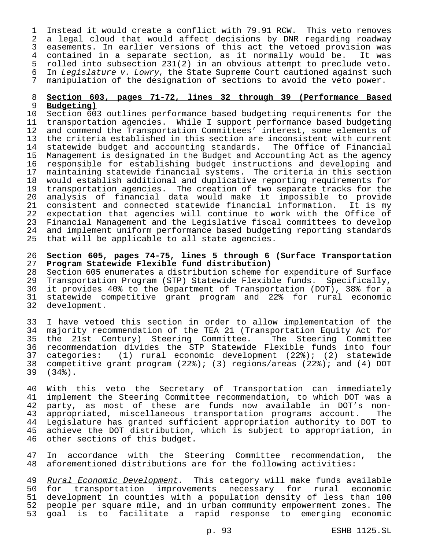Instead it would create a conflict with 79.91 RCW. This veto removes a legal cloud that would affect decisions by DNR regarding roadway easements. In earlier versions of this act the vetoed provision was contained in a separate section, as it normally would be. It was 5 rolled into subsection 231(2) in an obvious attempt to preclude veto.<br>6 In Legislature v. Lowry, the State Supreme Court cautioned against such In Legislature v. Lowry, the State Supreme Court cautioned against such manipulation of the designation of sections to avoid the veto power.

# **Section 603, pages 71-72, lines 32 through 39 (Performance Based**

 **Budgeting)** 10 Section 603 outlines performance based budgeting requirements for the<br>11 transportation agencies. While I support performance based budgeting transportation agencies. While I support performance based budgeting and commend the Transportation Committees' interest, some elements of the criteria established in this section are inconsistent with current statewide budget and accounting standards. The Office of Financial 15 Management is designated in the Budget and Accounting Act as the agency<br>16 responsible for establishing budget instructions and developing and 16 responsible for establishing budget instructions and developing and<br>17 maintaining statewide financial systems. The criteria in this section 17 maintaining statewide financial systems. The criteria in this section<br>18 would establish additional and duplicative reporting requirements for would establish additional and duplicative reporting requirements for transportation agencies. The creation of two separate tracks for the 20 analysis of financial data would make it impossible to provide<br>21 consistent and connected statewide financial information. It is my 21 consistent and connected statewide financial information. It is my<br>22 expectation that agencies will continue to work with the Office of expectation that agencies will continue to work with the Office of Financial Management and the Legislative fiscal committees to develop and implement uniform performance based budgeting reporting standards that will be applicable to all state agencies.

# **Section 605, pages 74-75, lines 5 through 6 (Surface Transportation Program Statewide Flexible fund distribution)**

Section 605 enumerates a distribution scheme for expenditure of Surface Transportation Program (STP) Statewide Flexible funds. Specifically, it provides 40% to the Department of Transportation (DOT), 38% for a statewide competitive grant program and 22% for rural economic development.

 I have vetoed this section in order to allow implementation of the majority recommendation of the TEA 21 (Transportation Equity Act for the 21st Century) Steering Committee. The Steering Committee recommendation divides the STP Statewide Flexible funds into four categories: (1) rural economic development (22%); (2) statewide competitive grant program (22%); (3) regions/areas (22%); and (4) DOT (34%).

40 With this veto the Secretary of Transportation can immediately<br>41 implement the Steering Committee recommendation, to which DOT was a implement the Steering Committee recommendation, to which DOT was a party, as most of these are funds now available in DOT's non- appropriated, miscellaneous transportation programs account. The Legislature has granted sufficient appropriation authority to DOT to 45 achieve the DOT distribution, which is subject to appropriation, in<br>46 other sections of this budget. other sections of this budget.

 In accordance with the Steering Committee recommendation, the aforementioned distributions are for the following activities:

49 Rural Economic Development. This category will make funds available for transportation improvements necessary for rural economic development in counties with a population density of less than 100 people per square mile, and in urban community empowerment zones. The goal is to facilitate a rapid response to emerging economic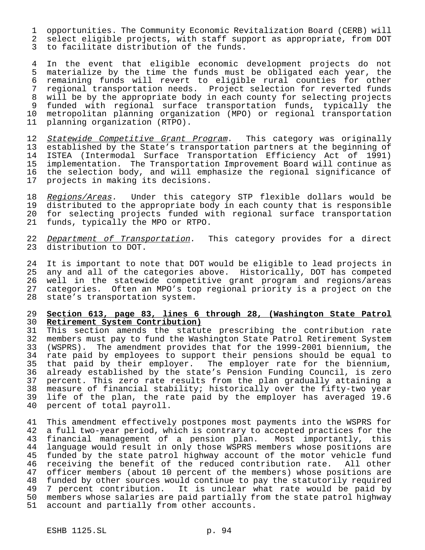1 opportunities. The Community Economic Revitalization Board (CERB) will 2 select eligible projects, with staff support as appropriate, from DOT 3 to facilitate distribution of the funds.

4 In the event that eligible economic development projects do not<br>5 materialize by the time the funds must be obligated each year, the materialize by the time the funds must be obligated each year, the 6 remaining funds will revert to eligible rural counties for other 7 regional transportation needs. Project selection for reverted funds 8 will be by the appropriate body in each county for selecting projects 9 funded with regional surface transportation funds, typically the<br>10 metropolitan planning organization (MPO) or regional transportation 10 metropolitan planning organization (MPO) or regional transportation<br>11 planning organization (RTPO). planning organization (RTPO).

12 Statewide Competitive Grant Program. This category was originally 13 established by the State's transportation partners at the beginning of 14 ISTEA (Intermodal Surface Transportation Efficiency Act of 1991) implementation. The Transportation Improvement Board will continue as 16 the selection body, and will emphasize the regional significance of<br>17 projects in making its decisions. projects in making its decisions.

18 <u>Regions/Areas</u>. Under this category STP flexible dollars would be<br>19 distributed to the appropriate body in each county that is responsible distributed to the appropriate body in each county that is responsible 20 for selecting projects funded with regional surface transportation 21 funds, typically the MPO or RTPO.

22 Department of Transportation. This category provides for a direct 23 distribution to DOT.

 It is important to note that DOT would be eligible to lead projects in any and all of the categories above. Historically, DOT has competed well in the statewide competitive grant program and regions/areas categories. Often an MPO's top regional priority is a project on the state's transportation system.

#### 29 **Section 613, page 83, lines 6 through 28, (Washington State Patrol** 30 **Retirement System Contribution)**

31 This section amends the statute prescribing the contribution rate 32 members must pay to fund the Washington State Patrol Retirement System<br>33 (WSPRS). The amendment provides that for the 1999-2001 biennium, the (WSPRS). The amendment provides that for the 1999-2001 biennium, the 34 rate paid by employees to support their pensions should be equal to 35 that paid by their employer. The employer rate for the biennium, 36 already established by the state's Pension Funding Council, is zero 37 percent. This zero rate results from the plan gradually attaining a 38 measure of financial stability; historically over the fifty-two year<br>39 life of the plan, the rate paid by the employer has averaged 19.6 life of the plan, the rate paid by the employer has averaged 19.6 40 percent of total payroll.

41 This amendment effectively postpones most payments into the WSPRS for 42 a full two-year period, which is contrary to accepted practices for the<br>43 financial management of a pension plan. Most importantly, this financial management of a pension plan. Most importantly, this 44 language would result in only those WSPRS members whose positions are<br>45 funded by the state patrol highway account of the motor vehicle fund funded by the state patrol highway account of the motor vehicle fund 46 receiving the benefit of the reduced contribution rate. All other 47 officer members (about 10 percent of the members) whose positions are 48 funded by other sources would continue to pay the statutorily required<br>49 7 percent contribution. It is unclear what rate would be paid by 7 percent contribution. It is unclear what rate would be paid by 50 members whose salaries are paid partially from the state patrol highway 51 account and partially from other accounts.